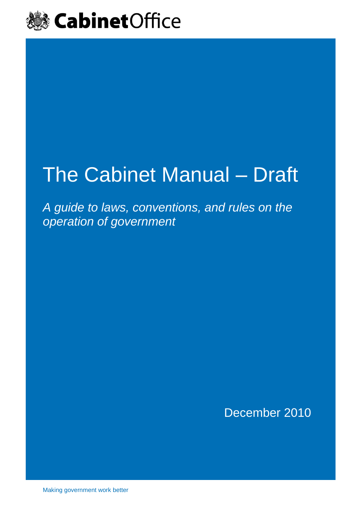

# The Cabinet Manual – Draft

*A guide to laws, conventions, and rules on the operation of government*

December 2010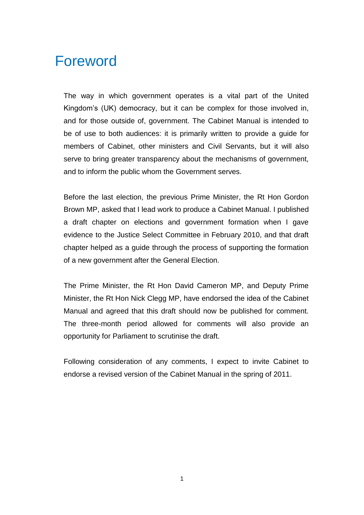# Foreword

The way in which government operates is a vital part of the United Kingdom"s (UK) democracy, but it can be complex for those involved in, and for those outside of, government. The Cabinet Manual is intended to be of use to both audiences: it is primarily written to provide a guide for members of Cabinet, other ministers and Civil Servants, but it will also serve to bring greater transparency about the mechanisms of government, and to inform the public whom the Government serves.

Before the last election, the previous Prime Minister, the Rt Hon Gordon Brown MP, asked that I lead work to produce a Cabinet Manual. I published a draft chapter on elections and government formation when I gave evidence to the Justice Select Committee in February 2010, and that draft chapter helped as a guide through the process of supporting the formation of a new government after the General Election.

The Prime Minister, the Rt Hon David Cameron MP, and Deputy Prime Minister, the Rt Hon Nick Clegg MP, have endorsed the idea of the Cabinet Manual and agreed that this draft should now be published for comment. The three-month period allowed for comments will also provide an opportunity for Parliament to scrutinise the draft.

Following consideration of any comments, I expect to invite Cabinet to endorse a revised version of the Cabinet Manual in the spring of 2011.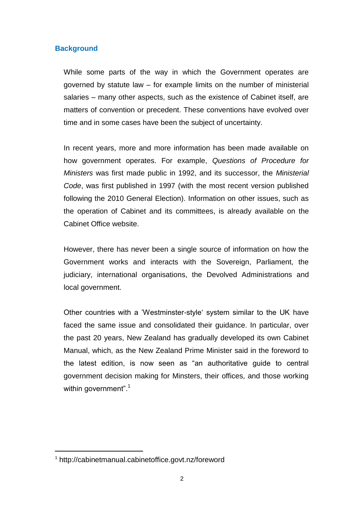### **Background**

While some parts of the way in which the Government operates are governed by statute law – for example limits on the number of ministerial salaries – many other aspects, such as the existence of Cabinet itself, are matters of convention or precedent. These conventions have evolved over time and in some cases have been the subject of uncertainty.

In recent years, more and more information has been made available on how government operates. For example, *Questions of Procedure for Ministers* was first made public in 1992, and its successor, the *Ministerial Code*, was first published in 1997 (with the most recent version published following the 2010 General Election). Information on other issues, such as the operation of Cabinet and its committees, is already available on the Cabinet Office website.

However, there has never been a single source of information on how the Government works and interacts with the Sovereign, Parliament, the judiciary, international organisations, the Devolved Administrations and local government.

Other countries with a "Westminster-style" system similar to the UK have faced the same issue and consolidated their guidance. In particular, over the past 20 years, New Zealand has gradually developed its own Cabinet Manual, which, as the New Zealand Prime Minister said in the foreword to the latest edition, is now seen as "an authoritative guide to central government decision making for Minsters, their offices, and those working within government".<sup>1</sup>

<sup>1</sup> <http://cabinetmanual.cabinetoffice.govt.nz/foreword>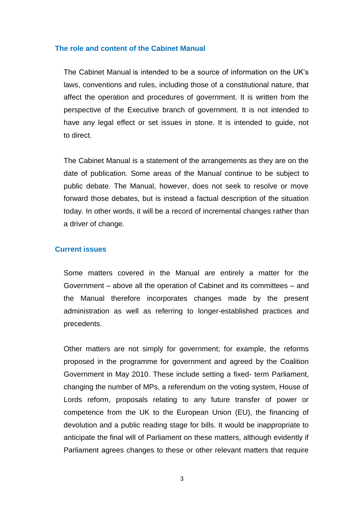#### **The role and content of the Cabinet Manual**

The Cabinet Manual is intended to be a source of information on the UK"s laws, conventions and rules, including those of a constitutional nature, that affect the operation and procedures of government. It is written from the perspective of the Executive branch of government. It is not intended to have any legal effect or set issues in stone. It is intended to guide, not to direct.

The Cabinet Manual is a statement of the arrangements as they are on the date of publication. Some areas of the Manual continue to be subject to public debate. The Manual, however, does not seek to resolve or move forward those debates, but is instead a factual description of the situation today. In other words, it will be a record of incremental changes rather than a driver of change.

#### **Current issues**

Some matters covered in the Manual are entirely a matter for the Government – above all the operation of Cabinet and its committees – and the Manual therefore incorporates changes made by the present administration as well as referring to longer-established practices and precedents.

Other matters are not simply for government; for example, the reforms proposed in the programme for government and agreed by the Coalition Government in May 2010. These include setting a fixed- term Parliament, changing the number of MPs, a referendum on the voting system, House of Lords reform, proposals relating to any future transfer of power or competence from the UK to the European Union (EU), the financing of devolution and a public reading stage for bills. It would be inappropriate to anticipate the final will of Parliament on these matters, although evidently if Parliament agrees changes to these or other relevant matters that require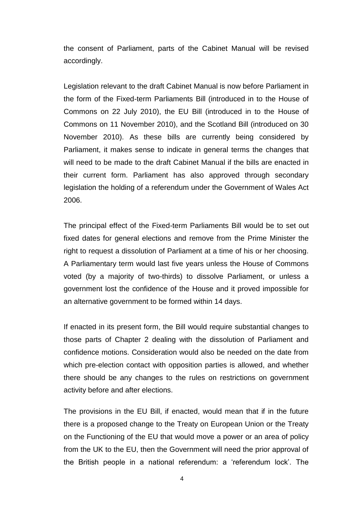the consent of Parliament, parts of the Cabinet Manual will be revised accordingly.

Legislation relevant to the draft Cabinet Manual is now before Parliament in the form of the Fixed-term Parliaments Bill (introduced in to the House of Commons on 22 July 2010), the EU Bill (introduced in to the House of Commons on 11 November 2010), and the Scotland Bill (introduced on 30 November 2010). As these bills are currently being considered by Parliament, it makes sense to indicate in general terms the changes that will need to be made to the draft Cabinet Manual if the bills are enacted in their current form. Parliament has also approved through secondary legislation the holding of a referendum under the Government of Wales Act 2006.

The principal effect of the Fixed-term Parliaments Bill would be to set out fixed dates for general elections and remove from the Prime Minister the right to request a dissolution of Parliament at a time of his or her choosing. A Parliamentary term would last five years unless the House of Commons voted (by a majority of two-thirds) to dissolve Parliament, or unless a government lost the confidence of the House and it proved impossible for an alternative government to be formed within 14 days.

If enacted in its present form, the Bill would require substantial changes to those parts of Chapter 2 dealing with the dissolution of Parliament and confidence motions. Consideration would also be needed on the date from which pre-election contact with opposition parties is allowed, and whether there should be any changes to the rules on restrictions on government activity before and after elections.

The provisions in the EU Bill, if enacted, would mean that if in the future there is a proposed change to the Treaty on European Union or the Treaty on the Functioning of the EU that would move a power or an area of policy from the UK to the EU, then the Government will need the prior approval of the British people in a national referendum: a "referendum lock". The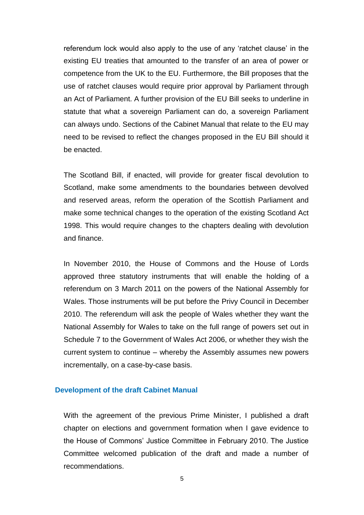referendum lock would also apply to the use of any "ratchet clause" in the existing EU treaties that amounted to the transfer of an area of power or competence from the UK to the EU. Furthermore, the Bill proposes that the use of ratchet clauses would require prior approval by Parliament through an Act of Parliament. A further provision of the EU Bill seeks to underline in statute that what a sovereign Parliament can do, a sovereign Parliament can always undo. Sections of the Cabinet Manual that relate to the EU may need to be revised to reflect the changes proposed in the EU Bill should it be enacted.

The Scotland Bill, if enacted, will provide for greater fiscal devolution to Scotland, make some amendments to the boundaries between devolved and reserved areas, reform the operation of the Scottish Parliament and make some technical changes to the operation of the existing Scotland Act 1998. This would require changes to the chapters dealing with devolution and finance.

In November 2010, the House of Commons and the House of Lords approved three statutory instruments that will enable the holding of a referendum on 3 March 2011 on the powers of the National Assembly for Wales. Those instruments will be put before the Privy Council in December 2010. The referendum will ask the people of Wales whether they want the National Assembly for Wales to take on the full range of powers set out in Schedule 7 to the Government of Wales Act 2006, or whether they wish the current system to continue – whereby the Assembly assumes new powers incrementally, on a case-by-case basis.

#### **Development of the draft Cabinet Manual**

With the agreement of the previous Prime Minister, I published a draft chapter on elections and government formation when I gave evidence to the House of Commons" Justice Committee in February 2010. The Justice Committee welcomed publication of the draft and made a number of recommendations.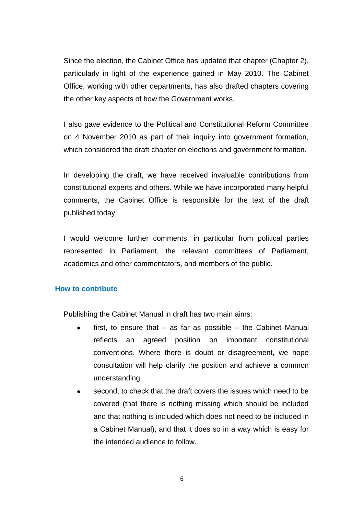Since the election, the Cabinet Office has updated that chapter (Chapter 2), particularly in light of the experience gained in May 2010. The Cabinet Office, working with other departments, has also drafted chapters covering the other key aspects of how the Government works.

I also gave evidence to the Political and Constitutional Reform Committee on 4 November 2010 as part of their inquiry into government formation, which considered the draft chapter on elections and government formation.

In developing the draft, we have received invaluable contributions from constitutional experts and others. While we have incorporated many helpful comments, the Cabinet Office is responsible for the text of the draft published today.

I would welcome further comments, in particular from political parties represented in Parliament, the relevant committees of Parliament, academics and other commentators, and members of the public.

#### **How to contribute**

Publishing the Cabinet Manual in draft has two main aims:

- first, to ensure that as far as possible the Cabinet Manual reflects an agreed position on important constitutional conventions. Where there is doubt or disagreement, we hope consultation will help clarify the position and achieve a common understanding
- second, to check that the draft covers the issues which need to be covered (that there is nothing missing which should be included and that nothing is included which does not need to be included in a Cabinet Manual), and that it does so in a way which is easy for the intended audience to follow.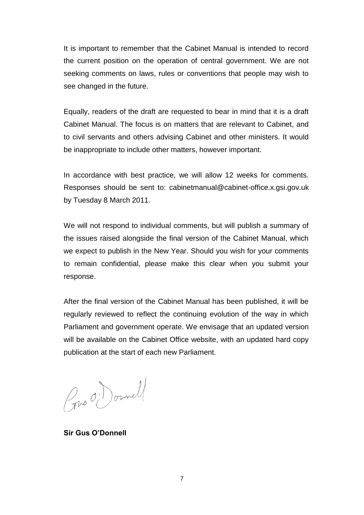It is important to remember that the Cabinet Manual is intended to record the current position on the operation of central government. We are not seeking comments on laws, rules or conventions that people may wish to see changed in the future.

Equally, readers of the draft are requested to bear in mind that it is a draft Cabinet Manual. The focus is on matters that are relevant to Cabinet, and to civil servants and others advising Cabinet and other ministers. It would be inappropriate to include other matters, however important.

In accordance with best practice, we will allow 12 weeks for comments. Responses should be sent to: cabinetmanual@cabinet-office.x.gsi.gov.uk by Tuesday 8 March 2011.

We will not respond to individual comments, but will publish a summary of the issues raised alongside the final version of the Cabinet Manual, which we expect to publish in the New Year. Should you wish for your comments to remain confidential, please make this clear when you submit your response.

After the final version of the Cabinet Manual has been published, it will be regularly reviewed to reflect the continuing evolution of the way in which Parliament and government operate. We envisage that an updated version will be available on the Cabinet Office website, with an updated hard copy publication at the start of each new Parliament.

Gus O'Donnell

**Sir Gus O'Donnell**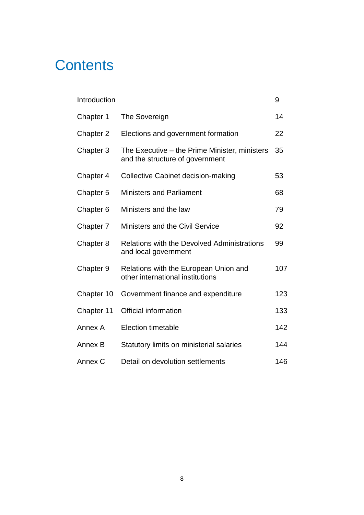# **Contents**

| Introduction         |                                                                                  | 9   |
|----------------------|----------------------------------------------------------------------------------|-----|
| Chapter 1            | The Sovereign                                                                    | 14  |
| Chapter 2            | Elections and government formation                                               | 22  |
| Chapter 3            | The Executive – the Prime Minister, ministers<br>and the structure of government | 35  |
| Chapter 4            | <b>Collective Cabinet decision-making</b>                                        | 53  |
| Chapter 5            | <b>Ministers and Parliament</b>                                                  | 68  |
| Chapter <sub>6</sub> | Ministers and the law                                                            | 79  |
| Chapter 7            | <b>Ministers and the Civil Service</b>                                           | 92  |
| Chapter 8            | <b>Relations with the Devolved Administrations</b><br>and local government       | 99  |
| Chapter 9            | Relations with the European Union and<br>other international institutions        | 107 |
| Chapter 10           | Government finance and expenditure                                               | 123 |
| Chapter 11           | <b>Official information</b>                                                      | 133 |
| Annex A              | <b>Election timetable</b>                                                        | 142 |
| Annex B              | Statutory limits on ministerial salaries                                         | 144 |
| Annex C              | Detail on devolution settlements                                                 | 146 |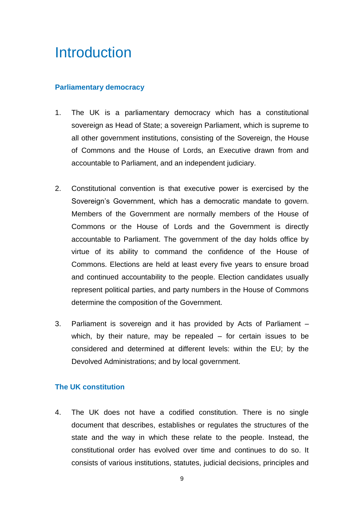# Introduction

# **Parliamentary democracy**

- 1. The UK is a parliamentary democracy which has a constitutional sovereign as Head of State; a sovereign Parliament, which is supreme to all other government institutions, consisting of the Sovereign, the House of Commons and the House of Lords, an Executive drawn from and accountable to Parliament, and an independent judiciary.
- 2. Constitutional convention is that executive power is exercised by the Sovereign's Government, which has a democratic mandate to govern. Members of the Government are normally members of the House of Commons or the House of Lords and the Government is directly accountable to Parliament. The government of the day holds office by virtue of its ability to command the confidence of the House of Commons. Elections are held at least every five years to ensure broad and continued accountability to the people. Election candidates usually represent political parties, and party numbers in the House of Commons determine the composition of the Government.
- 3. Parliament is sovereign and it has provided by Acts of Parliament which, by their nature, may be repealed – for certain issues to be considered and determined at different levels: within the EU; by the Devolved Administrations; and by local government.

# **The UK constitution**

4. The UK does not have a codified constitution. There is no single document that describes, establishes or regulates the structures of the state and the way in which these relate to the people. Instead, the constitutional order has evolved over time and continues to do so. It consists of various institutions, statutes, judicial decisions, principles and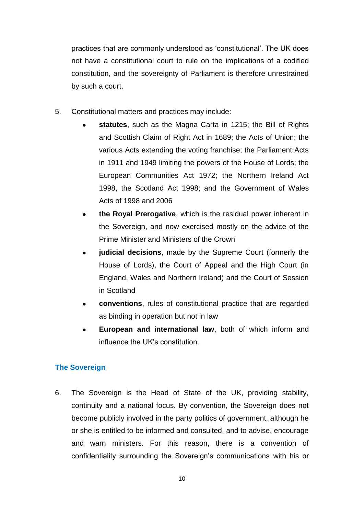practices that are commonly understood as "constitutional". The UK does not have a constitutional court to rule on the implications of a codified constitution, and the sovereignty of Parliament is therefore unrestrained by such a court.

- 5. Constitutional matters and practices may include:
	- **statutes**, such as the Magna Carta in 1215; the Bill of Rights and Scottish Claim of Right Act in 1689; the Acts of Union; the various Acts extending the voting franchise; the Parliament Acts in 1911 and 1949 limiting the powers of the House of Lords; the European Communities Act 1972; the Northern Ireland Act 1998, the Scotland Act 1998; and the Government of Wales Acts of 1998 and 2006
	- **the Royal Prerogative**, which is the residual power inherent in the Sovereign, and now exercised mostly on the advice of the Prime Minister and Ministers of the Crown
	- **judicial decisions**, made by the Supreme Court (formerly the  $\bullet$ House of Lords), the Court of Appeal and the High Court (in England, Wales and Northern Ireland) and the Court of Session in Scotland
	- **conventions**, rules of constitutional practice that are regarded as binding in operation but not in law
	- **European and international law**, both of which inform and influence the UK"s constitution.

# **The Sovereign**

6. The Sovereign is the Head of State of the UK, providing stability, continuity and a national focus. By convention, the Sovereign does not become publicly involved in the party politics of government, although he or she is entitled to be informed and consulted, and to advise, encourage and warn ministers. For this reason, there is a convention of confidentiality surrounding the Sovereign's communications with his or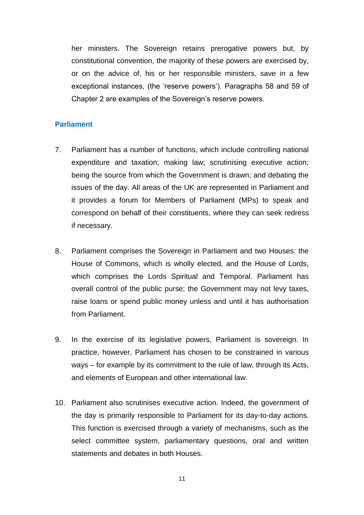her ministers. The Sovereign retains prerogative powers but, by constitutional convention, the majority of these powers are exercised by, or on the advice of, his or her responsible ministers, save in a few exceptional instances, (the 'reserve powers'). Paragraphs 58 and 59 of Chapter 2 are examples of the Sovereign"s reserve powers.

#### **Parliament**

- 7. Parliament has a number of functions, which include controlling national expenditure and taxation; making law; scrutinising executive action; being the source from which the Government is drawn; and debating the issues of the day. All areas of the UK are represented in Parliament and it provides a forum for Members of Parliament (MPs) to speak and correspond on behalf of their constituents, where they can seek redress if necessary.
- 8. Parliament comprises the Sovereign in Parliament and two Houses: the House of Commons, which is wholly elected, and the House of Lords, which comprises the Lords Spiritual and Temporal. Parliament has overall control of the public purse; the Government may not levy taxes, raise loans or spend public money unless and until it has authorisation from Parliament.
- 9. In the exercise of its legislative powers, Parliament is sovereign. In practice, however, Parliament has chosen to be constrained in various ways – for example by its commitment to the rule of law, through its Acts, and elements of European and other international law.
- 10. Parliament also scrutinises executive action. Indeed, the government of the day is primarily responsible to Parliament for its day-to-day actions. This function is exercised through a variety of mechanisms, such as the select committee system, parliamentary questions, oral and written statements and debates in both Houses.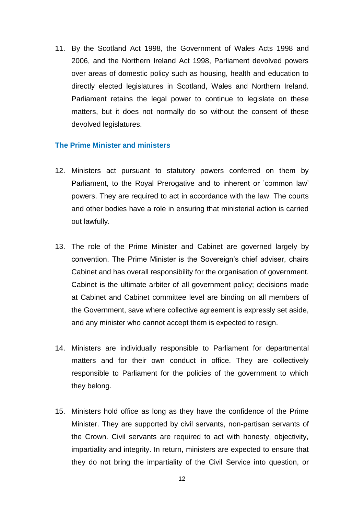11. By the Scotland Act 1998, the Government of Wales Acts 1998 and 2006, and the Northern Ireland Act 1998, Parliament devolved powers over areas of domestic policy such as housing, health and education to directly elected legislatures in Scotland, Wales and Northern Ireland. Parliament retains the legal power to continue to legislate on these matters, but it does not normally do so without the consent of these devolved legislatures.

#### **The Prime Minister and ministers**

- 12. Ministers act pursuant to statutory powers conferred on them by Parliament, to the Royal Prerogative and to inherent or 'common law' powers. They are required to act in accordance with the law. The courts and other bodies have a role in ensuring that ministerial action is carried out lawfully.
- 13. The role of the Prime Minister and Cabinet are governed largely by convention. The Prime Minister is the Sovereign"s chief adviser, chairs Cabinet and has overall responsibility for the organisation of government. Cabinet is the ultimate arbiter of all government policy; decisions made at Cabinet and Cabinet committee level are binding on all members of the Government, save where collective agreement is expressly set aside, and any minister who cannot accept them is expected to resign.
- 14. Ministers are individually responsible to Parliament for departmental matters and for their own conduct in office. They are collectively responsible to Parliament for the policies of the government to which they belong.
- 15. Ministers hold office as long as they have the confidence of the Prime Minister. They are supported by civil servants, non-partisan servants of the Crown. Civil servants are required to act with honesty, objectivity, impartiality and integrity. In return, ministers are expected to ensure that they do not bring the impartiality of the Civil Service into question, or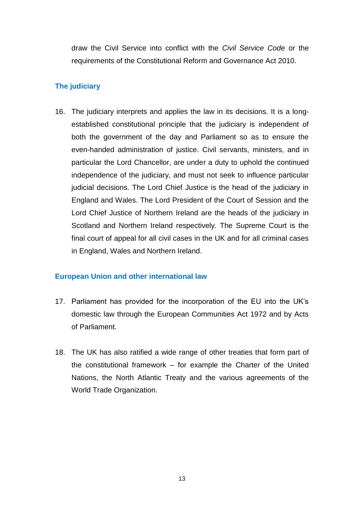draw the Civil Service into conflict with the *Civil Service Code* or the requirements of the Constitutional Reform and Governance Act 2010.

# **The judiciary**

16. The judiciary interprets and applies the law in its decisions. It is a longestablished constitutional principle that the judiciary is independent of both the government of the day and Parliament so as to ensure the even-handed administration of justice. Civil servants, ministers, and in particular the Lord Chancellor, are under a duty to uphold the continued independence of the judiciary, and must not seek to influence particular judicial decisions. The Lord Chief Justice is the head of the judiciary in England and Wales. The Lord President of the Court of Session and the Lord Chief Justice of Northern Ireland are the heads of the judiciary in Scotland and Northern Ireland respectively. The Supreme Court is the final court of appeal for all civil cases in the UK and for all criminal cases in England, Wales and Northern Ireland.

# **European Union and other international law**

- 17. Parliament has provided for the incorporation of the EU into the UK"s domestic law through the European Communities Act 1972 and by Acts of Parliament.
- 18. The UK has also ratified a wide range of other treaties that form part of the constitutional framework – for example the Charter of the United Nations, the North Atlantic Treaty and the various agreements of the World Trade Organization.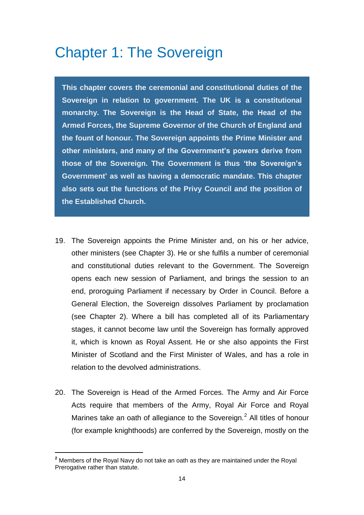# Chapter 1: The Sovereign

**This chapter covers the ceremonial and constitutional duties of the Sovereign in relation to government. The UK is a constitutional monarchy. The Sovereign is the Head of State, the Head of the Armed Forces, the Supreme Governor of the Church of England and the fount of honour. The Sovereign appoints the Prime Minister and other ministers, and many of the Government's powers derive from those of the Sovereign. The Government is thus 'the Sovereign's Government' as well as having a democratic mandate. This chapter also sets out the functions of the Privy Council and the position of the Established Church.**

- 19. The Sovereign appoints the Prime Minister and, on his or her advice, other ministers (see Chapter 3). He or she fulfils a number of ceremonial and constitutional duties relevant to the Government. The Sovereign opens each new session of Parliament, and brings the session to an end, proroguing Parliament if necessary by Order in Council. Before a General Election, the Sovereign dissolves Parliament by proclamation (see Chapter 2). Where a bill has completed all of its Parliamentary stages, it cannot become law until the Sovereign has formally approved it, which is known as Royal Assent. He or she also appoints the First Minister of Scotland and the First Minister of Wales, and has a role in relation to the devolved administrations.
- 20. The Sovereign is Head of the Armed Forces. The Army and Air Force Acts require that members of the Army, Royal Air Force and Royal Marines take an oath of allegiance to the Sovereign.<sup>2</sup> All titles of honour (for example knighthoods) are conferred by the Sovereign, mostly on the

**<sup>2</sup>** Members of the Royal Navy do not take an oath as they are maintained under the Royal Prerogative rather than statute.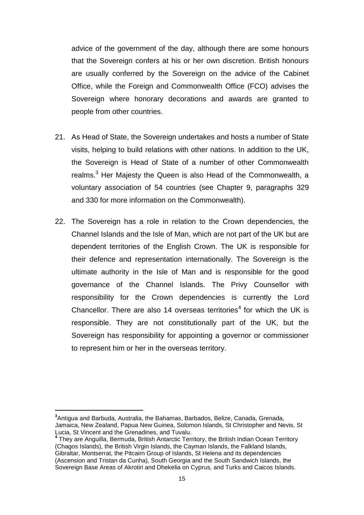advice of the government of the day, although there are some honours that the Sovereign confers at his or her own discretion. British honours are usually conferred by the Sovereign on the advice of the Cabinet Office, while the Foreign and Commonwealth Office (FCO) advises the Sovereign where honorary decorations and awards are granted to people from other countries.

- 21. As Head of State, the Sovereign undertakes and hosts a number of State visits, helping to build relations with other nations. In addition to the UK, the Sovereign is Head of State of a number of other Commonwealth realms.<sup>3</sup> Her Majesty the Queen is also Head of the Commonwealth, a voluntary association of 54 countries (see Chapter 9, paragraphs 329 and 330 for more information on the Commonwealth).
- 22. The Sovereign has a role in relation to the Crown dependencies, the Channel Islands and the Isle of Man, which are not part of the UK but are dependent territories of the English Crown. The UK is responsible for their defence and representation internationally. The Sovereign is the ultimate authority in the Isle of Man and is responsible for the good governance of the Channel Islands. The Privy Counsellor with responsibility for the Crown dependencies is currently the Lord Chancellor. There are also 14 overseas territories<sup>4</sup> for which the UK is responsible. They are not constitutionally part of the UK, but the Sovereign has responsibility for appointing a governor or commissioner to represent him or her in the overseas territory.

 **3** Antigua and Barbuda, Australia, the Bahamas, Barbados, Belize, Canada, Grenada, Jamaica, New Zealand, Papua New Guinea, Solomon Islands, St Christopher and Nevis, St Lucia, St Vincent and the Grenadines, and Tuvalu.

**<sup>4</sup>** They are Anguilla, Bermuda, British Antarctic Territory, the British Indian Ocean Territory (Chagos Islands), the British Virgin Islands, the Cayman Islands, the Falkland Islands, Gibraltar, Montserrat, the Pitcairn Group of Islands, St Helena and its dependencies (Ascension and Tristan da Cunha), South Georgia and the South Sandwich Islands, the Sovereign Base Areas of Akrotiri and Dhekelia on Cyprus, and Turks and Caicos Islands.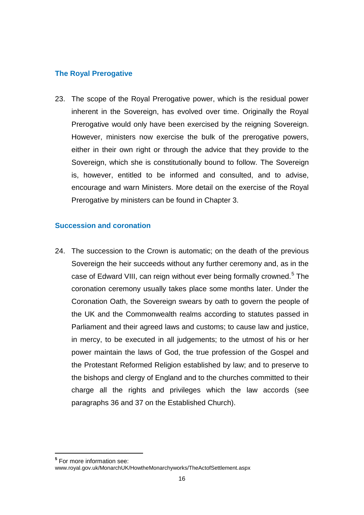# **The Royal Prerogative**

23. The scope of the Royal Prerogative power, which is the residual power inherent in the Sovereign, has evolved over time. Originally the Royal Prerogative would only have been exercised by the reigning Sovereign. However, ministers now exercise the bulk of the prerogative powers, either in their own right or through the advice that they provide to the Sovereign, which she is constitutionally bound to follow. The Sovereign is, however, entitled to be informed and consulted, and to advise, encourage and warn Ministers. More detail on the exercise of the Royal Prerogative by ministers can be found in Chapter 3.

# **Succession and coronation**

24. The succession to the Crown is automatic; on the death of the previous Sovereign the heir succeeds without any further ceremony and, as in the case of Edward VIII, can reign without ever being formally crowned.<sup>5</sup> The coronation ceremony usually takes place some months later. Under the Coronation Oath, the Sovereign swears by oath to govern the people of the UK and the Commonwealth realms according to statutes passed in Parliament and their agreed laws and customs; to cause law and justice, in mercy, to be executed in all judgements; to the utmost of his or her power maintain the laws of God, the true profession of the Gospel and the Protestant Reformed Religion established by law; and to preserve to the bishops and clergy of England and to the churches committed to their charge all the rights and privileges which the law accords (see paragraphs 36 and 37 on the Established Church).

**<sup>5</sup>** For more information see:

[www.royal.gov.uk/MonarchUK/HowtheMonarchyworks/TheActofSettlement.aspx](file://Client/Local%20Settings/Temp/AppData/Local/Local%20Settings/Temporary%20Internet%20Files/Content.Outlook/O5CBGTBL/www.royal.gov.uk/MonarchUK/HowtheMonarchyworks/TheActofSettlement.aspx)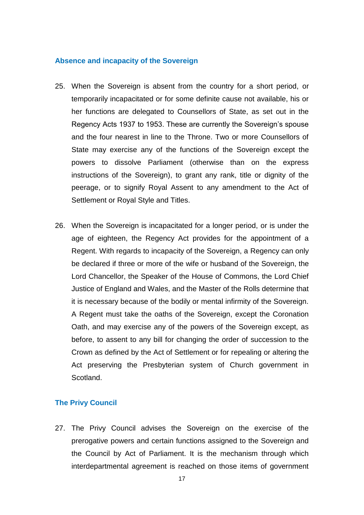#### **Absence and incapacity of the Sovereign**

- 25. When the Sovereign is absent from the country for a short period, or temporarily incapacitated or for some definite cause not available, his or her functions are delegated to Counsellors of State, as set out in the Regency Acts 1937 to 1953. These are currently the Sovereign"s spouse and the four nearest in line to the Throne. Two or more Counsellors of State may exercise any of the functions of the Sovereign except the powers to dissolve Parliament (otherwise than on the express instructions of the Sovereign), to grant any rank, title or dignity of the peerage, or to signify Royal Assent to any amendment to the Act of Settlement or Royal Style and Titles.
- 26. When the Sovereign is incapacitated for a longer period, or is under the age of eighteen, the Regency Act provides for the appointment of a Regent. With regards to incapacity of the Sovereign, a Regency can only be declared if three or more of the wife or husband of the Sovereign, the Lord Chancellor, the Speaker of the House of Commons, the Lord Chief Justice of England and Wales, and the Master of the Rolls determine that it is necessary because of the bodily or mental infirmity of the Sovereign. A Regent must take the oaths of the Sovereign, except the Coronation Oath, and may exercise any of the powers of the Sovereign except, as before, to assent to any bill for changing the order of succession to the Crown as defined by the Act of Settlement or for repealing or altering the Act preserving the Presbyterian system of Church government in Scotland.

#### **The Privy Council**

27. The Privy Council advises the Sovereign on the exercise of the prerogative powers and certain functions assigned to the Sovereign and the Council by Act of Parliament. It is the mechanism through which interdepartmental agreement is reached on those items of government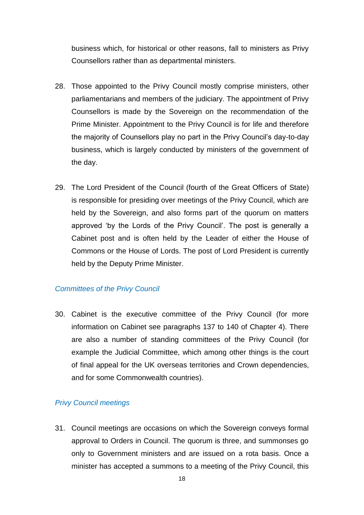business which, for historical or other reasons, fall to ministers as Privy Counsellors rather than as departmental ministers.

- 28. Those appointed to the Privy Council mostly comprise ministers, other parliamentarians and members of the judiciary. The appointment of Privy Counsellors is made by the Sovereign on the recommendation of the Prime Minister. Appointment to the Privy Council is for life and therefore the majority of Counsellors play no part in the Privy Council"s day-to-day business, which is largely conducted by ministers of the government of the day.
- 29. The Lord President of the Council (fourth of the Great Officers of State) is responsible for presiding over meetings of the Privy Council, which are held by the Sovereign, and also forms part of the quorum on matters approved "by the Lords of the Privy Council". The post is generally a Cabinet post and is often held by the Leader of either the House of Commons or the House of Lords. The post of Lord President is currently held by the Deputy Prime Minister.

#### *Committees of the Privy Council*

30. Cabinet is the executive committee of the Privy Council (for more information on Cabinet see paragraphs 137 to 140 of Chapter 4). There are also a number of standing committees of the Privy Council (for example the Judicial Committee, which among other things is the court of final appeal for the UK overseas territories and Crown dependencies, and for some Commonwealth countries).

# *Privy Council meetings*

31. Council meetings are occasions on which the Sovereign conveys formal approval to Orders in Council. The quorum is three, and summonses go only to Government ministers and are issued on a rota basis. Once a minister has accepted a summons to a meeting of the Privy Council, this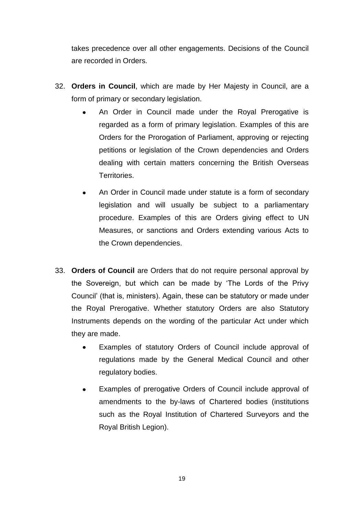takes precedence over all other engagements. Decisions of the Council are recorded in Orders.

- 32. **Orders in Council**, which are made by Her Majesty in Council, are a form of primary or secondary legislation.
	- An Order in Council made under the Royal Prerogative is regarded as a form of primary legislation. Examples of this are Orders for the Prorogation of Parliament, approving or rejecting petitions or legislation of the Crown dependencies and Orders dealing with certain matters concerning the British Overseas Territories.
	- An Order in Council made under statute is a form of secondary legislation and will usually be subject to a parliamentary procedure. Examples of this are Orders giving effect to UN Measures, or sanctions and Orders extending various Acts to the Crown dependencies.
- 33. **Orders of Council** are Orders that do not require personal approval by the Sovereign, but which can be made by "The Lords of the Privy Council" (that is, ministers). Again, these can be statutory or made under the Royal Prerogative. Whether statutory Orders are also Statutory Instruments depends on the wording of the particular Act under which they are made.
	- Examples of statutory Orders of Council include approval of regulations made by the General Medical Council and other regulatory bodies.
	- Examples of prerogative Orders of Council include approval of  $\bullet$ amendments to the by-laws of Chartered bodies (institutions such as the Royal Institution of Chartered Surveyors and the Royal British Legion).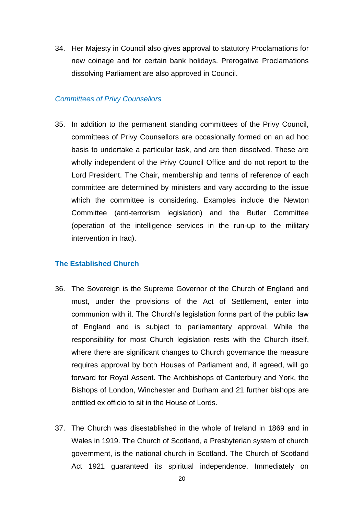34. Her Majesty in Council also gives approval to statutory Proclamations for new coinage and for certain bank holidays. Prerogative Proclamations dissolving Parliament are also approved in Council.

#### *Committees of Privy Counsellors*

35. In addition to the permanent standing committees of the Privy Council, committees of Privy Counsellors are occasionally formed on an ad hoc basis to undertake a particular task, and are then dissolved. These are wholly independent of the Privy Council Office and do not report to the Lord President. The Chair, membership and terms of reference of each committee are determined by ministers and vary according to the issue which the committee is considering. Examples include the Newton Committee (anti-terrorism legislation) and the Butler Committee (operation of the intelligence services in the run-up to the military intervention in Iraq).

#### **The Established Church**

- 36. The Sovereign is the Supreme Governor of the Church of England and must, under the provisions of the Act of Settlement, enter into communion with it. The Church"s legislation forms part of the public law of England and is subject to parliamentary approval. While the responsibility for most Church legislation rests with the Church itself, where there are significant changes to Church governance the measure requires approval by both Houses of Parliament and, if agreed, will go forward for Royal Assent. The Archbishops of Canterbury and York, the Bishops of London, Winchester and Durham and 21 further bishops are entitled ex officio to sit in the House of Lords.
- 37. The Church was disestablished in the whole of Ireland in 1869 and in Wales in 1919. The Church of Scotland, a Presbyterian system of church government, is the national church in Scotland. The Church of Scotland Act 1921 guaranteed its spiritual independence. Immediately on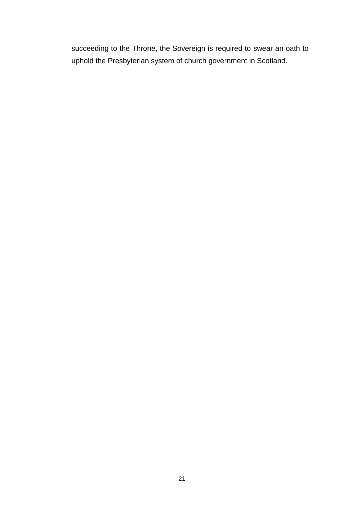succeeding to the Throne, the Sovereign is required to swear an oath to uphold the Presbyterian system of church government in Scotland.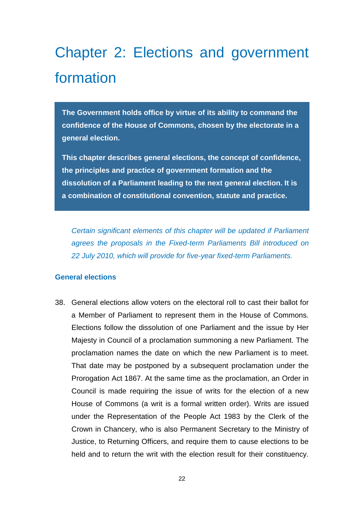# Chapter 2: Elections and government formation

**The Government holds office by virtue of its ability to command the confidence of the House of Commons, chosen by the electorate in a general election.** 

**This chapter describes general elections, the concept of confidence, the principles and practice of government formation and the dissolution of a Parliament leading to the next general election. It is a combination of constitutional convention, statute and practice.**

*Certain significant elements of this chapter will be updated if Parliament agrees the proposals in the Fixed-term Parliaments Bill introduced on 22 July 2010, which will provide for five-year fixed-term Parliaments.*

# **General elections**

38. General elections allow voters on the electoral roll to cast their ballot for a Member of Parliament to represent them in the House of Commons. Elections follow the dissolution of one Parliament and the issue by Her Majesty in Council of a proclamation summoning a new Parliament. The proclamation names the date on which the new Parliament is to meet. That date may be postponed by a subsequent proclamation under the Prorogation Act 1867. At the same time as the proclamation, an Order in Council is made requiring the issue of writs for the election of a new House of Commons (a writ is a formal written order). Writs are issued under the Representation of the People Act 1983 by the Clerk of the Crown in Chancery, who is also Permanent Secretary to the Ministry of Justice, to Returning Officers, and require them to cause elections to be held and to return the writ with the election result for their constituency.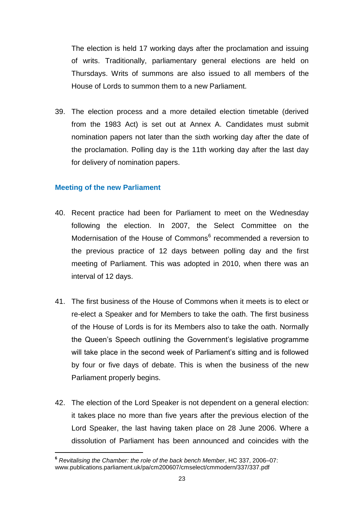The election is held 17 working days after the proclamation and issuing of writs. Traditionally, parliamentary general elections are held on Thursdays. Writs of summons are also issued to all members of the House of Lords to summon them to a new Parliament.

39. The election process and a more detailed election timetable (derived from the 1983 Act) is set out at Annex A. Candidates must submit nomination papers not later than the sixth working day after the date of the proclamation. Polling day is the 11th working day after the last day for delivery of nomination papers.

# **Meeting of the new Parliament**

- 40. Recent practice had been for Parliament to meet on the Wednesday following the election. In 2007, the Select Committee on the Modernisation of the House of Commons<sup>6</sup> recommended a reversion to the previous practice of 12 days between polling day and the first meeting of Parliament. This was adopted in 2010, when there was an interval of 12 days.
- 41. The first business of the House of Commons when it meets is to elect or re-elect a Speaker and for Members to take the oath. The first business of the House of Lords is for its Members also to take the oath. Normally the Queen"s Speech outlining the Government"s legislative programme will take place in the second week of Parliament's sitting and is followed by four or five days of debate. This is when the business of the new Parliament properly begins.
- 42. The election of the Lord Speaker is not dependent on a general election: it takes place no more than five years after the previous election of the Lord Speaker, the last having taken place on 28 June 2006. Where a dissolution of Parliament has been announced and coincides with the

 **<sup>6</sup>** *Revitalising the Chamber: the role of the back bench Member*, HC 337, 2006–07: [www.publications.parliament.uk/pa/cm200607/cmselect/cmmodern/337/337.pdf](file://Client/Local%20Settings/Temp/AppData/Local/Local%20Settings/Temporary%20Internet%20Files/Content.Outlook/O5CBGTBL/www.publications.parliament.uk/pa/cm200607/cmselect/cmmodern/337/337.pdf)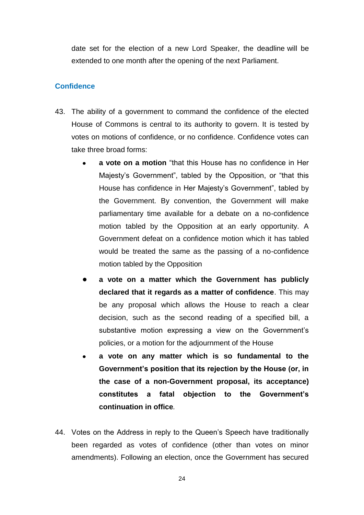date set for the election of a new Lord Speaker, the deadline will be extended to one month after the opening of the next Parliament.

# **Confidence**

- 43. The ability of a government to command the confidence of the elected House of Commons is central to its authority to govern. It is tested by votes on motions of confidence, or no confidence. Confidence votes can take three broad forms:
	- **a vote on a motion** "that this House has no confidence in Her Majesty"s Government", tabled by the Opposition, or "that this House has confidence in Her Majesty"s Government", tabled by the Government. By convention, the Government will make parliamentary time available for a debate on a no-confidence motion tabled by the Opposition at an early opportunity. A Government defeat on a confidence motion which it has tabled would be treated the same as the passing of a no-confidence motion tabled by the Opposition
	- **a vote on a matter which the Government has publicly declared that it regards as a matter of confidence**. This may be any proposal which allows the House to reach a clear decision, such as the second reading of a specified bill, a substantive motion expressing a view on the Government's policies, or a motion for the adjournment of the House
	- **a vote on any matter which is so fundamental to the Government's position that its rejection by the House (or, in the case of a non-Government proposal, its acceptance) constitutes a fatal objection to the Government's continuation in office***.*
- 44. Votes on the Address in reply to the Queen"s Speech have traditionally been regarded as votes of confidence (other than votes on minor amendments). Following an election, once the Government has secured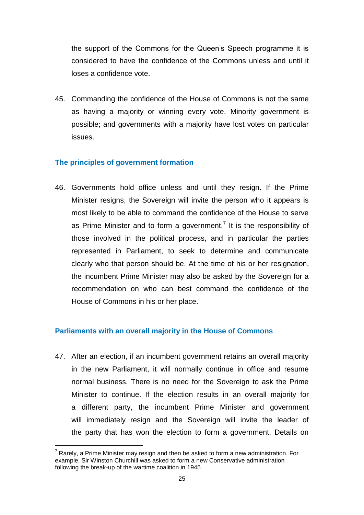the support of the Commons for the Queen"s Speech programme it is considered to have the confidence of the Commons unless and until it loses a confidence vote.

45. Commanding the confidence of the House of Commons is not the same as having a majority or winning every vote. Minority government is possible; and governments with a majority have lost votes on particular issues.

# **The principles of government formation**

46. Governments hold office unless and until they resign. If the Prime Minister resigns, the Sovereign will invite the person who it appears is most likely to be able to command the confidence of the House to serve as Prime Minister and to form a government.<sup>7</sup> It is the responsibility of those involved in the political process, and in particular the parties represented in Parliament, to seek to determine and communicate clearly who that person should be. At the time of his or her resignation, the incumbent Prime Minister may also be asked by the Sovereign for a recommendation on who can best command the confidence of the House of Commons in his or her place.

# **Parliaments with an overall majority in the House of Commons**

47. After an election, if an incumbent government retains an overall majority in the new Parliament, it will normally continue in office and resume normal business. There is no need for the Sovereign to ask the Prime Minister to continue. If the election results in an overall majority for a different party, the incumbent Prime Minister and government will immediately resign and the Sovereign will invite the leader of the party that has won the election to form a government. Details on

  $<sup>7</sup>$  Rarely, a Prime Minister may resign and then be asked to form a new administration. For</sup> example, Sir Winston Churchill was asked to form a new Conservative administration following the break-up of the wartime coalition in 1945.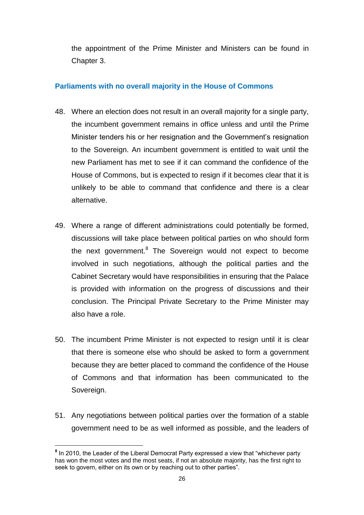the appointment of the Prime Minister and Ministers can be found in Chapter 3.

# **Parliaments with no overall majority in the House of Commons**

- 48. Where an election does not result in an overall majority for a single party, the incumbent government remains in office unless and until the Prime Minister tenders his or her resignation and the Government's resignation to the Sovereign. An incumbent government is entitled to wait until the new Parliament has met to see if it can command the confidence of the House of Commons, but is expected to resign if it becomes clear that it is unlikely to be able to command that confidence and there is a clear alternative.
- 49. Where a range of different administrations could potentially be formed, discussions will take place between political parties on who should form the next government.<sup>8</sup> The Sovereign would not expect to become involved in such negotiations, although the political parties and the Cabinet Secretary would have responsibilities in ensuring that the Palace is provided with information on the progress of discussions and their conclusion. The Principal Private Secretary to the Prime Minister may also have a role.
- 50. The incumbent Prime Minister is not expected to resign until it is clear that there is someone else who should be asked to form a government because they are better placed to command the confidence of the House of Commons and that information has been communicated to the Sovereign.
- 51. Any negotiations between political parties over the formation of a stable government need to be as well informed as possible, and the leaders of

 **8** In 2010, the Leader of the Liberal Democrat Party expressed a view that "whichever party has won the most votes and the most seats, if not an absolute majority, has the first right to seek to govern, either on its own or by reaching out to other parties".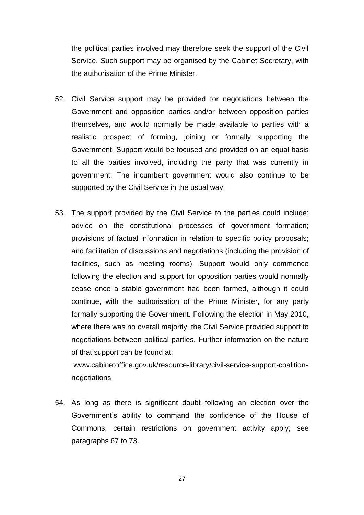the political parties involved may therefore seek the support of the Civil Service. Such support may be organised by the Cabinet Secretary, with the authorisation of the Prime Minister.

- 52. Civil Service support may be provided for negotiations between the Government and opposition parties and/or between opposition parties themselves, and would normally be made available to parties with a realistic prospect of forming, joining or formally supporting the Government. Support would be focused and provided on an equal basis to all the parties involved, including the party that was currently in government. The incumbent government would also continue to be supported by the Civil Service in the usual way.
- 53. The support provided by the Civil Service to the parties could include: advice on the constitutional processes of government formation; provisions of factual information in relation to specific policy proposals; and facilitation of discussions and negotiations (including the provision of facilities, such as meeting rooms). Support would only commence following the election and support for opposition parties would normally cease once a stable government had been formed, although it could continue, with the authorisation of the Prime Minister, for any party formally supporting the Government. Following the election in May 2010, where there was no overall majority, the Civil Service provided support to negotiations between political parties. Further information on the nature of that support can be found at:

[www.cabinetoffice.gov.uk/resource-library/civil-service-support-coalition](http://www.cabinetoffice.gov.uk/resource-library/civil-service-support-coalition-)negotiations

54. As long as there is significant doubt following an election over the Government"s ability to command the confidence of the House of Commons, certain restrictions on government activity apply; see paragraphs 67 to 73.

27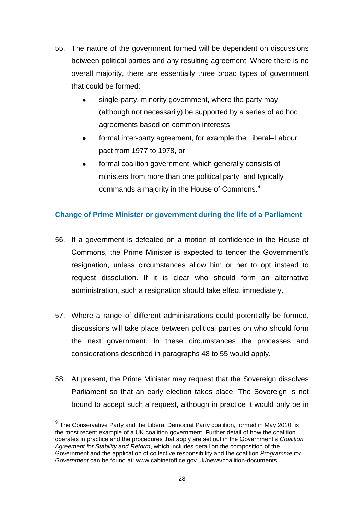- 55. The nature of the government formed will be dependent on discussions between political parties and any resulting agreement. Where there is no overall majority, there are essentially three broad types of government that could be formed:
	- single-party, minority government, where the party may (although not necessarily) be supported by a series of ad hoc agreements based on common interests
	- formal inter-party agreement, for example the Liberal–Labour pact from 1977 to 1978, or
	- formal coalition government, which generally consists of  $\bullet$ ministers from more than one political party, and typically commands a majority in the House of Commons.<sup>9</sup>

# **Change of Prime Minister or government during the life of a Parliament**

- 56. If a government is defeated on a motion of confidence in the House of Commons, the Prime Minister is expected to tender the Government"s resignation, unless circumstances allow him or her to opt instead to request dissolution. If it is clear who should form an alternative administration, such a resignation should take effect immediately.
- 57. Where a range of different administrations could potentially be formed, discussions will take place between political parties on who should form the next government. In these circumstances the processes and considerations described in paragraphs 48 to 55 would apply.
- 58. At present, the Prime Minister may request that the Sovereign dissolves Parliament so that an early election takes place. The Sovereign is not bound to accept such a request, although in practice it would only be in

 $9$  The Conservative Party and the Liberal Democrat Party coalition, formed in May 2010, is the most recent example of a UK coalition government. Further detail of how the coalition operates in practice and the procedures that apply are set out in the Government"s *Coalition Agreement for Stability and Reform*, which includes detail on the composition of the Government and the application of collective responsibility and the coalition *Programme for Government* can be found at: www.cabinetoffice.gov.uk/news/coalition-documents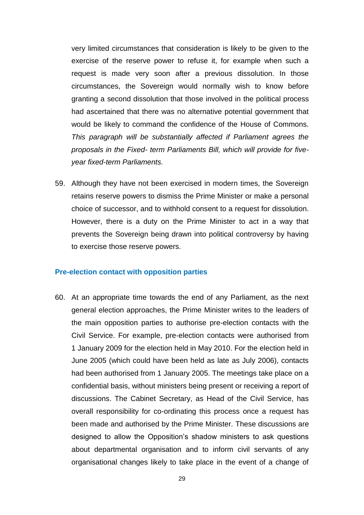very limited circumstances that consideration is likely to be given to the exercise of the reserve power to refuse it, for example when such a request is made very soon after a previous dissolution. In those circumstances, the Sovereign would normally wish to know before granting a second dissolution that those involved in the political process had ascertained that there was no alternative potential government that would be likely to command the confidence of the House of Commons. *This paragraph will be substantially affected if Parliament agrees the proposals in the Fixed- term Parliaments Bill, which will provide for fiveyear fixed-term Parliaments.*

59. Although they have not been exercised in modern times, the Sovereign retains reserve powers to dismiss the Prime Minister or make a personal choice of successor, and to withhold consent to a request for dissolution. However, there is a duty on the Prime Minister to act in a way that prevents the Sovereign being drawn into political controversy by having to exercise those reserve powers.

#### **Pre-election contact with opposition parties**

60. At an appropriate time towards the end of any Parliament, as the next general election approaches, the Prime Minister writes to the leaders of the main opposition parties to authorise pre-election contacts with the Civil Service. For example, pre-election contacts were authorised from 1 January 2009 for the election held in May 2010. For the election held in June 2005 (which could have been held as late as July 2006), contacts had been authorised from 1 January 2005. The meetings take place on a confidential basis, without ministers being present or receiving a report of discussions. The Cabinet Secretary, as Head of the Civil Service, has overall responsibility for co-ordinating this process once a request has been made and authorised by the Prime Minister. These discussions are designed to allow the Opposition"s shadow ministers to ask questions about departmental organisation and to inform civil servants of any organisational changes likely to take place in the event of a change of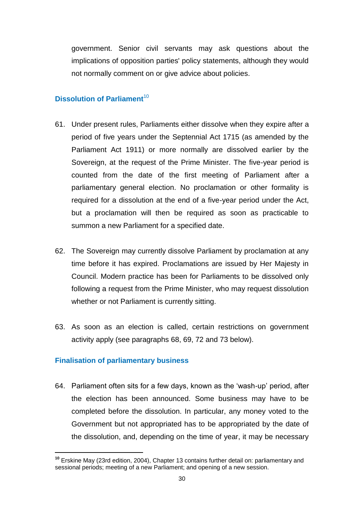government. Senior civil servants may ask questions about the implications of opposition parties' policy statements, although they would not normally comment on or give advice about policies.

# **Dissolution of Parliament**<sup>10</sup>

- 61. Under present rules, Parliaments either dissolve when they expire after a period of five years under the Septennial Act 1715 (as amended by the Parliament Act 1911) or more normally are dissolved earlier by the Sovereign, at the request of the Prime Minister. The five-year period is counted from the date of the first meeting of Parliament after a parliamentary general election. No proclamation or other formality is required for a dissolution at the end of a five-year period under the Act, but a proclamation will then be required as soon as practicable to summon a new Parliament for a specified date.
- 62. The Sovereign may currently dissolve Parliament by proclamation at any time before it has expired. Proclamations are issued by Her Majesty in Council. Modern practice has been for Parliaments to be dissolved only following a request from the Prime Minister, who may request dissolution whether or not Parliament is currently sitting.
- 63. As soon as an election is called, certain restrictions on government activity apply (see paragraphs 68, 69, 72 and 73 below).

# **Finalisation of parliamentary business**

64. Parliament often sits for a few days, known as the "wash-up" period, after the election has been announced. Some business may have to be completed before the dissolution. In particular, any money voted to the Government but not appropriated has to be appropriated by the date of the dissolution, and, depending on the time of year, it may be necessary

**<sup>10</sup>** Erskine May (23rd edition, 2004), Chapter 13 contains further detail on: parliamentary and sessional periods; meeting of a new Parliament; and opening of a new session.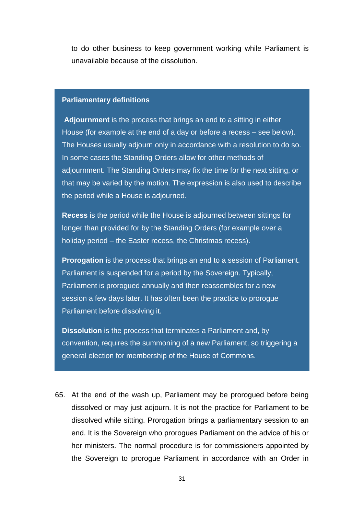to do other business to keep government working while Parliament is unavailable because of the dissolution.

#### **Parliamentary definitions**

**Adjournment** is the process that brings an end to a sitting in either House (for example at the end of a day or before a recess – see below). The Houses usually adjourn only in accordance with a resolution to do so. In some cases the Standing Orders allow for other methods of adjournment. The Standing Orders may fix the time for the next sitting, or that may be varied by the motion. The expression is also used to describe the period while a House is adjourned.

**Recess** is the period while the House is adjourned between sittings for longer than provided for by the Standing Orders (for example over a holiday period – the Easter recess, the Christmas recess).

**Prorogation** is the process that brings an end to a session of Parliament. Parliament is suspended for a period by the Sovereign. Typically, Parliament is prorogued annually and then reassembles for a new session a few days later. It has often been the practice to prorogue Parliament before dissolving it.

**Dissolution** is the process that terminates a Parliament and, by convention, requires the summoning of a new Parliament, so triggering a general election for membership of the House of Commons.

65. At the end of the wash up, Parliament may be prorogued before being dissolved or may just adjourn. It is not the practice for Parliament to be dissolved while sitting. Prorogation brings a parliamentary session to an end. It is the Sovereign who prorogues Parliament on the advice of his or her ministers. The normal procedure is for commissioners appointed by the Sovereign to prorogue Parliament in accordance with an Order in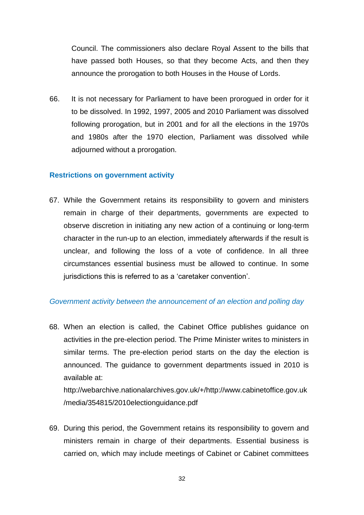Council. The commissioners also declare Royal Assent to the bills that have passed both Houses, so that they become Acts, and then they announce the prorogation to both Houses in the House of Lords.

66. It is not necessary for Parliament to have been prorogued in order for it to be dissolved. In 1992, 1997, 2005 and 2010 Parliament was dissolved following prorogation, but in 2001 and for all the elections in the 1970s and 1980s after the 1970 election, Parliament was dissolved while adjourned without a prorogation.

#### **Restrictions on government activity**

67. While the Government retains its responsibility to govern and ministers remain in charge of their departments, governments are expected to observe discretion in initiating any new action of a continuing or long-term character in the run-up to an election, immediately afterwards if the result is unclear, and following the loss of a vote of confidence. In all three circumstances essential business must be allowed to continue. In some jurisdictions this is referred to as a "caretaker convention".

# *Government activity between the announcement of an election and polling day*

68. When an election is called, the Cabinet Office publishes guidance on activities in the pre-election period. The Prime Minister writes to ministers in similar terms. The pre-election period starts on the day the election is announced. The guidance to government departments issued in 2010 is available at:

[http://webarchive.nationalarchives.gov.uk/+/http://www.cabinetoffice.gov.uk](http://webarchive.nationalarchives.gov.uk/+/http:/www.cabinetoffice.gov.uk/media/354815/2010electionguidance.pdf) [/media/354815/2010electionguidance.pdf](http://webarchive.nationalarchives.gov.uk/+/http:/www.cabinetoffice.gov.uk/media/354815/2010electionguidance.pdf)

69. During this period, the Government retains its responsibility to govern and ministers remain in charge of their departments. Essential business is carried on, which may include meetings of Cabinet or Cabinet committees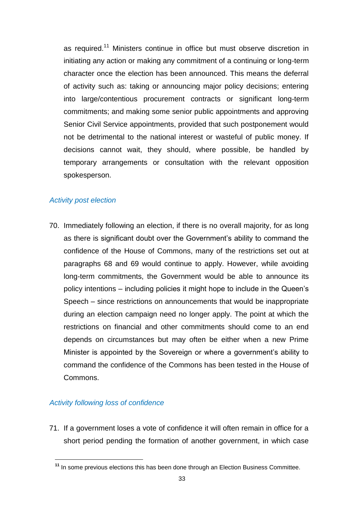as required.<sup>11</sup> Ministers continue in office but must observe discretion in initiating any action or making any commitment of a continuing or long-term character once the election has been announced. This means the deferral of activity such as: taking or announcing major policy decisions; entering into large/contentious procurement contracts or significant long-term commitments; and making some senior public appointments and approving Senior Civil Service appointments, provided that such postponement would not be detrimental to the national interest or wasteful of public money. If decisions cannot wait, they should, where possible, be handled by temporary arrangements or consultation with the relevant opposition spokesperson.

# *Activity post election*

70. Immediately following an election, if there is no overall majority, for as long as there is significant doubt over the Government's ability to command the confidence of the House of Commons, many of the restrictions set out at paragraphs 68 and 69 would continue to apply. However, while avoiding long-term commitments, the Government would be able to announce its policy intentions – including policies it might hope to include in the Queen"s Speech – since restrictions on announcements that would be inappropriate during an election campaign need no longer apply. The point at which the restrictions on financial and other commitments should come to an end depends on circumstances but may often be either when a new Prime Minister is appointed by the Sovereign or where a government"s ability to command the confidence of the Commons has been tested in the House of Commons.

# *Activity following loss of confidence*

71. If a government loses a vote of confidence it will often remain in office for a short period pending the formation of another government, in which case

**<sup>11</sup>** In some previous elections this has been done through an Election Business Committee.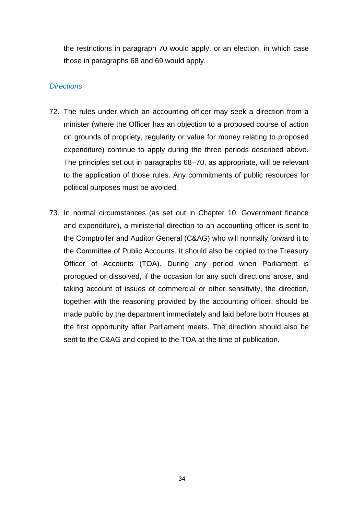the restrictions in paragraph 70 would apply, or an election, in which case those in paragraphs 68 and 69 would apply.

### *Directions*

- 72. The rules under which an accounting officer may seek a direction from a minister (where the Officer has an objection to a proposed course of action on grounds of propriety, regularity or value for money relating to proposed expenditure) continue to apply during the three periods described above. The principles set out in paragraphs 68–70, as appropriate, will be relevant to the application of those rules. Any commitments of public resources for political purposes must be avoided.
- 73. In normal circumstances (as set out in Chapter 10: Government finance and expenditure), a ministerial direction to an accounting officer is sent to the Comptroller and Auditor General (C&AG) who will normally forward it to the Committee of Public Accounts. It should also be copied to the Treasury Officer of Accounts (TOA). During any period when Parliament is prorogued or dissolved, if the occasion for any such directions arose, and taking account of issues of commercial or other sensitivity, the direction, together with the reasoning provided by the accounting officer, should be made public by the department immediately and laid before both Houses at the first opportunity after Parliament meets. The direction should also be sent to the C&AG and copied to the TOA at the time of publication.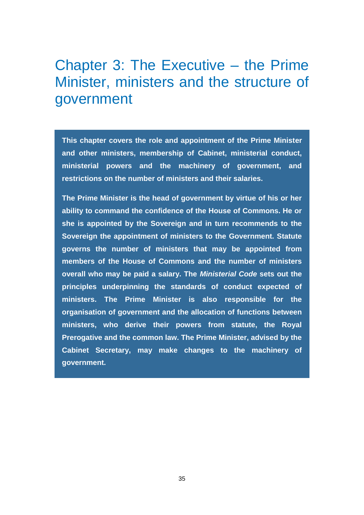# Chapter 3: The Executive – the Prime Minister, ministers and the structure of government

**This chapter covers the role and appointment of the Prime Minister and other ministers, membership of Cabinet, ministerial conduct, ministerial powers and the machinery of government, and restrictions on the number of ministers and their salaries.**

**The Prime Minister is the head of government by virtue of his or her ability to command the confidence of the House of Commons. He or she is appointed by the Sovereign and in turn recommends to the Sovereign the appointment of ministers to the Government. Statute governs the number of ministers that may be appointed from members of the House of Commons and the number of ministers overall who may be paid a salary. The** *Ministerial Code* **sets out the principles underpinning the standards of conduct expected of ministers. The Prime Minister is also responsible for the organisation of government and the allocation of functions between ministers, who derive their powers from statute, the Royal Prerogative and the common law. The Prime Minister, advised by the Cabinet Secretary, may make changes to the machinery of government.**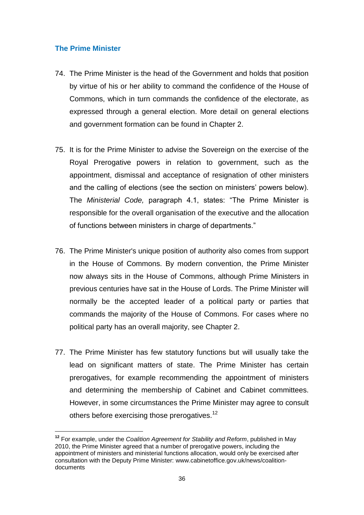# **The Prime Minister**

- 74. The Prime Minister is the head of the Government and holds that position by virtue of his or her ability to command the confidence of the House of Commons, which in turn commands the confidence of the electorate, as expressed through a general election. More detail on general elections and government formation can be found in Chapter 2.
- 75. It is for the Prime Minister to advise the Sovereign on the exercise of the Royal Prerogative powers in relation to government, such as the appointment, dismissal and acceptance of resignation of other ministers and the calling of elections (see the section on ministers' powers below). The *Ministerial Code,* paragraph 4.1, states: "The Prime Minister is responsible for the overall organisation of the executive and the allocation of functions between ministers in charge of departments."
- 76. The Prime Minister's unique position of authority also comes from support in the House of Commons. By modern convention, the Prime Minister now always sits in the House of Commons, although Prime Ministers in previous centuries have sat in the House of Lords. The Prime Minister will normally be the accepted leader of a political party or parties that commands the majority of the House of Commons. For cases where no political party has an overall majority, see Chapter 2.
- 77. The Prime Minister has few statutory functions but will usually take the lead on significant matters of state. The Prime Minister has certain prerogatives, for example recommending the appointment of ministers and determining the membership of Cabinet and Cabinet committees. However, in some circumstances the Prime Minister may agree to consult others before exercising those prerogatives.<sup>12</sup>

**<sup>12</sup>** For example, under the *Coalition Agreement for Stability and Reform*, published in May 2010, the Prime Minister agreed that a number of prerogative powers, including the appointment of ministers and ministerial functions allocation, would only be exercised after consultation with the Deputy Prime Minister: www.cabinetoffice.gov.uk/news/coalitiondocuments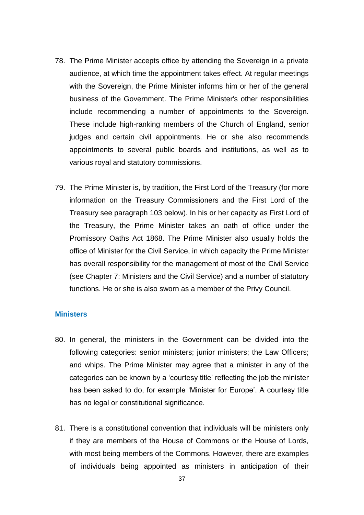- 78. The Prime Minister accepts office by attending the Sovereign in a private audience, at which time the appointment takes effect. At regular meetings with the Sovereign, the Prime Minister informs him or her of the general business of the Government. The Prime Minister's other responsibilities include recommending a number of appointments to the Sovereign. These include high-ranking members of the Church of England, senior judges and certain civil appointments. He or she also recommends appointments to several public boards and institutions, as well as to various royal and statutory commissions.
- 79. The Prime Minister is, by tradition, the First Lord of the Treasury (for more information on the Treasury Commissioners and the First Lord of the Treasury see paragraph 103 below). In his or her capacity as First Lord of the Treasury, the Prime Minister takes an oath of office under the Promissory Oaths Act 1868. The Prime Minister also usually holds the office of Minister for the Civil Service, in which capacity the Prime Minister has overall responsibility for the management of most of the Civil Service (see Chapter 7: Ministers and the Civil Service) and a number of statutory functions. He or she is also sworn as a member of the Privy Council.

#### **Ministers**

- 80. In general, the ministers in the Government can be divided into the following categories: senior ministers; junior ministers; the Law Officers; and whips. The Prime Minister may agree that a minister in any of the categories can be known by a "courtesy title" reflecting the job the minister has been asked to do, for example 'Minister for Europe'. A courtesy title has no legal or constitutional significance.
- 81. There is a constitutional convention that individuals will be ministers only if they are members of the House of Commons or the House of Lords, with most being members of the Commons. However, there are examples of individuals being appointed as ministers in anticipation of their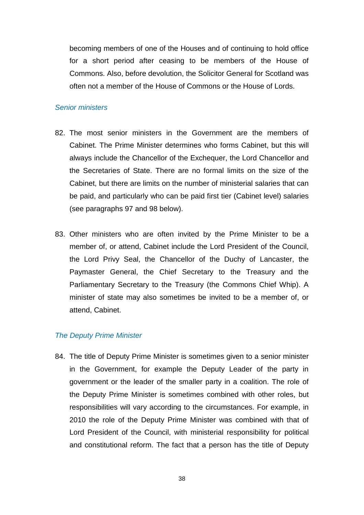becoming members of one of the Houses and of continuing to hold office for a short period after ceasing to be members of the House of Commons. Also, before devolution, the Solicitor General for Scotland was often not a member of the House of Commons or the House of Lords.

#### *Senior ministers*

- 82. The most senior ministers in the Government are the members of Cabinet. The Prime Minister determines who forms Cabinet, but this will always include the Chancellor of the Exchequer, the Lord Chancellor and the Secretaries of State. There are no formal limits on the size of the Cabinet, but there are limits on the number of ministerial salaries that can be paid, and particularly who can be paid first tier (Cabinet level) salaries (see paragraphs 97 and 98 below).
- 83. Other ministers who are often invited by the Prime Minister to be a member of, or attend, Cabinet include the Lord President of the Council, the Lord Privy Seal, the Chancellor of the Duchy of Lancaster, the Paymaster General, the Chief Secretary to the Treasury and the Parliamentary Secretary to the Treasury (the Commons Chief Whip). A minister of state may also sometimes be invited to be a member of, or attend, Cabinet.

#### *The Deputy Prime Minister*

84. The title of Deputy Prime Minister is sometimes given to a senior minister in the Government, for example the Deputy Leader of the party in government or the leader of the smaller party in a coalition. The role of the Deputy Prime Minister is sometimes combined with other roles, but responsibilities will vary according to the circumstances. For example, in 2010 the role of the Deputy Prime Minister was combined with that of Lord President of the Council, with ministerial responsibility for political and constitutional reform. The fact that a person has the title of Deputy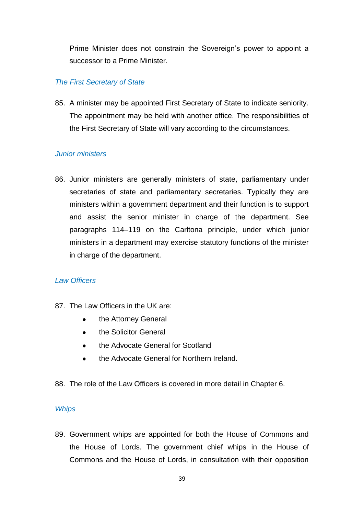Prime Minister does not constrain the Sovereign"s power to appoint a successor to a Prime Minister.

# *The First Secretary of State*

85. A minister may be appointed First Secretary of State to indicate seniority. The appointment may be held with another office. The responsibilities of the First Secretary of State will vary according to the circumstances.

## *Junior ministers*

86. Junior ministers are generally ministers of state, parliamentary under secretaries of state and parliamentary secretaries. Typically they are ministers within a government department and their function is to support and assist the senior minister in charge of the department. See paragraphs 114–119 on the Carltona principle, under which junior ministers in a department may exercise statutory functions of the minister in charge of the department.

# *Law Officers*

- 87. The Law Officers in the UK are:
	- $\bullet$ the Attorney General
	- the Solicitor General  $\bullet$  .
	- the Advocate General for Scotland  $\bullet$
	- the Advocate General for Northern Ireland.
- 88. The role of the Law Officers is covered in more detail in Chapter 6.

# *Whips*

89. Government whips are appointed for both the House of Commons and the House of Lords. The government chief whips in the House of Commons and the House of Lords, in consultation with their opposition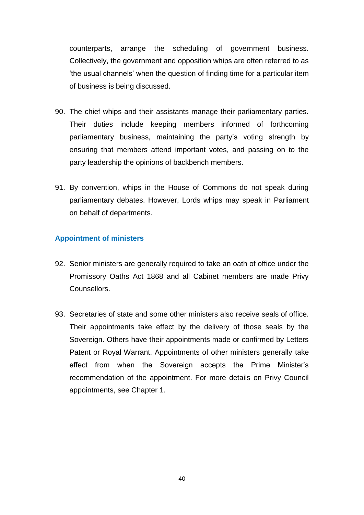counterparts, arrange the scheduling of government business. Collectively, the government and opposition whips are often referred to as "the usual channels" when the question of finding time for a particular item of business is being discussed.

- 90. The chief whips and their assistants manage their parliamentary parties. Their duties include keeping members informed of forthcoming parliamentary business, maintaining the party"s voting strength by ensuring that members attend important votes, and passing on to the party leadership the opinions of backbench members.
- 91. By convention, whips in the House of Commons do not speak during parliamentary debates. However, Lords whips may speak in Parliament on behalf of departments.

# **Appointment of ministers**

- 92. Senior ministers are generally required to take an oath of office under the Promissory Oaths Act 1868 and all Cabinet members are made Privy Counsellors.
- 93. Secretaries of state and some other ministers also receive seals of office. Their appointments take effect by the delivery of those seals by the Sovereign. Others have their appointments made or confirmed by Letters Patent or Royal Warrant. Appointments of other ministers generally take effect from when the Sovereign accepts the Prime Minister"s recommendation of the appointment. For more details on Privy Council appointments, see Chapter 1.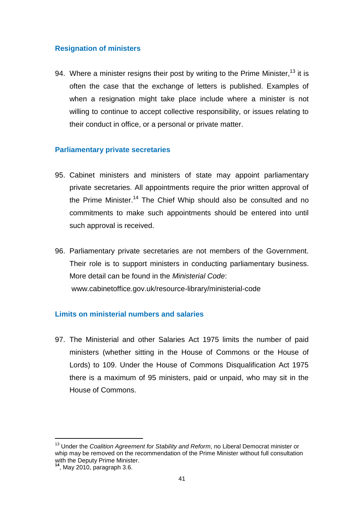# **Resignation of ministers**

94. Where a minister resigns their post by writing to the Prime Minister,  $13$  it is often the case that the exchange of letters is published. Examples of when a resignation might take place include where a minister is not willing to continue to accept collective responsibility, or issues relating to their conduct in office, or a personal or private matter.

# **Parliamentary private secretaries**

- 95. Cabinet ministers and ministers of state may appoint parliamentary private secretaries. All appointments require the prior written approval of the Prime Minister.<sup>14</sup> The Chief Whip should also be consulted and no commitments to make such appointments should be entered into until such approval is received.
- 96. Parliamentary private secretaries are not members of the Government. Their role is to support ministers in conducting parliamentary business. More detail can be found in the *Ministerial Code*: www.cabinetoffice.gov.uk/resource-library/ministerial-code

# **Limits on ministerial numbers and salaries**

97. The Ministerial and other Salaries Act 1975 limits the number of paid ministers (whether sitting in the House of Commons or the House of Lords) to 109. Under the House of Commons Disqualification Act 1975 there is a maximum of 95 ministers, paid or unpaid, who may sit in the House of Commons.

<sup>13</sup> Under the *Coalition Agreement for Stability and Reform*, no Liberal Democrat minister or whip may be removed on the recommendation of the Prime Minister without full consultation with the Deputy Prime Minister.

**<sup>14</sup>**, May 2010, paragraph 3.6.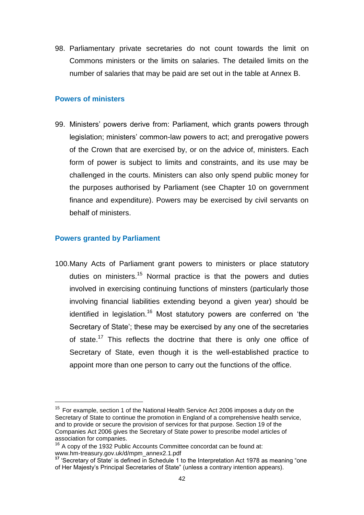98. Parliamentary private secretaries do not count towards the limit on Commons ministers or the limits on salaries. The detailed limits on the number of salaries that may be paid are set out in the table at Annex B.

#### **Powers of ministers**

99. Ministers" powers derive from: Parliament, which grants powers through legislation; ministers' common-law powers to act; and prerogative powers of the Crown that are exercised by, or on the advice of, ministers. Each form of power is subject to limits and constraints, and its use may be challenged in the courts. Ministers can also only spend public money for the purposes authorised by Parliament (see Chapter 10 on government finance and expenditure). Powers may be exercised by civil servants on behalf of ministers.

#### **Powers granted by Parliament**

100.Many Acts of Parliament grant powers to ministers or place statutory duties on ministers.<sup>15</sup> Normal practice is that the powers and duties involved in exercising continuing functions of minsters (particularly those involving financial liabilities extending beyond a given year) should be identified in legislation.<sup>16</sup> Most statutory powers are conferred on 'the Secretary of State'; these may be exercised by any one of the secretaries of state.<sup>17</sup> This reflects the doctrine that there is only one office of Secretary of State, even though it is the well-established practice to appoint more than one person to carry out the functions of the office.

 $15$  For example, section 1 of the National Health Service Act 2006 imposes a duty on the Secretary of State to continue the promotion in England of a comprehensive health service, and to provide or secure the provision of services for that purpose. Section 19 of the Companies Act 2006 gives the Secretary of State power to prescribe model articles of association for companies.

 $16$  A copy of the 1932 Public Accounts Committee concordat can be found at: [www.hm-treasury.gov.uk/d/mpm\\_annex2.1.pdf](file://Client/Local%20Settings/Temp/AppData/Local/Local%20Settings/Temporary%20Internet%20Files/Content.Outlook/O5CBGTBL/www.hm-treasury.gov.uk/d/mpm_annex2.1.pdf)

**<sup>17</sup>** "Secretary of State" is defined in Schedule 1 to the Interpretation Act 1978 as meaning "one of Her Majesty"s Principal Secretaries of State" (unless a contrary intention appears).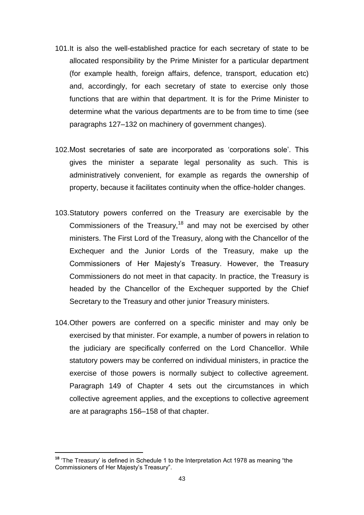- 101.It is also the well-established practice for each secretary of state to be allocated responsibility by the Prime Minister for a particular department (for example health, foreign affairs, defence, transport, education etc) and, accordingly, for each secretary of state to exercise only those functions that are within that department. It is for the Prime Minister to determine what the various departments are to be from time to time (see paragraphs 127–132 on machinery of government changes).
- 102.Most secretaries of sate are incorporated as "corporations sole". This gives the minister a separate legal personality as such. This is administratively convenient, for example as regards the ownership of property, because it facilitates continuity when the office-holder changes.
- 103.Statutory powers conferred on the Treasury are exercisable by the Commissioners of the Treasury,<sup>18</sup> and may not be exercised by other ministers. The First Lord of the Treasury, along with the Chancellor of the Exchequer and the Junior Lords of the Treasury, make up the Commissioners of Her Majesty"s Treasury. However, the Treasury Commissioners do not meet in that capacity. In practice, the Treasury is headed by the Chancellor of the Exchequer supported by the Chief Secretary to the Treasury and other junior Treasury ministers.
- 104.Other powers are conferred on a specific minister and may only be exercised by that minister. For example, a number of powers in relation to the judiciary are specifically conferred on the Lord Chancellor. While statutory powers may be conferred on individual ministers, in practice the exercise of those powers is normally subject to collective agreement. Paragraph 149 of Chapter 4 sets out the circumstances in which collective agreement applies, and the exceptions to collective agreement are at paragraphs 156–158 of that chapter.

<sup>&</sup>lt;sup>18</sup> 'The Treasury' is defined in Schedule 1 to the Interpretation Act 1978 as meaning "the Commissioners of Her Majesty"s Treasury".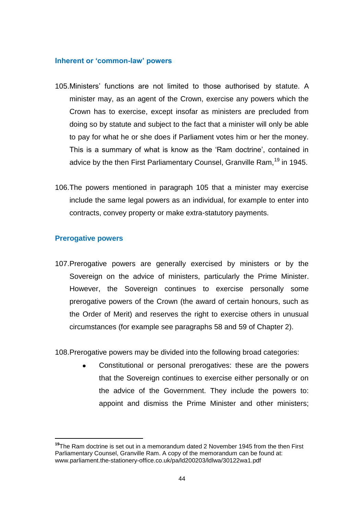#### **Inherent or 'common-law' powers**

- 105.Ministers" functions are not limited to those authorised by statute. A minister may, as an agent of the Crown, exercise any powers which the Crown has to exercise, except insofar as ministers are precluded from doing so by statute and subject to the fact that a minister will only be able to pay for what he or she does if Parliament votes him or her the money. This is a summary of what is know as the "Ram doctrine", contained in advice by the then First Parliamentary Counsel, Granville Ram,<sup>19</sup> in 1945.
- 106.The powers mentioned in paragraph 105 that a minister may exercise include the same legal powers as an individual, for example to enter into contracts, convey property or make extra-statutory payments.

# **Prerogative powers**

107.Prerogative powers are generally exercised by ministers or by the Sovereign on the advice of ministers, particularly the Prime Minister. However, the Sovereign continues to exercise personally some prerogative powers of the Crown (the award of certain honours, such as the Order of Merit) and reserves the right to exercise others in unusual circumstances (for example see paragraphs 58 and 59 of Chapter 2).

108.Prerogative powers may be divided into the following broad categories:

Constitutional or personal prerogatives: these are the powers that the Sovereign continues to exercise either personally or on the advice of the Government. They include the powers to: appoint and dismiss the Prime Minister and other ministers;

**<sup>19</sup>**The Ram doctrine is set out in a memorandum dated 2 November 1945 from the then First Parliamentary Counsel, Granville Ram. A copy of the memorandum can be found at: [www.parliament.the-stationery-office.co.uk/pa/ld200203/ldlwa/30122wa1.pdf](file://Client/Local%20Settings/Temp/AppData/Local/Local%20Settings/Temporary%20Internet%20Files/Content.Outlook/O5CBGTBL/www.parliament.the-stationery-office.co.uk/pa/ld200203/ldlwa/30122wa1.pdf)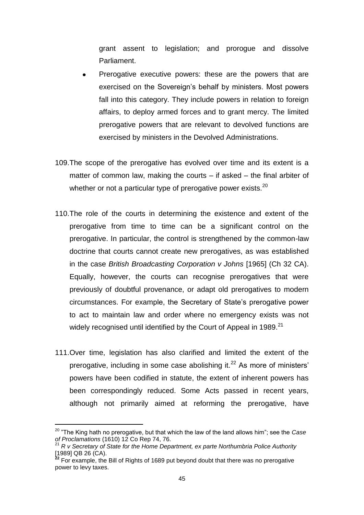grant assent to legislation; and prorogue and dissolve Parliament.

- Prerogative executive powers: these are the powers that are exercised on the Sovereign's behalf by ministers. Most powers fall into this category. They include powers in relation to foreign affairs, to deploy armed forces and to grant mercy. The limited prerogative powers that are relevant to devolved functions are exercised by ministers in the Devolved Administrations.
- 109.The scope of the prerogative has evolved over time and its extent is a matter of common law, making the courts – if asked – the final arbiter of whether or not a particular type of prerogative power exists.<sup>20</sup>
- 110.The role of the courts in determining the existence and extent of the prerogative from time to time can be a significant control on the prerogative. In particular, the control is strengthened by the common-law doctrine that courts cannot create new prerogatives, as was established in the case *British Broadcasting Corporation v Johns* [1965] (Ch 32 CA). Equally, however, the courts can recognise prerogatives that were previously of doubtful provenance, or adapt old prerogatives to modern circumstances. For example, the Secretary of State"s prerogative power to act to maintain law and order where no emergency exists was not widely recognised until identified by the Court of Appeal in 1989.<sup>21</sup>
- 111.Over time, legislation has also clarified and limited the extent of the prerogative, including in some case abolishing it. $^{22}$  As more of ministers' powers have been codified in statute, the extent of inherent powers has been correspondingly reduced. Some Acts passed in recent years, although not primarily aimed at reforming the prerogative, have

<sup>20</sup> "The King hath no prerogative, but that which the law of the land allows him"; see the *Case of Proclamations* (1610) 12 Co Rep 74, 76.

<sup>21</sup> *R v Secretary of State for the Home Department, ex parte Northumbria Police Authority*  [1989] QB 26 (CA).

<sup>&</sup>lt;sup>22</sup> For example, the Bill of Rights of 1689 put beyond doubt that there was no prerogative power to levy taxes.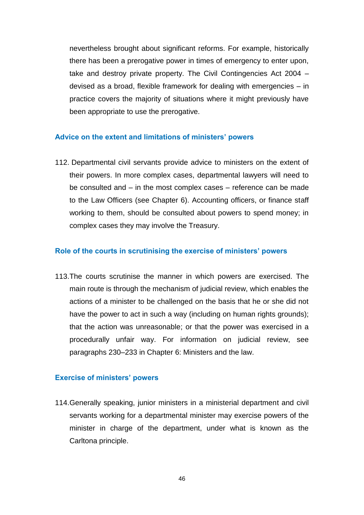nevertheless brought about significant reforms. For example, historically there has been a prerogative power in times of emergency to enter upon, take and destroy private property. The Civil Contingencies Act 2004 – devised as a broad, flexible framework for dealing with emergencies – in practice covers the majority of situations where it might previously have been appropriate to use the prerogative.

#### **Advice on the extent and limitations of ministers' powers**

112. Departmental civil servants provide advice to ministers on the extent of their powers. In more complex cases, departmental lawyers will need to be consulted and – in the most complex cases – reference can be made to the Law Officers (see Chapter 6). Accounting officers, or finance staff working to them, should be consulted about powers to spend money; in complex cases they may involve the Treasury.

#### **Role of the courts in scrutinising the exercise of ministers' powers**

113.The courts scrutinise the manner in which powers are exercised. The main route is through the mechanism of judicial review, which enables the actions of a minister to be challenged on the basis that he or she did not have the power to act in such a way (including on human rights grounds); that the action was unreasonable; or that the power was exercised in a procedurally unfair way. For information on judicial review, see paragraphs 230–233 in Chapter 6: Ministers and the law.

#### **Exercise of ministers' powers**

114.Generally speaking, junior ministers in a ministerial department and civil servants working for a departmental minister may exercise powers of the minister in charge of the department, under what is known as the Carltona principle.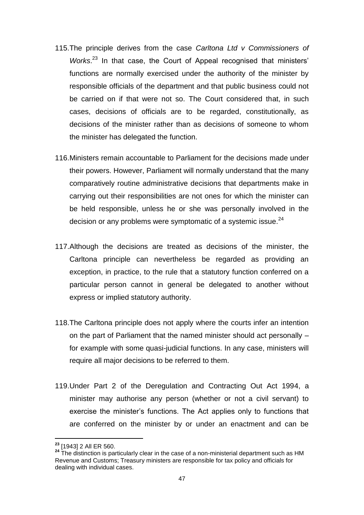- 115.The principle derives from the case *Carltona Ltd v Commissioners of*  Works.<sup>23</sup> In that case, the Court of Appeal recognised that ministers' functions are normally exercised under the authority of the minister by responsible officials of the department and that public business could not be carried on if that were not so. The Court considered that, in such cases, decisions of officials are to be regarded, constitutionally, as decisions of the minister rather than as decisions of someone to whom the minister has delegated the function.
- 116.Ministers remain accountable to Parliament for the decisions made under their powers. However, Parliament will normally understand that the many comparatively routine administrative decisions that departments make in carrying out their responsibilities are not ones for which the minister can be held responsible, unless he or she was personally involved in the decision or any problems were symptomatic of a systemic issue. $^{24}$
- 117.Although the decisions are treated as decisions of the minister, the Carltona principle can nevertheless be regarded as providing an exception, in practice, to the rule that a statutory function conferred on a particular person cannot in general be delegated to another without express or implied statutory authority.
- 118.The Carltona principle does not apply where the courts infer an intention on the part of Parliament that the named minister should act personally – for example with some quasi-judicial functions. In any case, ministers will require all major decisions to be referred to them.
- 119.Under Part 2 of the Deregulation and Contracting Out Act 1994, a minister may authorise any person (whether or not a civil servant) to exercise the minister"s functions. The Act applies only to functions that are conferred on the minister by or under an enactment and can be

**<sup>23</sup>** [1943] 2 All ER 560.

**<sup>24</sup>** The distinction is particularly clear in the case of a non-ministerial department such as HM Revenue and Customs; Treasury ministers are responsible for tax policy and officials for dealing with individual cases.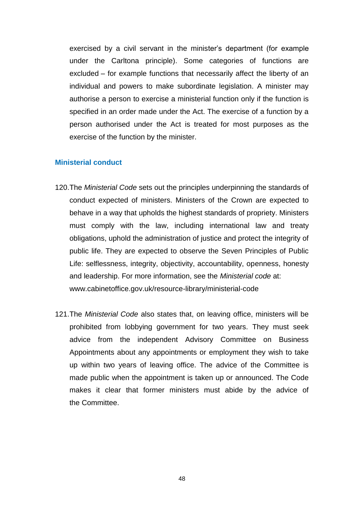exercised by a civil servant in the minister's department (for example under the Carltona principle). Some categories of functions are excluded – for example functions that necessarily affect the liberty of an individual and powers to make subordinate legislation. A minister may authorise a person to exercise a ministerial function only if the function is specified in an order made under the Act. The exercise of a function by a person authorised under the Act is treated for most purposes as the exercise of the function by the minister.

#### **Ministerial conduct**

- 120.The *Ministerial Code* sets out the principles underpinning the standards of conduct expected of ministers. Ministers of the Crown are expected to behave in a way that upholds the highest standards of propriety. Ministers must comply with the law, including international law and treaty obligations, uphold the administration of justice and protect the integrity of public life. They are expected to observe the Seven Principles of Public Life: selflessness, integrity, objectivity, accountability, openness, honesty and leadership. For more information, see the *Ministerial code* at: [www.cabinetoffice.gov.uk/resource-library/ministerial-code](http://www.cabinetoffice.gov.uk/resource-library/ministerial-code)
- 121.The *Ministerial Code* also states that, on leaving office, ministers will be prohibited from lobbying government for two years. They must seek advice from the independent Advisory Committee on Business Appointments about any appointments or employment they wish to take up within two years of leaving office. The advice of the Committee is made public when the appointment is taken up or announced. The Code makes it clear that former ministers must abide by the advice of the Committee.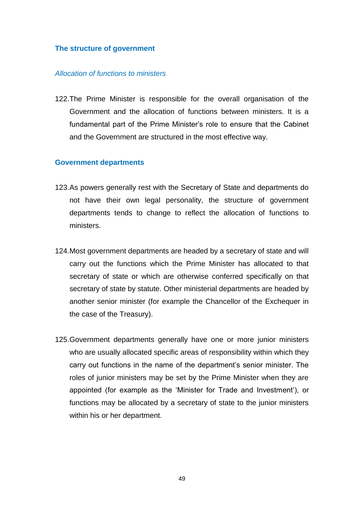#### **The structure of government**

### *Allocation of functions to ministers*

122.The Prime Minister is responsible for the overall organisation of the Government and the allocation of functions between ministers. It is a fundamental part of the Prime Minister"s role to ensure that the Cabinet and the Government are structured in the most effective way.

#### **Government departments**

- 123.As powers generally rest with the Secretary of State and departments do not have their own legal personality, the structure of government departments tends to change to reflect the allocation of functions to ministers.
- 124.Most government departments are headed by a secretary of state and will carry out the functions which the Prime Minister has allocated to that secretary of state or which are otherwise conferred specifically on that secretary of state by statute. Other ministerial departments are headed by another senior minister (for example the Chancellor of the Exchequer in the case of the Treasury).
- 125.Government departments generally have one or more junior ministers who are usually allocated specific areas of responsibility within which they carry out functions in the name of the department"s senior minister. The roles of junior ministers may be set by the Prime Minister when they are appointed (for example as the "Minister for Trade and Investment"), or functions may be allocated by a secretary of state to the junior ministers within his or her department.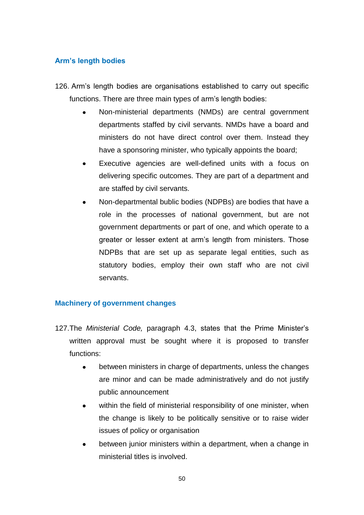# **Arm's length bodies**

- 126. Arm"s length bodies are organisations established to carry out specific functions. There are three main types of arm"s length bodies:
	- Non-ministerial departments (NMDs) are central government departments staffed by civil servants. NMDs have a board and ministers do not have direct control over them. Instead they have a sponsoring minister, who typically appoints the board;
	- Executive agencies are well-defined units with a focus on  $\bullet$ delivering specific outcomes. They are part of a department and are staffed by civil servants.
	- Non-departmental bublic bodies (NDPBs) are bodies that have a role in the processes of national government, but are not government departments or part of one, and which operate to a greater or lesser extent at arm"s length from ministers. Those NDPBs that are set up as separate legal entities, such as statutory bodies, employ their own staff who are not civil servants.

# **Machinery of government changes**

- 127.The *Ministerial Code,* paragraph 4.3, states that the Prime Minister"s written approval must be sought where it is proposed to transfer functions:
	- between ministers in charge of departments, unless the changes are minor and can be made administratively and do not justify public announcement
	- within the field of ministerial responsibility of one minister, when the change is likely to be politically sensitive or to raise wider issues of policy or organisation
	- between junior ministers within a department, when a change in  $\bullet$ ministerial titles is involved.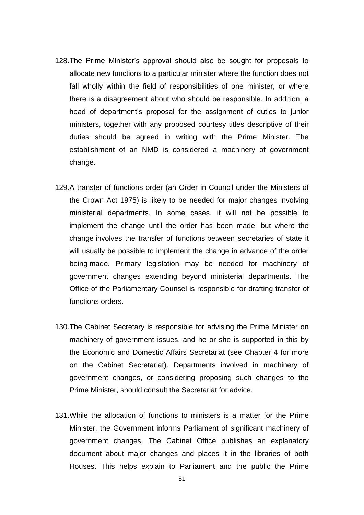- 128.The Prime Minister"s approval should also be sought for proposals to allocate new functions to a particular minister where the function does not fall wholly within the field of responsibilities of one minister, or where there is a disagreement about who should be responsible. In addition, a head of department's proposal for the assignment of duties to junior ministers, together with any proposed courtesy titles descriptive of their duties should be agreed in writing with the Prime Minister. The establishment of an NMD is considered a machinery of government change.
- 129.A transfer of functions order (an Order in Council under the Ministers of the Crown Act 1975) is likely to be needed for major changes involving ministerial departments. In some cases, it will not be possible to implement the change until the order has been made; but where the change involves the transfer of functions between secretaries of state it will usually be possible to implement the change in advance of the order being made. Primary legislation may be needed for machinery of government changes extending beyond ministerial departments. The Office of the Parliamentary Counsel is responsible for drafting transfer of functions orders.
- 130.The Cabinet Secretary is responsible for advising the Prime Minister on machinery of government issues, and he or she is supported in this by the Economic and Domestic Affairs Secretariat (see Chapter 4 for more on the Cabinet Secretariat). Departments involved in machinery of government changes, or considering proposing such changes to the Prime Minister, should consult the Secretariat for advice.
- 131.While the allocation of functions to ministers is a matter for the Prime Minister, the Government informs Parliament of significant machinery of government changes. The Cabinet Office publishes an explanatory document about major changes and places it in the libraries of both Houses. This helps explain to Parliament and the public the Prime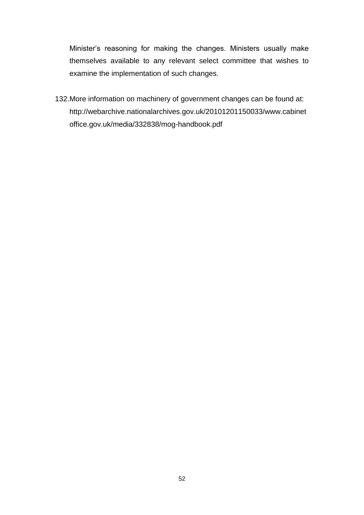Minister"s reasoning for making the changes. Ministers usually make themselves available to any relevant select committee that wishes to examine the implementation of such changes.

132.More information on machinery of government changes can be found at: [http://webarchive.nationalarchives.gov.uk/20101201150033/www.cabinet](http://webarchive.nationalarchives.gov.uk/20101201150033/www.cabinetoffice.gov.uk/media/332838/mog-handbook.pdf) [office.gov.uk/media/332838/mog-handbook.pdf](http://webarchive.nationalarchives.gov.uk/20101201150033/www.cabinetoffice.gov.uk/media/332838/mog-handbook.pdf)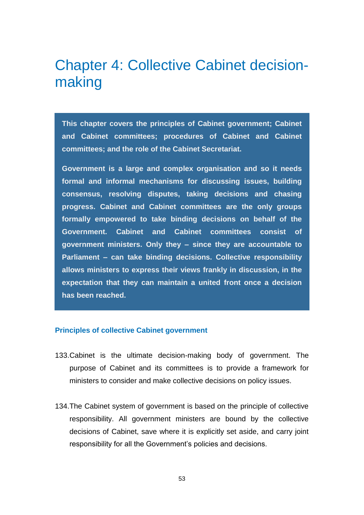# Chapter 4: Collective Cabinet decisionmaking

**This chapter covers the principles of Cabinet government; Cabinet and Cabinet committees; procedures of Cabinet and Cabinet committees; and the role of the Cabinet Secretariat.** 

**Government is a large and complex organisation and so it needs formal and informal mechanisms for discussing issues, building consensus, resolving disputes, taking decisions and chasing progress. Cabinet and Cabinet committees are the only groups formally empowered to take binding decisions on behalf of the Government. Cabinet and Cabinet committees consist of government ministers. Only they – since they are accountable to Parliament – can take binding decisions. Collective responsibility allows ministers to express their views frankly in discussion, in the expectation that they can maintain a united front once a decision has been reached.** 

#### **Principles of collective Cabinet government**

- 133.Cabinet is the ultimate decision-making body of government. The purpose of Cabinet and its committees is to provide a framework for ministers to consider and make collective decisions on policy issues.
- 134.The Cabinet system of government is based on the principle of collective responsibility. All government ministers are bound by the collective decisions of Cabinet, save where it is explicitly set aside, and carry joint responsibility for all the Government"s policies and decisions.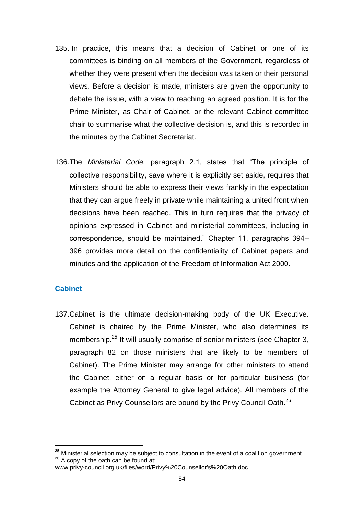- 135. In practice, this means that a decision of Cabinet or one of its committees is binding on all members of the Government, regardless of whether they were present when the decision was taken or their personal views. Before a decision is made, ministers are given the opportunity to debate the issue, with a view to reaching an agreed position. It is for the Prime Minister, as Chair of Cabinet, or the relevant Cabinet committee chair to summarise what the collective decision is, and this is recorded in the minutes by the Cabinet Secretariat.
- 136.The *Ministerial Code,* paragraph 2.1, states that "The principle of collective responsibility, save where it is explicitly set aside, requires that Ministers should be able to express their views frankly in the expectation that they can argue freely in private while maintaining a united front when decisions have been reached. This in turn requires that the privacy of opinions expressed in Cabinet and ministerial committees, including in correspondence, should be maintained." Chapter 11, paragraphs 394– 396 provides more detail on the confidentiality of Cabinet papers and minutes and the application of the Freedom of Information Act 2000.

# **Cabinet**

137.Cabinet is the ultimate decision-making body of the UK Executive. Cabinet is chaired by the Prime Minister, who also determines its membership.<sup>25</sup> It will usually comprise of senior ministers (see Chapter 3, paragraph 82 on those ministers that are likely to be members of Cabinet). The Prime Minister may arrange for other ministers to attend the Cabinet, either on a regular basis or for particular business (for example the Attorney General to give legal advice). All members of the Cabinet as Privy Counsellors are bound by the Privy Council Oath.<sup>26</sup>

**<sup>25</sup>** Ministerial selection may be subject to consultation in the event of a coalition government. **<sup>26</sup>** A copy of the oath can be found at:

www.privy-council.org.uk/files/word/Privy%20Counsellor's%20Oath.doc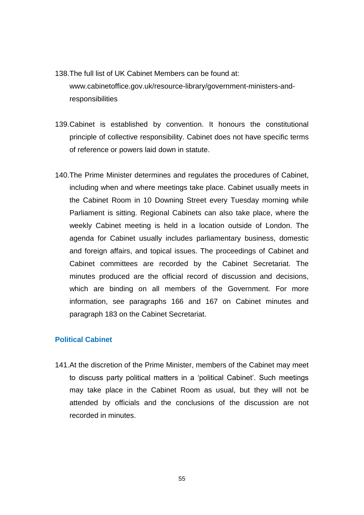- 138.The full list of UK Cabinet Members can be found at: [www.cabinetoffice.gov.uk/resource-library/government-ministers-and](http://www.cabinetoffice.gov.uk/resource-library/government-ministers-and-responsibilities)[responsibilities](http://www.cabinetoffice.gov.uk/resource-library/government-ministers-and-responsibilities)
- 139.Cabinet is established by convention. It honours the constitutional principle of collective responsibility. Cabinet does not have specific terms of reference or powers laid down in statute.
- 140.The Prime Minister determines and regulates the procedures of Cabinet, including when and where meetings take place. Cabinet usually meets in the Cabinet Room in 10 Downing Street every Tuesday morning while Parliament is sitting. Regional Cabinets can also take place, where the weekly Cabinet meeting is held in a location outside of London. The agenda for Cabinet usually includes parliamentary business, domestic and foreign affairs, and topical issues. The proceedings of Cabinet and Cabinet committees are recorded by the Cabinet Secretariat. The minutes produced are the official record of discussion and decisions, which are binding on all members of the Government. For more information, see paragraphs 166 and 167 on Cabinet minutes and paragraph 183 on the Cabinet Secretariat.

# **Political Cabinet**

141.At the discretion of the Prime Minister, members of the Cabinet may meet to discuss party political matters in a "political Cabinet". Such meetings may take place in the Cabinet Room as usual, but they will not be attended by officials and the conclusions of the discussion are not recorded in minutes.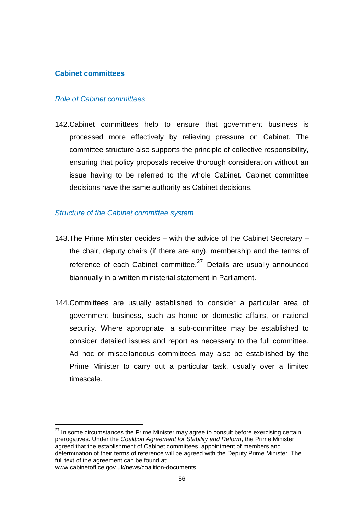## **Cabinet committees**

#### *Role of Cabinet committees*

142.Cabinet committees help to ensure that government business is processed more effectively by relieving pressure on Cabinet. The committee structure also supports the principle of collective responsibility, ensuring that policy proposals receive thorough consideration without an issue having to be referred to the whole Cabinet. Cabinet committee decisions have the same authority as Cabinet decisions.

#### *Structure of the Cabinet committee system*

- 143.The Prime Minister decides with the advice of the Cabinet Secretary the chair, deputy chairs (if there are any), membership and the terms of reference of each Cabinet committee. $27$  Details are usually announced biannually in a written ministerial statement in Parliament.
- 144.Committees are usually established to consider a particular area of government business, such as home or domestic affairs, or national security. Where appropriate, a sub-committee may be established to consider detailed issues and report as necessary to the full committee. Ad hoc or miscellaneous committees may also be established by the Prime Minister to carry out a particular task, usually over a limited timescale.

 $27$  In some circumstances the Prime Minister may agree to consult before exercising certain prerogatives. Under the *Coalition Agreement for Stability and Reform*, the Prime Minister agreed that the establishment of Cabinet committees, appointment of members and determination of their terms of reference will be agreed with the Deputy Prime Minister. The full text of the agreement can be found at: www.cabinetoffice.gov.uk/news/coalition-documents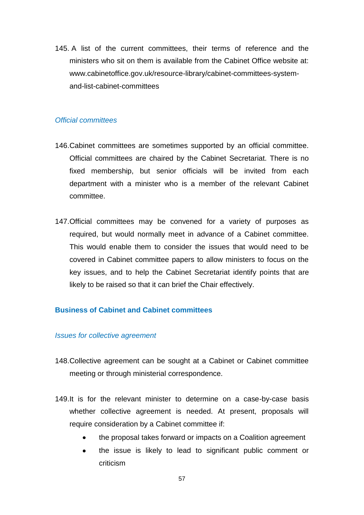145. A list of the current committees, their terms of reference and the ministers who sit on them is available from the Cabinet Office website at: [www.cabinetoffice.gov.uk/resource-library/cabinet-committees-system](http://www.cabinetoffice.gov.uk/resource-library/cabinet-committees-system-and-list-cabinet-committees)[and-list-cabinet-committees](http://www.cabinetoffice.gov.uk/resource-library/cabinet-committees-system-and-list-cabinet-committees)

## *Official committees*

- 146.Cabinet committees are sometimes supported by an official committee. Official committees are chaired by the Cabinet Secretariat. There is no fixed membership, but senior officials will be invited from each department with a minister who is a member of the relevant Cabinet committee.
- 147.Official committees may be convened for a variety of purposes as required, but would normally meet in advance of a Cabinet committee. This would enable them to consider the issues that would need to be covered in Cabinet committee papers to allow ministers to focus on the key issues, and to help the Cabinet Secretariat identify points that are likely to be raised so that it can brief the Chair effectively.

# **Business of Cabinet and Cabinet committees**

#### *Issues for collective agreement*

- 148.Collective agreement can be sought at a Cabinet or Cabinet committee meeting or through ministerial correspondence.
- 149.It is for the relevant minister to determine on a case-by-case basis whether collective agreement is needed. At present, proposals will require consideration by a Cabinet committee if:
	- the proposal takes forward or impacts on a Coalition agreement
	- $\bullet$ the issue is likely to lead to significant public comment or criticism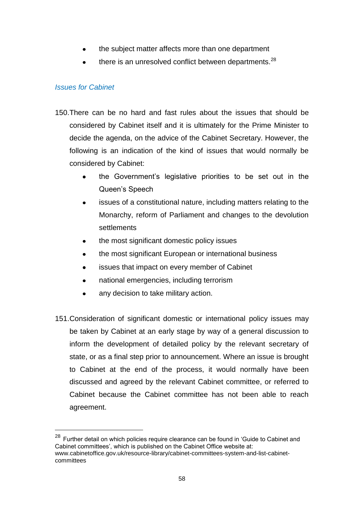- the subject matter affects more than one department  $\bullet$
- there is an unresolved conflict between departments.<sup>28</sup>

# *Issues for Cabinet*

- 150.There can be no hard and fast rules about the issues that should be considered by Cabinet itself and it is ultimately for the Prime Minister to decide the agenda, on the advice of the Cabinet Secretary. However, the following is an indication of the kind of issues that would normally be considered by Cabinet:
	- the Government"s legislative priorities to be set out in the Queen"s Speech
	- issues of a constitutional nature, including matters relating to the  $\bullet$ Monarchy, reform of Parliament and changes to the devolution settlements
	- the most significant domestic policy issues
	- the most significant European or international business
	- issues that impact on every member of Cabinet  $\bullet$
	- national emergencies, including terrorism  $\bullet$
	- any decision to take military action.
- 151.Consideration of significant domestic or international policy issues may be taken by Cabinet at an early stage by way of a general discussion to inform the development of detailed policy by the relevant secretary of state, or as a final step prior to announcement. Where an issue is brought to Cabinet at the end of the process, it would normally have been discussed and agreed by the relevant Cabinet committee, or referred to Cabinet because the Cabinet committee has not been able to reach agreement.

 $28$  Further detail on which policies require clearance can be found in 'Guide to Cabinet and Cabinet committees', which is published on the Cabinet Office website at: www.cabinetoffice.gov.uk/resource-library/cabinet-committees-system-and-list-cabinetcommittees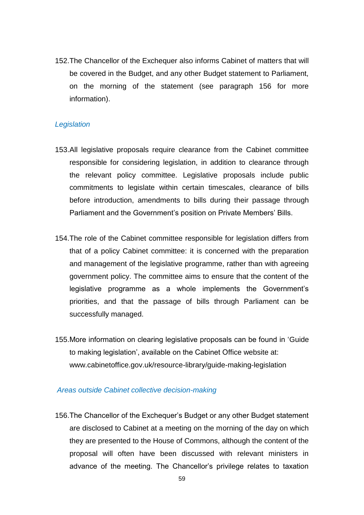152.The Chancellor of the Exchequer also informs Cabinet of matters that will be covered in the Budget, and any other Budget statement to Parliament, on the morning of the statement (see paragraph 156 for more information).

## *Legislation*

- 153.All legislative proposals require clearance from the Cabinet committee responsible for considering legislation, in addition to clearance through the relevant policy committee. Legislative proposals include public commitments to legislate within certain timescales, clearance of bills before introduction, amendments to bills during their passage through Parliament and the Government's position on Private Members' Bills.
- 154.The role of the Cabinet committee responsible for legislation differs from that of a policy Cabinet committee: it is concerned with the preparation and management of the legislative programme, rather than with agreeing government policy. The committee aims to ensure that the content of the legislative programme as a whole implements the Government"s priorities, and that the passage of bills through Parliament can be successfully managed.
- 155.More information on clearing legislative proposals can be found in ["Guide](http://www.cabinetoffice.gov.uk/secretariats/economic_and_domestic/legislative_programme/guide.aspx)  [to](http://www.cabinetoffice.gov.uk/secretariats/economic_and_domestic/legislative_programme/guide.aspx) making legislation", available on the Cabinet Office website at: www.cabinetoffice.gov.uk/resource-library/guide-making-legislation

#### *Areas outside Cabinet collective decision-making*

156.The Chancellor of the Exchequer"s Budget or any other Budget statement are disclosed to Cabinet at a meeting on the morning of the day on which they are presented to the House of Commons, although the content of the proposal will often have been discussed with relevant ministers in advance of the meeting. The Chancellor"s privilege relates to taxation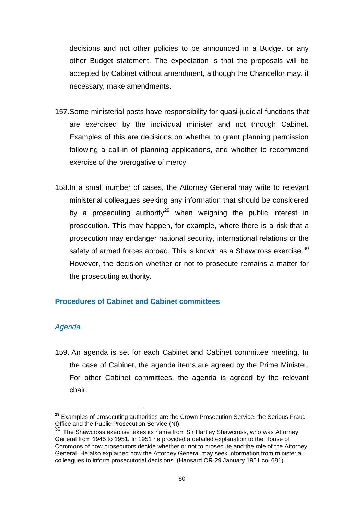decisions and not other policies to be announced in a Budget or any other Budget statement. The expectation is that the proposals will be accepted by Cabinet without amendment, although the Chancellor may, if necessary, make amendments.

- 157.Some ministerial posts have responsibility for quasi-judicial functions that are exercised by the individual minister and not through Cabinet. Examples of this are decisions on whether to grant planning permission following a call-in of planning applications, and whether to recommend exercise of the prerogative of mercy.
- 158.In a small number of cases, the Attorney General may write to relevant ministerial colleagues seeking any information that should be considered by a prosecuting authority<sup>29</sup> when weighing the public interest in prosecution. This may happen, for example, where there is a risk that a prosecution may endanger national security, international relations or the safety of armed forces abroad. This is known as a Shawcross exercise.<sup>30</sup> However, the decision whether or not to prosecute remains a matter for the prosecuting authority.

### **Procedures of Cabinet and Cabinet committees**

#### *Agenda*

159. An agenda is set for each Cabinet and Cabinet committee meeting. In the case of Cabinet, the agenda items are agreed by the Prime Minister. For other Cabinet committees, the agenda is agreed by the relevant chair.

**<sup>29</sup>** Examples of prosecuting authorities are the Crown Prosecution Service, the Serious Fraud Office and the Public Prosecution Service (NI).

 $30$  The Shawcross exercise takes its name from Sir Hartley Shawcross, who was Attorney General from 1945 to 1951. In 1951 he provided a detailed explanation to the House of Commons of how prosecutors decide whether or not to prosecute and the role of the Attorney General. He also explained how the Attorney General may seek information from ministerial colleagues to inform prosecutorial decisions. (Hansard OR 29 January 1951 col 681)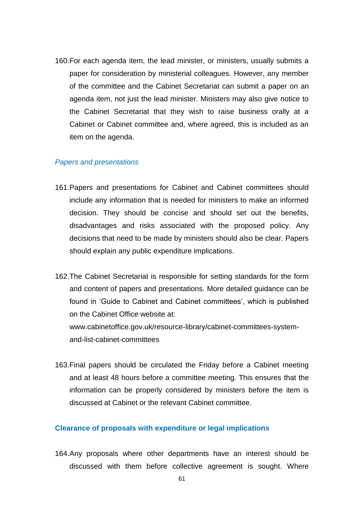160.For each agenda item, the lead minister, or ministers, usually submits a paper for consideration by ministerial colleagues. However, any member of the committee and the Cabinet Secretariat can submit a paper on an agenda item, not just the lead minister. Ministers may also give notice to the Cabinet Secretariat that they wish to raise business orally at a Cabinet or Cabinet committee and, where agreed, this is included as an item on the agenda.

#### *Papers and presentations*

- 161.Papers and presentations for Cabinet and Cabinet committees should include any information that is needed for ministers to make an informed decision. They should be concise and should set out the benefits, disadvantages and risks associated with the proposed policy. Any decisions that need to be made by ministers should also be clear. Papers should explain any public expenditure implications.
- 162.The Cabinet Secretariat is responsible for setting standards for the form and content of papers and presentations. More detailed guidance can be found in "Guide to Cabinet and Cabinet committees", which is published on the Cabinet Office website at: [www.cabinetoffice.gov.uk/resource-library/cabinet-committees-system](http://www.cabinetoffice.gov.uk/resource-library/cabinet-committees-system-and-list-cabinet-committees)[and-list-cabinet-committees](http://www.cabinetoffice.gov.uk/resource-library/cabinet-committees-system-and-list-cabinet-committees)
- 163.Final papers should be circulated the Friday before a Cabinet meeting and at least 48 hours before a committee meeting. This ensures that the information can be properly considered by ministers before the item is discussed at Cabinet or the relevant Cabinet committee.

#### **Clearance of proposals with expenditure or legal implications**

164.Any proposals where other departments have an interest should be discussed with them before collective agreement is sought. Where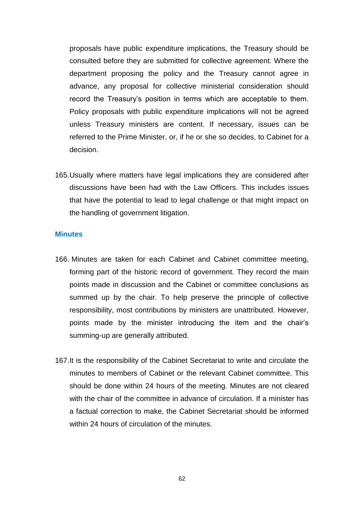proposals have public expenditure implications, the Treasury should be consulted before they are submitted for collective agreement. Where the department proposing the policy and the Treasury cannot agree in advance, any proposal for collective ministerial consideration should record the Treasury"s position in terms which are acceptable to them. Policy proposals with public expenditure implications will not be agreed unless Treasury ministers are content. If necessary, issues can be referred to the Prime Minister, or, if he or she so decides, to Cabinet for a decision.

165.Usually where matters have legal implications they are considered after discussions have been had with the Law Officers. This includes issues that have the potential to lead to legal challenge or that might impact on the handling of government litigation.

#### **Minutes**

- 166. Minutes are taken for each Cabinet and Cabinet committee meeting, forming part of the historic record of government. They record the main points made in discussion and the Cabinet or committee conclusions as summed up by the chair. To help preserve the principle of collective responsibility, most contributions by ministers are unattributed. However, points made by the minister introducing the item and the chair"s summing-up are generally attributed.
- 167.It is the responsibility of the Cabinet Secretariat to write and circulate the minutes to members of Cabinet or the relevant Cabinet committee. This should be done within 24 hours of the meeting. Minutes are not cleared with the chair of the committee in advance of circulation. If a minister has a factual correction to make, the Cabinet Secretariat should be informed within 24 hours of circulation of the minutes.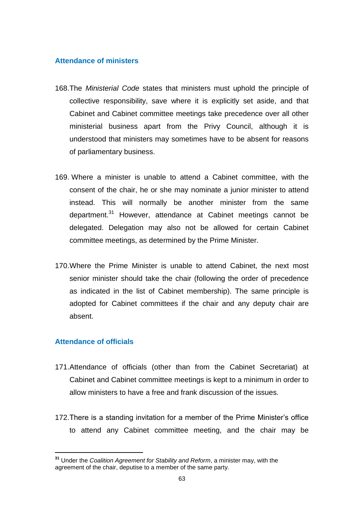### **Attendance of ministers**

- 168.The *Ministerial Code* states that ministers must uphold the principle of collective responsibility, save where it is explicitly set aside, and that Cabinet and Cabinet committee meetings take precedence over all other ministerial business apart from the Privy Council, although it is understood that ministers may sometimes have to be absent for reasons of parliamentary business.
- 169. Where a minister is unable to attend a Cabinet committee, with the consent of the chair, he or she may nominate a junior minister to attend instead. This will normally be another minister from the same department.<sup>31</sup> However, attendance at Cabinet meetings cannot be delegated. Delegation may also not be allowed for certain Cabinet committee meetings, as determined by the Prime Minister.
- 170.Where the Prime Minister is unable to attend Cabinet, the next most senior minister should take the chair (following the order of precedence as indicated in the list of Cabinet membership). The same principle is adopted for Cabinet committees if the chair and any deputy chair are absent.

# **Attendance of officials**

- 171.Attendance of officials (other than from the Cabinet Secretariat) at Cabinet and Cabinet committee meetings is kept to a minimum in order to allow ministers to have a free and frank discussion of the issues.
- 172. There is a standing invitation for a member of the Prime Minister's office to attend any Cabinet committee meeting, and the chair may be

**<sup>31</sup>** Under the *Coalition Agreement for Stability and Reform*, a minister may, with the agreement of the chair, deputise to a member of the same party.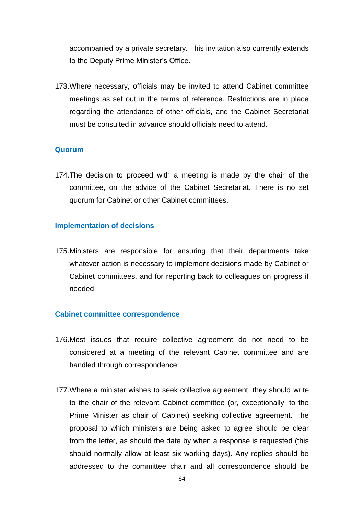accompanied by a private secretary. This invitation also currently extends to the Deputy Prime Minister"s Office.

173.Where necessary, officials may be invited to attend Cabinet committee meetings as set out in the terms of reference. Restrictions are in place regarding the attendance of other officials, and the Cabinet Secretariat must be consulted in advance should officials need to attend.

#### **Quorum**

174.The decision to proceed with a meeting is made by the chair of the committee, on the advice of the Cabinet Secretariat. There is no set quorum for Cabinet or other Cabinet committees.

#### **Implementation of decisions**

175.Ministers are responsible for ensuring that their departments take whatever action is necessary to implement decisions made by Cabinet or Cabinet committees, and for reporting back to colleagues on progress if needed.

#### **Cabinet committee correspondence**

- 176.Most issues that require collective agreement do not need to be considered at a meeting of the relevant Cabinet committee and are handled through correspondence.
- 177.Where a minister wishes to seek collective agreement, they should write to the chair of the relevant Cabinet committee (or, exceptionally, to the Prime Minister as chair of Cabinet) seeking collective agreement. The proposal to which ministers are being asked to agree should be clear from the letter, as should the date by when a response is requested (this should normally allow at least six working days). Any replies should be addressed to the committee chair and all correspondence should be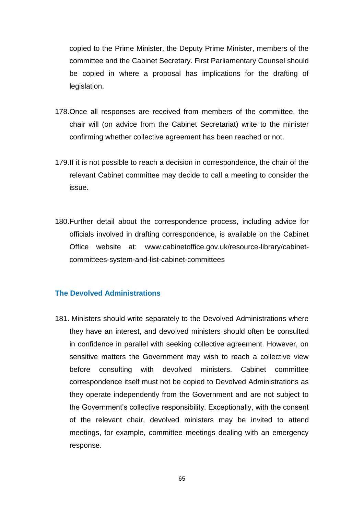copied to the Prime Minister, the Deputy Prime Minister, members of the committee and the Cabinet Secretary. First Parliamentary Counsel should be copied in where a proposal has implications for the drafting of legislation.

- 178.Once all responses are received from members of the committee, the chair will (on advice from the Cabinet Secretariat) write to the minister confirming whether collective agreement has been reached or not.
- 179.If it is not possible to reach a decision in correspondence, the chair of the relevant Cabinet committee may decide to call a meeting to consider the issue.
- 180.Further detail about the correspondence process, including advice for officials involved in drafting correspondence, is available on the Cabinet Office website at: [www.cabinetoffice.gov.uk/resource-library/cabinet](http://www.cabinetoffice.gov.uk/resource-library/cabinet-committees-system-and-list-cabinet-committees)[committees-system-and-list-cabinet-committees](http://www.cabinetoffice.gov.uk/resource-library/cabinet-committees-system-and-list-cabinet-committees)

# **The Devolved Administrations**

181. Ministers should write separately to the Devolved Administrations where they have an interest, and devolved ministers should often be consulted in confidence in parallel with seeking collective agreement. However, on sensitive matters the Government may wish to reach a collective view before consulting with devolved ministers. Cabinet committee correspondence itself must not be copied to Devolved Administrations as they operate independently from the Government and are not subject to the Government's collective responsibility. Exceptionally, with the consent of the relevant chair, devolved ministers may be invited to attend meetings, for example, committee meetings dealing with an emergency response.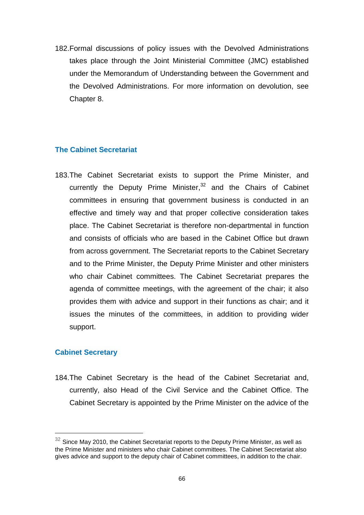182.Formal discussions of policy issues with the Devolved Administrations takes place through the Joint Ministerial Committee (JMC) established under the Memorandum of Understanding between the Government and the Devolved Administrations. For more information on devolution, see Chapter 8.

# **The Cabinet Secretariat**

183.The Cabinet Secretariat exists to support the Prime Minister, and currently the Deputy Prime Minister,<sup>32</sup> and the Chairs of Cabinet committees in ensuring that government business is conducted in an effective and timely way and that proper collective consideration takes place. The Cabinet Secretariat is therefore non-departmental in function and consists of officials who are based in the Cabinet Office but drawn from across government. The Secretariat reports to the Cabinet Secretary and to the Prime Minister, the Deputy Prime Minister and other ministers who chair Cabinet committees. The Cabinet Secretariat prepares the agenda of committee meetings, with the agreement of the chair; it also provides them with advice and support in their functions as chair; and it issues the minutes of the committees, in addition to providing wider support.

# **Cabinet Secretary**

184.The Cabinet Secretary is the head of the Cabinet Secretariat and, currently, also Head of the Civil Service and the Cabinet Office. The Cabinet Secretary is appointed by the Prime Minister on the advice of the

 $32$  Since May 2010, the Cabinet Secretariat reports to the Deputy Prime Minister, as well as the Prime Minister and ministers who chair Cabinet committees. The Cabinet Secretariat also gives advice and support to the deputy chair of Cabinet committees, in addition to the chair.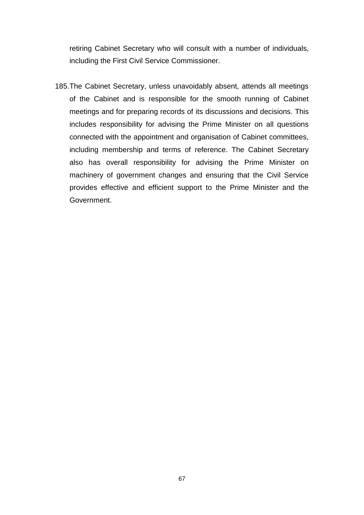retiring Cabinet Secretary who will consult with a number of individuals, including the First Civil Service Commissioner.

185.The Cabinet Secretary, unless unavoidably absent, attends all meetings of the Cabinet and is responsible for the smooth running of Cabinet meetings and for preparing records of its discussions and decisions. This includes responsibility for advising the Prime Minister on all questions connected with the appointment and organisation of Cabinet committees, including membership and terms of reference. The Cabinet Secretary also has overall responsibility for advising the Prime Minister on machinery of government changes and ensuring that the Civil Service provides effective and efficient support to the Prime Minister and the Government.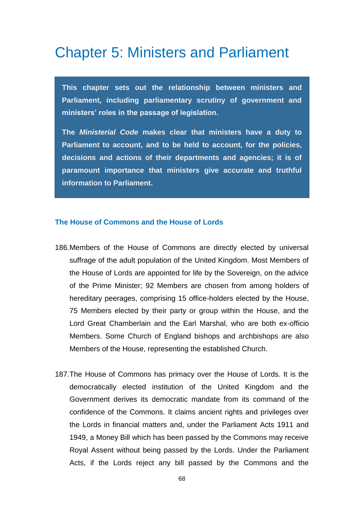# Chapter 5: Ministers and Parliament

**This chapter sets out the relationship between ministers and Parliament, including parliamentary scrutiny of government and ministers' roles in the passage of legislation.** 

**The** *Ministerial Code* **makes clear that ministers have a duty to Parliament to account, and to be held to account, for the policies, decisions and actions of their departments and agencies; it is of paramount importance that ministers give accurate and truthful information to Parliament.**

#### **The House of Commons and the House of Lords**

- 186.Members of the House of Commons are directly elected by universal suffrage of the adult population of the United Kingdom. Most Members of the House of Lords are appointed for life by the Sovereign, on the advice of the Prime Minister; 92 Members are chosen from among holders of hereditary peerages, comprising 15 office-holders elected by the House, 75 Members elected by their party or group within the House, and the Lord Great Chamberlain and the Earl Marshal, who are both ex-officio Members. Some Church of England bishops and archbishops are also Members of the House, representing the established Church.
- 187.The House of Commons has primacy over the House of Lords. It is the democratically elected institution of the United Kingdom and the Government derives its democratic mandate from its command of the confidence of the Commons. It claims ancient rights and privileges over the Lords in financial matters and, under the Parliament Acts 1911 and 1949, a Money Bill which has been passed by the Commons may receive Royal Assent without being passed by the Lords. Under the Parliament Acts, if the Lords reject any bill passed by the Commons and the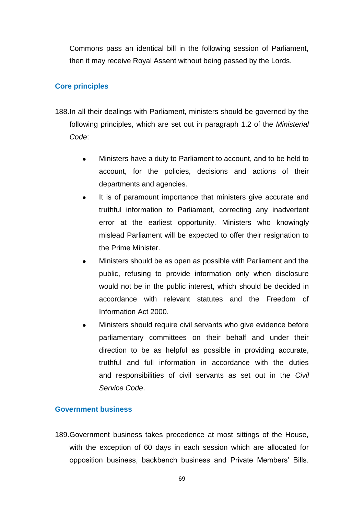Commons pass an identical bill in the following session of Parliament, then it may receive Royal Assent without being passed by the Lords.

# **Core principles**

- 188.In all their dealings with Parliament, ministers should be governed by the following principles, which are set out in paragraph 1.2 of the *Ministerial Code*:
	- Ministers have a duty to Parliament to account, and to be held to account, for the policies, decisions and actions of their departments and agencies.
	- It is of paramount importance that ministers give accurate and  $\bullet$ truthful information to Parliament, correcting any inadvertent error at the earliest opportunity. Ministers who knowingly mislead Parliament will be expected to offer their resignation to the Prime Minister.
	- Ministers should be as open as possible with Parliament and the public, refusing to provide information only when disclosure would not be in the public interest, which should be decided in accordance with relevant statutes and the Freedom of Information Act 2000.
	- Ministers should require civil servants who give evidence before parliamentary committees on their behalf and under their direction to be as helpful as possible in providing accurate, truthful and full information in accordance with the duties and responsibilities of civil servants as set out in the *Civil Service Code*.

# **Government business**

189.Government business takes precedence at most sittings of the House, with the exception of 60 days in each session which are allocated for opposition business, backbench business and Private Members" Bills.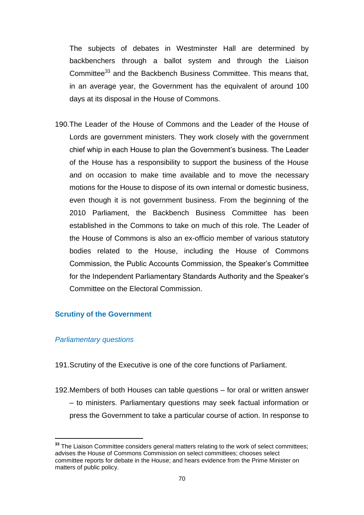The subjects of debates in Westminster Hall are determined by backbenchers through a ballot system and through the Liaison Committee<sup>33</sup> and the Backbench Business Committee. This means that, in an average year, the Government has the equivalent of around 100 days at its disposal in the House of Commons.

190.The Leader of the House of Commons and the Leader of the House of Lords are government ministers. They work closely with the government chief whip in each House to plan the Government"s business. The Leader of the House has a responsibility to support the business of the House and on occasion to make time available and to move the necessary motions for the House to dispose of its own internal or domestic business, even though it is not government business. From the beginning of the 2010 Parliament, the Backbench Business Committee has been established in the Commons to take on much of this role. The Leader of the House of Commons is also an ex-officio member of various statutory bodies related to the House, including the House of Commons Commission, the Public Accounts Commission, the Speaker"s Committee for the Independent Parliamentary Standards Authority and the Speaker"s Committee on the Electoral Commission.

#### **Scrutiny of the Government**

#### *Parliamentary questions*

191.Scrutiny of the Executive is one of the core functions of Parliament.

192.Members of both Houses can table questions – for oral or written answer – to ministers. Parliamentary questions may seek factual information or press the Government to take a particular course of action. In response to

**<sup>33</sup>** The Liaison Committee considers general matters relating to the work of select committees; advises the House of Commons Commission on select committees; chooses select committee reports for debate in the House; and hears evidence from the Prime Minister on matters of public policy.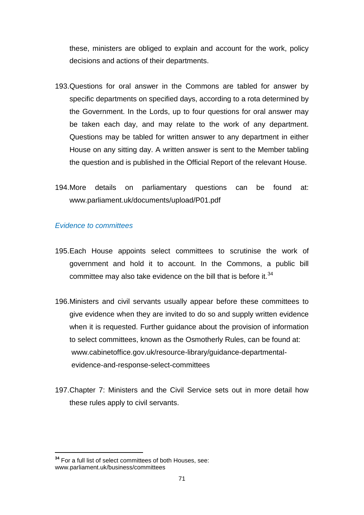these, ministers are obliged to explain and account for the work, policy decisions and actions of their departments.

- 193.Questions for oral answer in the Commons are tabled for answer by specific departments on specified days, according to a rota determined by the Government. In the Lords, up to four questions for oral answer may be taken each day, and may relate to the work of any department. Questions may be tabled for written answer to any department in either House on any sitting day. A written answer is sent to the Member tabling the question and is published in the Official Report of the relevant House.
- 194.More details on parliamentary questions can be found at: [www.parliament.uk/documents/upload/P01.pdf](http://www.parliament.uk/documents/upload/P01.pdf)

## *Evidence to committees*

- 195.Each House appoints select committees to scrutinise the work of government and hold it to account. In the Commons, a public bill committee may also take evidence on the bill that is before it. $34$
- 196.Ministers and civil servants usually appear before these committees to give evidence when they are invited to do so and supply written evidence when it is requested. Further guidance about the provision of information to select committees, known as the Osmotherly Rules, can be found at: [www.cabinetoffice.gov.uk/resource-library/guidance-departmental](http://www.cabinetoffice.gov.uk/resource-library/guidance-departmental-evidence-and-response-select-committees)[evidence-and-response-select-committees](http://www.cabinetoffice.gov.uk/resource-library/guidance-departmental-evidence-and-response-select-committees)
- 197.Chapter 7: Ministers and the Civil Service sets out in more detail how these rules apply to civil servants.

**<sup>34</sup>** For a full list of select committees of both Houses, see: [www.parliament.uk/business/committees](http://www.parliament.uk/business/committees)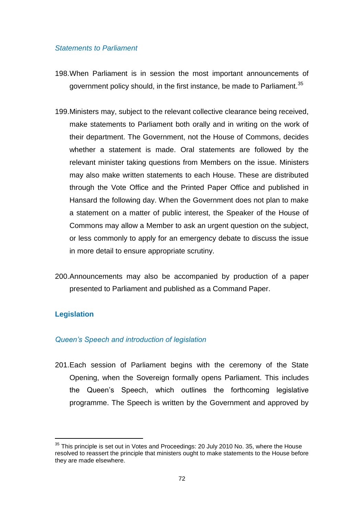#### *Statements to Parliament*

- 198.When Parliament is in session the most important announcements of government policy should, in the first instance, be made to Parliament.<sup>35</sup>
- 199.Ministers may, subject to the relevant collective clearance being received, make statements to Parliament both orally and in writing on the work of their department. The Government, not the House of Commons, decides whether a statement is made. Oral statements are followed by the relevant minister taking questions from Members on the issue. Ministers may also make written statements to each House. These are distributed through the Vote Office and the Printed Paper Office and published in Hansard the following day. When the Government does not plan to make a statement on a matter of public interest, the Speaker of the House of Commons may allow a Member to ask an urgent question on the subject, or less commonly to apply for an emergency debate to discuss the issue in more detail to ensure appropriate scrutiny.
- 200.Announcements may also be accompanied by production of a paper presented to Parliament and published as a Command Paper.

#### **Legislation**

#### *Queen's Speech and introduction of legislation*

201.Each session of Parliament begins with the ceremony of the State Opening, when the Sovereign formally opens Parliament. This includes the Queen"s Speech, which outlines the forthcoming legislative programme. The Speech is written by the Government and approved by

<sup>&</sup>lt;sup>35</sup> This principle is set out in Votes and Proceedings: 20 July 2010 No. 35, where the House resolved to reassert the principle that ministers ought to make statements to the House before they are made elsewhere.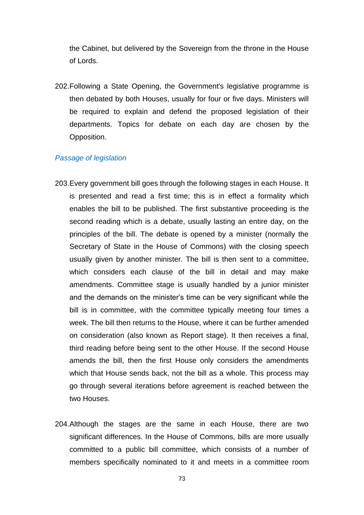the Cabinet, but delivered by the Sovereign from the throne in the House of Lords.

202.Following a State Opening, the Government's legislative programme is then debated by both Houses, usually for four or five days. Ministers will be required to explain and defend the proposed legislation of their departments. Topics for debate on each day are chosen by the Opposition.

#### *Passage of legislation*

- 203.Every government bill goes through the following stages in each House. It is presented and read a first time; this is in effect a formality which enables the bill to be published. The first substantive proceeding is the second reading which is a debate, usually lasting an entire day, on the principles of the bill. The debate is opened by a minister (normally the Secretary of State in the House of Commons) with the closing speech usually given by another minister. The bill is then sent to a committee, which considers each clause of the bill in detail and may make amendments. Committee stage is usually handled by a junior minister and the demands on the minister's time can be very significant while the bill is in committee, with the committee typically meeting four times a week. The bill then returns to the House, where it can be further amended on consideration (also known as Report stage). It then receives a final, third reading before being sent to the other House. If the second House amends the bill, then the first House only considers the amendments which that House sends back, not the bill as a whole. This process may go through several iterations before agreement is reached between the two Houses.
- 204.Although the stages are the same in each House, there are two significant differences. In the House of Commons, bills are more usually committed to a public bill committee, which consists of a number of members specifically nominated to it and meets in a committee room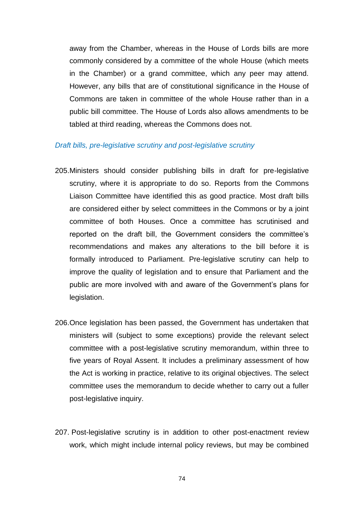away from the Chamber, whereas in the House of Lords bills are more commonly considered by a committee of the whole House (which meets in the Chamber) or a grand committee, which any peer may attend. However, any bills that are of constitutional significance in the House of Commons are taken in committee of the whole House rather than in a public bill committee. The House of Lords also allows amendments to be tabled at third reading, whereas the Commons does not.

#### *Draft bills, pre-legislative scrutiny and post-legislative scrutiny*

- 205.Ministers should consider publishing bills in draft for pre-legislative scrutiny, where it is appropriate to do so. Reports from the Commons Liaison Committee have identified this as good practice. Most draft bills are considered either by select committees in the Commons or by a joint committee of both Houses. Once a committee has scrutinised and reported on the draft bill, the Government considers the committee"s recommendations and makes any alterations to the bill before it is formally introduced to Parliament. Pre-legislative scrutiny can help to improve the quality of legislation and to ensure that Parliament and the public are more involved with and aware of the Government"s plans for legislation.
- 206.Once legislation has been passed, the Government has undertaken that ministers will (subject to some exceptions) provide the relevant select committee with a post-legislative scrutiny memorandum, within three to five years of Royal Assent. It includes a preliminary assessment of how the Act is working in practice, relative to its original objectives. The select committee uses the memorandum to decide whether to carry out a fuller post-legislative inquiry.
- 207. Post-legislative scrutiny is in addition to other post-enactment review work, which might include internal policy reviews, but may be combined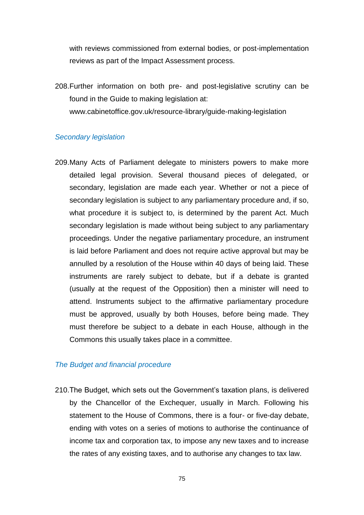with reviews commissioned from external bodies, or post-implementation reviews as part of the Impact Assessment process.

208.Further information on both pre- and post-legislative scrutiny can be found in the Guide to making legislation at: www.cabinetoffice.gov.uk/resource-library/guide-making-legislation

#### *Secondary legislation*

209.Many Acts of Parliament delegate to ministers powers to make more detailed legal provision. Several thousand pieces of delegated, or secondary, legislation are made each year. Whether or not a piece of secondary legislation is subject to any parliamentary procedure and, if so, what procedure it is subject to, is determined by the parent Act. Much secondary legislation is made without being subject to any parliamentary proceedings. Under the negative parliamentary procedure, an instrument is laid before Parliament and does not require active approval but may be annulled by a resolution of the House within 40 days of being laid. These instruments are rarely subject to debate, but if a debate is granted (usually at the request of the Opposition) then a minister will need to attend. Instruments subject to the affirmative parliamentary procedure must be approved, usually by both Houses, before being made. They must therefore be subject to a debate in each House, although in the Commons this usually takes place in a committee.

#### *The Budget and financial procedure*

210.The Budget, which sets out the Government"s taxation plans, is delivered by the Chancellor of the Exchequer, usually in March. Following his statement to the House of Commons, there is a four- or five-day debate, ending with votes on a series of motions to authorise the continuance of income tax and corporation tax, to impose any new taxes and to increase the rates of any existing taxes, and to authorise any changes to tax law.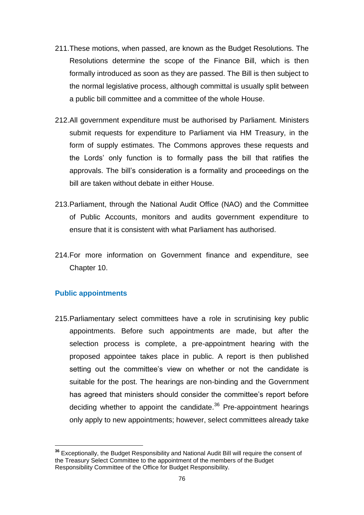- 211.These motions, when passed, are known as the Budget Resolutions. The Resolutions determine the scope of the Finance Bill, which is then formally introduced as soon as they are passed. The Bill is then subject to the normal legislative process, although committal is usually split between a public bill committee and a committee of the whole House.
- 212.All government expenditure must be authorised by Parliament. Ministers submit requests for expenditure to Parliament via HM Treasury, in the form of supply estimates. The Commons approves these requests and the Lords" only function is to formally pass the bill that ratifies the approvals. The bill"s consideration is a formality and proceedings on the bill are taken without debate in either House.
- 213.Parliament, through the National Audit Office (NAO) and the Committee of Public Accounts, monitors and audits government expenditure to ensure that it is consistent with what Parliament has authorised.
- 214.For more information on Government finance and expenditure, see Chapter 10.

#### **Public appointments**

215.Parliamentary select committees have a role in scrutinising key public appointments. Before such appointments are made, but after the selection process is complete, a pre-appointment hearing with the proposed appointee takes place in public. A report is then published setting out the committee's view on whether or not the candidate is suitable for the post. The hearings are non-binding and the Government has agreed that ministers should consider the committee's report before deciding whether to appoint the candidate. $36$  Pre-appointment hearings only apply to new appointments; however, select committees already take

 **<sup>36</sup>** Exceptionally, the Budget Responsibility and National Audit Bill will require the consent of the Treasury Select Committee to the appointment of the members of the Budget Responsibility Committee of the Office for Budget Responsibility.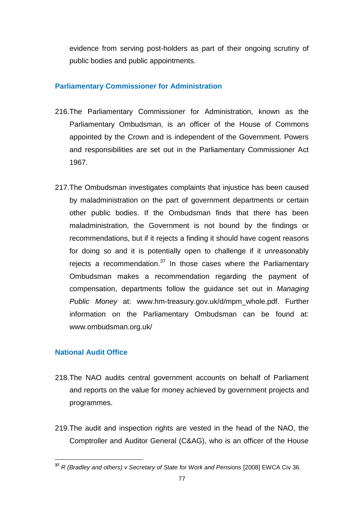evidence from serving post-holders as part of their ongoing scrutiny of public bodies and public appointments.

#### **Parliamentary Commissioner for Administration**

- 216.The Parliamentary Commissioner for Administration, known as the Parliamentary Ombudsman, is an officer of the House of Commons appointed by the Crown and is independent of the Government. Powers and responsibilities are set out in the Parliamentary Commissioner Act 1967.
- 217.The Ombudsman investigates complaints that injustice has been caused by maladministration on the part of government departments or certain other public bodies. If the Ombudsman finds that there has been maladministration, the Government is not bound by the findings or recommendations, but if it rejects a finding it should have cogent reasons for doing so and it is potentially open to challenge if it unreasonably rejects a recommendation.<sup>37</sup> In those cases where the Parliamentary Ombudsman makes a recommendation regarding the payment of compensation, departments follow the guidance set out in *Managing Public Money* at: [www.hm-treasury.gov.uk/d/mpm\\_whole.pdf.](http://www.hm-treasury.gov.uk/d/mpm_whole.pdf) Further information on the Parliamentary Ombudsman can be found at: [www.ombudsman.org.uk/](file://Client/Local%20Settings/Temp/AppData/Local/Local%20Settings/Temporary%20Internet%20Files/Content.Outlook/O5CBGTBL/www.ombudsman.org.uk/)

#### **National Audit Office**

- 218.The NAO audits central government accounts on behalf of Parliament and reports on the value for money achieved by government projects and programmes.
- 219.The audit and inspection rights are vested in the head of the NAO, the Comptroller and Auditor General (C&AG), who is an officer of the House

 **<sup>37</sup>** *R (Bradley and others) v Secretary of State for Work and Pensions* [2008] EWCA Civ 36.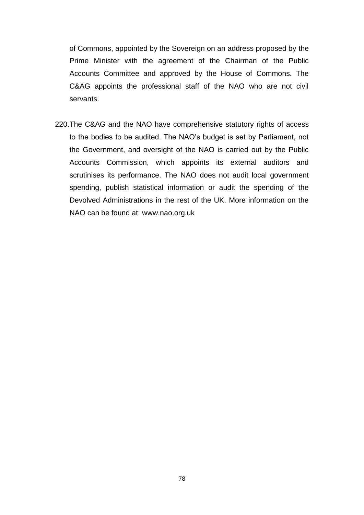of Commons, appointed by the Sovereign on an address proposed by the Prime Minister with the agreement of the Chairman of the Public Accounts Committee and approved by the House of Commons. The C&AG appoints the professional staff of the NAO who are not civil servants.

220.The C&AG and the NAO have comprehensive statutory rights of access to the bodies to be audited. The NAO"s budget is set by Parliament, not the Government, and oversight of the NAO is carried out by the Public Accounts Commission, which appoints its external auditors and scrutinises its performance. The NAO does not audit local government spending, publish statistical information or audit the spending of the Devolved Administrations in the rest of the UK. More information on the NAO can be found at: [www.nao.org.uk](http://www.nao.org.uk/)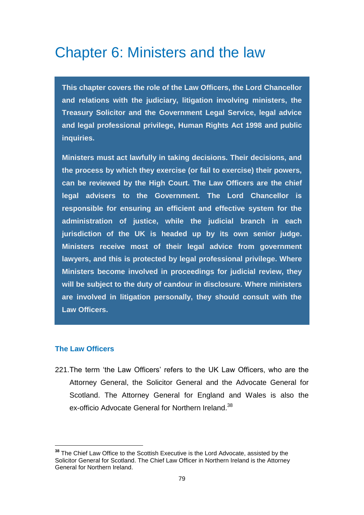### Chapter 6: Ministers and the law

**This chapter covers the role of the Law Officers, the Lord Chancellor and relations with the judiciary, litigation involving ministers, the Treasury Solicitor and the Government Legal Service, legal advice and legal professional privilege, Human Rights Act 1998 and public inquiries.** 

**Ministers must act lawfully in taking decisions. Their decisions, and the process by which they exercise (or fail to exercise) their powers, can be reviewed by the High Court. The Law Officers are the chief legal advisers to the Government. The Lord Chancellor is responsible for ensuring an efficient and effective system for the administration of justice, while the judicial branch in each jurisdiction of the UK is headed up by its own senior judge. Ministers receive most of their legal advice from government lawyers, and this is protected by legal professional privilege. Where Ministers become involved in proceedings for judicial review, they will be subject to the duty of candour in disclosure. Where ministers are involved in litigation personally, they should consult with the Law Officers.**

#### **The Law Officers**

221. The term 'the Law Officers' refers to the UK Law Officers, who are the Attorney General, the Solicitor General and the Advocate General for Scotland. The Attorney General for England and Wales is also the ex-officio Advocate General for Northern Ireland.<sup>38</sup>

**<sup>38</sup>** The Chief Law Office to the Scottish Executive is the Lord Advocate, assisted by the Solicitor General for Scotland. The Chief Law Officer in Northern Ireland is the Attorney General for Northern Ireland.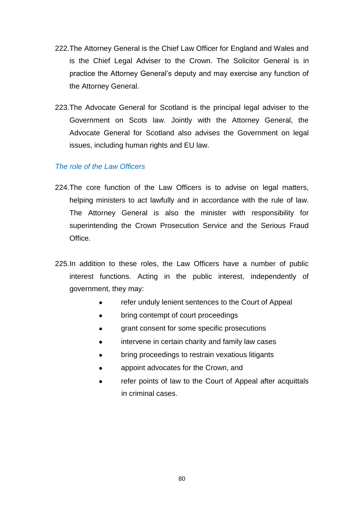- 222.The Attorney General is the Chief Law Officer for England and Wales and is the Chief Legal Adviser to the Crown. The Solicitor General is in practice the Attorney General"s deputy and may exercise any function of the Attorney General.
- 223.The Advocate General for Scotland is the principal legal adviser to the Government on Scots law. Jointly with the Attorney General, the Advocate General for Scotland also advises the Government on legal issues, including human rights and EU law.

#### *The role of the Law Officers*

- 224.The core function of the Law Officers is to advise on legal matters, helping ministers to act lawfully and in accordance with the rule of law. The Attorney General is also the minister with responsibility for superintending the Crown Prosecution Service and the Serious Fraud Office.
- 225.In addition to these roles, the Law Officers have a number of public interest functions. Acting in the public interest, independently of government, they may:
	- refer unduly lenient sentences to the Court of Appeal  $\bullet$
	- bring contempt of court proceedings  $\bullet$
	- grant consent for some specific prosecutions
	- intervene in certain charity and family law cases
	- bring proceedings to restrain vexatious litigants
	- appoint advocates for the Crown, and
	- refer points of law to the Court of Appeal after acquittals  $\bullet$ in criminal cases.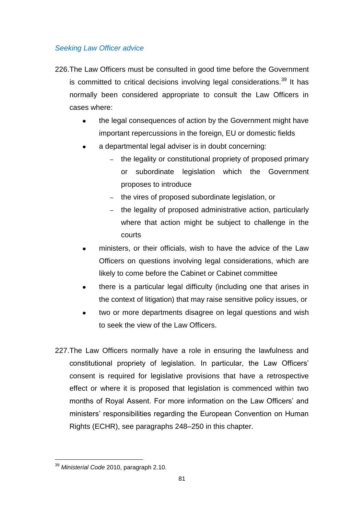#### *Seeking Law Officer advice*

- 226.The Law Officers must be consulted in good time before the Government is committed to critical decisions involving legal considerations.<sup>39</sup> It has normally been considered appropriate to consult the Law Officers in cases where:
	- the legal consequences of action by the Government might have  $\bullet$ important repercussions in the foreign, EU or domestic fields
	- a departmental legal adviser is in doubt concerning:
		- the legality or constitutional propriety of proposed primary or subordinate legislation which the Government proposes to introduce
		- the vires of proposed subordinate legislation, or
		- the legality of proposed administrative action, particularly where that action might be subject to challenge in the courts
	- ministers, or their officials, wish to have the advice of the Law Officers on questions involving legal considerations, which are likely to come before the Cabinet or Cabinet committee
	- there is a particular legal difficulty (including one that arises in the context of litigation) that may raise sensitive policy issues, or
	- two or more departments disagree on legal questions and wish  $\bullet$ to seek the view of the Law Officers.
- 227.The Law Officers normally have a role in ensuring the lawfulness and constitutional propriety of legislation. In particular, the Law Officers" consent is required for legislative provisions that have a retrospective effect or where it is proposed that legislation is commenced within two months of Royal Assent. For more information on the Law Officers' and ministers' responsibilities regarding the European Convention on Human Rights (ECHR), see paragraphs 248–250 in this chapter.

 <sup>39</sup> *Ministerial Code* 2010, paragraph 2.10.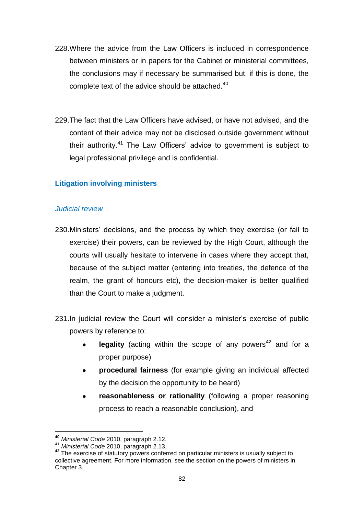- 228.Where the advice from the Law Officers is included in correspondence between ministers or in papers for the Cabinet or ministerial committees, the conclusions may if necessary be summarised but, if this is done, the complete text of the advice should be attached.<sup>40</sup>
- 229.The fact that the Law Officers have advised, or have not advised, and the content of their advice may not be disclosed outside government without their authority.<sup>41</sup> The Law Officers' advice to government is subject to legal professional privilege and is confidential.

#### **Litigation involving ministers**

#### *Judicial review*

- 230. Ministers' decisions, and the process by which they exercise (or fail to exercise) their powers, can be reviewed by the High Court, although the courts will usually hesitate to intervene in cases where they accept that, because of the subject matter (entering into treaties, the defence of the realm, the grant of honours etc), the decision-maker is better qualified than the Court to make a judgment.
- 231.In judicial review the Court will consider a minister's exercise of public powers by reference to:
	- **legality** (acting within the scope of any powers<sup>42</sup> and for a proper purpose)
	- **procedural fairness** (for example giving an individual affected  $\bullet$ by the decision the opportunity to be heard)
	- **reasonableness or rationality** (following a proper reasoning  $\bullet$ process to reach a reasonable conclusion), and

**<sup>40</sup>** *Ministerial Code* 2010, paragraph 2.12.

<sup>41</sup> *Ministerial Code* 2010, paragraph 2.13.

**<sup>42</sup>** The exercise of statutory powers conferred on particular ministers is usually subject to collective agreement. For more information, see the section on the powers of ministers in Chapter 3.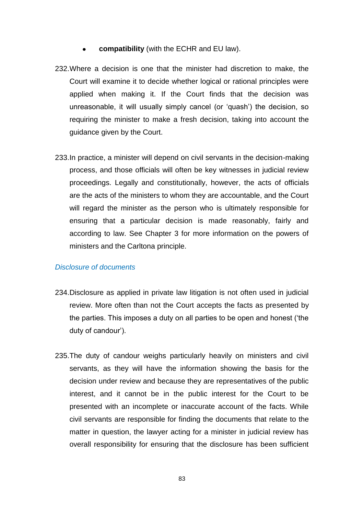- **compatibility** (with the ECHR and EU law).  $\bullet$
- 232.Where a decision is one that the minister had discretion to make, the Court will examine it to decide whether logical or rational principles were applied when making it. If the Court finds that the decision was unreasonable, it will usually simply cancel (or "quash") the decision, so requiring the minister to make a fresh decision, taking into account the guidance given by the Court.
- 233.In practice, a minister will depend on civil servants in the decision-making process, and those officials will often be key witnesses in judicial review proceedings. Legally and constitutionally, however, the acts of officials are the acts of the ministers to whom they are accountable, and the Court will regard the minister as the person who is ultimately responsible for ensuring that a particular decision is made reasonably, fairly and according to law. See Chapter 3 for more information on the powers of ministers and the Carltona principle.

#### *Disclosure of documents*

- 234.Disclosure as applied in private law litigation is not often used in judicial review. More often than not the Court accepts the facts as presented by the parties. This imposes a duty on all parties to be open and honest ("the duty of candour").
- 235.The duty of candour weighs particularly heavily on ministers and civil servants, as they will have the information showing the basis for the decision under review and because they are representatives of the public interest, and it cannot be in the public interest for the Court to be presented with an incomplete or inaccurate account of the facts. While civil servants are responsible for finding the documents that relate to the matter in question, the lawyer acting for a minister in judicial review has overall responsibility for ensuring that the disclosure has been sufficient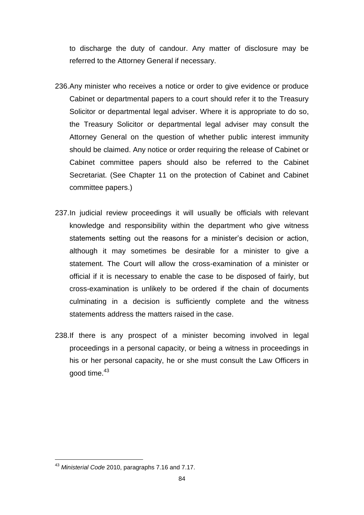to discharge the duty of candour. Any matter of disclosure may be referred to the Attorney General if necessary.

- 236.Any minister who receives a notice or order to give evidence or produce Cabinet or departmental papers to a court should refer it to the Treasury Solicitor or departmental legal adviser. Where it is appropriate to do so, the Treasury Solicitor or departmental legal adviser may consult the Attorney General on the question of whether public interest immunity should be claimed. Any notice or order requiring the release of Cabinet or Cabinet committee papers should also be referred to the Cabinet Secretariat. (See Chapter 11 on the protection of Cabinet and Cabinet committee papers.)
- 237.In judicial review proceedings it will usually be officials with relevant knowledge and responsibility within the department who give witness statements setting out the reasons for a minister's decision or action, although it may sometimes be desirable for a minister to give a statement. The Court will allow the cross-examination of a minister or official if it is necessary to enable the case to be disposed of fairly, but cross-examination is unlikely to be ordered if the chain of documents culminating in a decision is sufficiently complete and the witness statements address the matters raised in the case.
- 238.If there is any prospect of a minister becoming involved in legal proceedings in a personal capacity, or being a witness in proceedings in his or her personal capacity, he or she must consult the Law Officers in good time.<sup>43</sup>

<sup>43</sup> *Ministerial Code* 2010, paragraphs 7.16 and 7.17.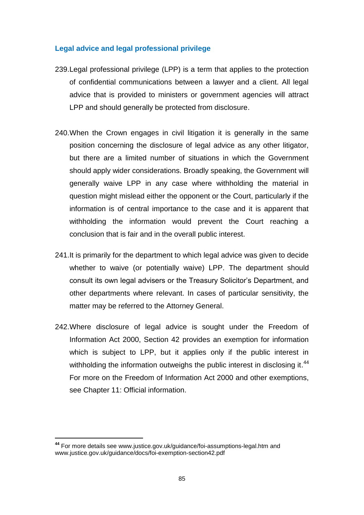#### **Legal advice and legal professional privilege**

- 239.Legal professional privilege (LPP) is a term that applies to the protection of confidential communications between a lawyer and a client. All legal advice that is provided to ministers or government agencies will attract LPP and should generally be protected from disclosure.
- 240.When the Crown engages in civil litigation it is generally in the same position concerning the disclosure of legal advice as any other litigator, but there are a limited number of situations in which the Government should apply wider considerations. Broadly speaking, the Government will generally waive LPP in any case where withholding the material in question might mislead either the opponent or the Court, particularly if the information is of central importance to the case and it is apparent that withholding the information would prevent the Court reaching a conclusion that is fair and in the overall public interest.
- 241.It is primarily for the department to which legal advice was given to decide whether to waive (or potentially waive) LPP. The department should consult its own legal advisers or the Treasury Solicitor"s Department, and other departments where relevant. In cases of particular sensitivity, the matter may be referred to the Attorney General.
- 242.Where disclosure of legal advice is sought under the Freedom of Information Act 2000, Section 42 provides an exemption for information which is subject to LPP, but it applies only if the public interest in withholding the information outweighs the public interest in disclosing it.<sup>44</sup> For more on the Freedom of Information Act 2000 and other exemptions, see Chapter 11: Official information.

**<sup>44</sup>** For more details see [www.justice.gov.uk/guidance/foi-assumptions-legal.htm](file://Client/Local%20Settings/Temp/AppData/Local/Local%20Settings/Temporary%20Internet%20Files/Content.Outlook/O5CBGTBL/www.justice.gov.uk/guidance/foi-assumptions-legal.htm) and [www.justice.gov.uk/guidance/docs/foi-exemption-section42.pdf](file://Client/Local%20Settings/Temp/AppData/Local/Local%20Settings/Temporary%20Internet%20Files/Content.Outlook/O5CBGTBL/www.justice.gov.uk/guidance/docs/foi-exemption-section42.pdf)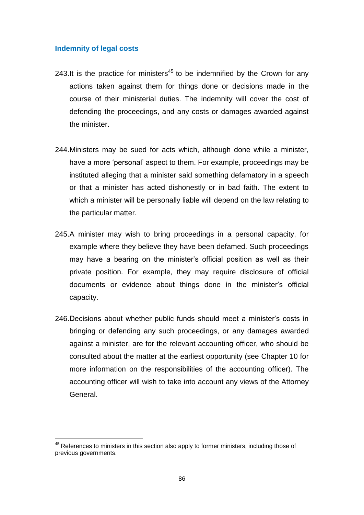#### **Indemnity of legal costs**

- 243.It is the practice for ministers<sup>45</sup> to be indemnified by the Crown for any actions taken against them for things done or decisions made in the course of their ministerial duties. The indemnity will cover the cost of defending the proceedings, and any costs or damages awarded against the minister.
- 244.Ministers may be sued for acts which, although done while a minister, have a more "personal" aspect to them. For example, proceedings may be instituted alleging that a minister said something defamatory in a speech or that a minister has acted dishonestly or in bad faith. The extent to which a minister will be personally liable will depend on the law relating to the particular matter.
- 245.A minister may wish to bring proceedings in a personal capacity, for example where they believe they have been defamed. Such proceedings may have a bearing on the minister's official position as well as their private position. For example, they may require disclosure of official documents or evidence about things done in the minister"s official capacity.
- 246. Decisions about whether public funds should meet a minister's costs in bringing or defending any such proceedings, or any damages awarded against a minister, are for the relevant accounting officer, who should be consulted about the matter at the earliest opportunity (see Chapter 10 for more information on the responsibilities of the accounting officer). The accounting officer will wish to take into account any views of the Attorney General.

 $45$  References to ministers in this section also apply to former ministers, including those of previous governments.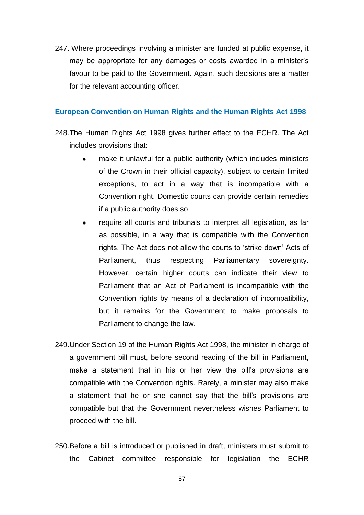247. Where proceedings involving a minister are funded at public expense, it may be appropriate for any damages or costs awarded in a minister"s favour to be paid to the Government. Again, such decisions are a matter for the relevant accounting officer.

#### **European Convention on Human Rights and the Human Rights Act 1998**

- 248.The Human Rights Act 1998 gives further effect to the ECHR. The Act includes provisions that:
	- make it unlawful for a public authority (which includes ministers of the Crown in their official capacity), subject to certain limited exceptions, to act in a way that is incompatible with a Convention right. Domestic courts can provide certain remedies if a public authority does so
	- require all courts and tribunals to interpret all legislation, as far as possible, in a way that is compatible with the Convention rights. The Act does not allow the courts to "strike down" Acts of Parliament, thus respecting Parliamentary sovereignty. However, certain higher courts can indicate their view to Parliament that an Act of Parliament is incompatible with the Convention rights by means of a declaration of incompatibility, but it remains for the Government to make proposals to Parliament to change the law.
- 249.Under Section 19 of the Human Rights Act 1998, the minister in charge of a government bill must, before second reading of the bill in Parliament, make a statement that in his or her view the bill"s provisions are compatible with the Convention rights. Rarely, a minister may also make a statement that he or she cannot say that the bill's provisions are compatible but that the Government nevertheless wishes Parliament to proceed with the bill.
- 250.Before a bill is introduced or published in draft, ministers must submit to the Cabinet committee responsible for legislation the ECHR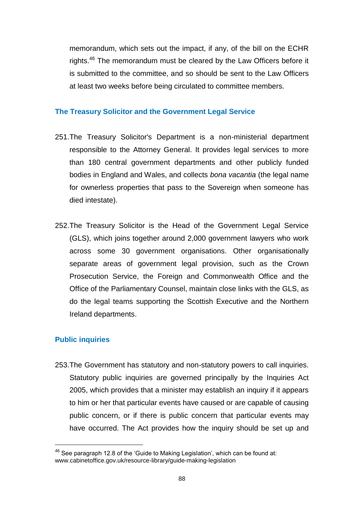memorandum, which sets out the impact, if any, of the bill on the ECHR rights.<sup>46</sup> The memorandum must be cleared by the Law Officers before it is submitted to the committee, and so should be sent to the Law Officers at least two weeks before being circulated to committee members.

#### **The Treasury Solicitor and the Government Legal Service**

- 251.The Treasury Solicitor's Department is a non-ministerial department responsible to the Attorney General. It provides legal services to more than 180 central government departments and other publicly funded bodies in England and Wales, and collects *bona vacantia* (the legal name for ownerless properties that pass to the Sovereign when someone has died intestate).
- 252.The Treasury Solicitor is the Head of the Government Legal Service (GLS), which joins together around 2,000 government lawyers who work across some 30 government organisations. Other organisationally separate areas of government legal provision, such as the Crown Prosecution Service, the Foreign and Commonwealth Office and the Office of the Parliamentary Counsel, maintain close links with the GLS, as do the legal teams supporting the Scottish Executive and the Northern Ireland departments.

#### **Public inquiries**

253.The Government has statutory and non-statutory powers to call inquiries. Statutory public inquiries are governed principally by the Inquiries Act 2005, which provides that a minister may establish an inquiry if it appears to him or her that particular events have caused or are capable of causing public concern, or if there is public concern that particular events may have occurred. The Act provides how the inquiry should be set up and

<sup>&</sup>lt;sup>46</sup> See paragraph 12.8 of the 'Guide to Making Legislation', which can be found at: www.cabinetoffice.gov.uk/resource-library/guide-making-legislation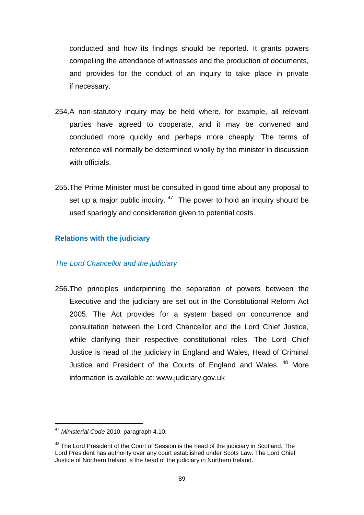conducted and how its findings should be reported. It grants powers compelling the attendance of witnesses and the production of documents, and provides for the conduct of an inquiry to take place in private if necessary.

- 254.A non-statutory inquiry may be held where, for example, all relevant parties have agreed to cooperate, and it may be convened and concluded more quickly and perhaps more cheaply. The terms of reference will normally be determined wholly by the minister in discussion with officials.
- 255.The Prime Minister must be consulted in good time about any proposal to set up a major public inquiry.  $47$  The power to hold an inquiry should be used sparingly and consideration given to potential costs.

#### **Relations with the judiciary**

#### *The Lord Chancellor and the judiciary*

256.The principles underpinning the separation of powers between the Executive and the judiciary are set out in the Constitutional Reform Act 2005. The Act provides for a system based on concurrence and consultation between the Lord Chancellor and the Lord Chief Justice, while clarifying their respective constitutional roles. The Lord Chief Justice is head of the judiciary in England and Wales, Head of Criminal Justice and President of the Courts of England and Wales. <sup>48</sup> More information is available at: [www.judiciary.gov.uk](http://www.judiciary.gov.uk/)

 <sup>47</sup> *Ministerial Code* 2010, paragraph 4.10.

<sup>&</sup>lt;sup>48</sup> The Lord President of the Court of Session is the head of the judiciary in Scotland. The Lord President has authority over any court established under Scots Law. The Lord Chief Justice of Northern Ireland is the head of the judiciary in Northern Ireland.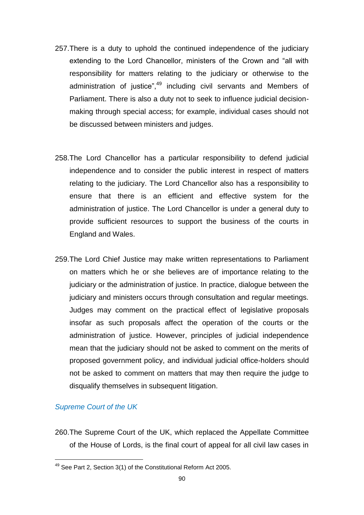- 257.There is a duty to uphold the continued independence of the judiciary extending to the Lord Chancellor, ministers of the Crown and "all with responsibility for matters relating to the judiciary or otherwise to the administration of justice",<sup>49</sup> including civil servants and Members of Parliament. There is also a duty not to seek to influence judicial decisionmaking through special access; for example, individual cases should not be discussed between ministers and judges.
- 258.The Lord Chancellor has a particular responsibility to defend judicial independence and to consider the public interest in respect of matters relating to the judiciary. The Lord Chancellor also has a responsibility to ensure that there is an efficient and effective system for the administration of justice. The Lord Chancellor is under a general duty to provide sufficient resources to support the business of the courts in England and Wales.
- 259.The Lord Chief Justice may make written representations to Parliament on matters which he or she believes are of importance relating to the judiciary or the administration of justice. In practice, dialogue between the judiciary and ministers occurs through consultation and regular meetings. Judges may comment on the practical effect of legislative proposals insofar as such proposals affect the operation of the courts or the administration of justice. However, principles of judicial independence mean that the judiciary should not be asked to comment on the merits of proposed government policy, and individual judicial office-holders should not be asked to comment on matters that may then require the judge to disqualify themselves in subsequent litigation.

#### *Supreme Court of the UK*

260.The Supreme Court of the UK, which replaced the Appellate Committee of the House of Lords, is the final court of appeal for all civil law cases in

<sup>49</sup> See Part 2, Section 3(1) of the Constitutional Reform Act 2005.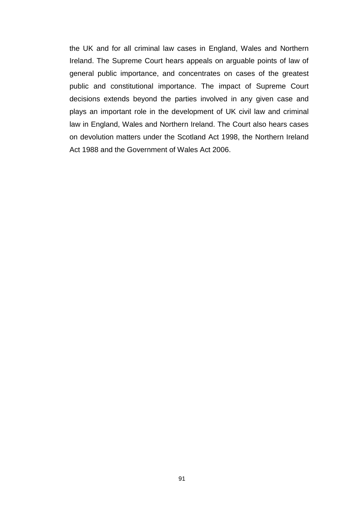the UK and for all criminal law cases in England, Wales and Northern Ireland. The Supreme Court hears appeals on arguable points of law of general public importance, and concentrates on cases of the greatest public and constitutional importance. The impact of Supreme Court decisions extends beyond the parties involved in any given case and plays an important role in the development of UK civil law and criminal law in England, Wales and Northern Ireland. The Court also hears cases on devolution matters under the Scotland Act 1998, the Northern Ireland Act 1988 and the Government of Wales Act 2006.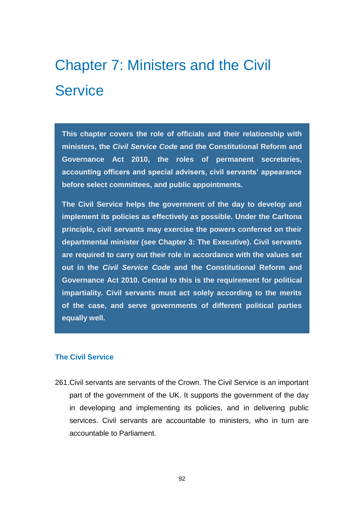## Chapter 7: Ministers and the Civil **Service**

**This chapter covers the role of officials and their relationship with ministers, the** *Civil Service Code* **and the Constitutional Reform and Governance Act 2010, the roles of permanent secretaries, accounting officers and special advisers, civil servants' appearance before select committees, and public appointments.** 

**The Civil Service helps the government of the day to develop and implement its policies as effectively as possible. Under the Carltona principle, civil servants may exercise the powers conferred on their departmental minister (see Chapter 3: The Executive). Civil servants are required to carry out their role in accordance with the values set out in the** *Civil Service Code* **and the Constitutional Reform and Governance Act 2010. Central to this is the requirement for political impartiality. Civil servants must act solely according to the merits of the case, and serve governments of different political parties equally well.** 

#### **The Civil Service**

261.Civil servants are servants of the Crown. The Civil Service is an important part of the government of the UK. It supports the government of the day in developing and implementing its policies, and in delivering public services. Civil servants are accountable to ministers, who in turn are accountable to Parliament.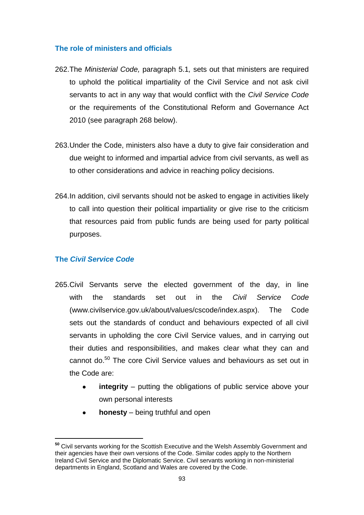#### **The role of ministers and officials**

- 262.The *Ministerial Code,* paragraph 5.1*,* sets out that ministers are required to uphold the political impartiality of the Civil Service and not ask civil servants to act in any way that would conflict with the *Civil Service Code* or the requirements of the Constitutional Reform and Governance Act 2010 (see paragraph 268 below).
- 263.Under the Code, ministers also have a duty to give fair consideration and due weight to informed and impartial advice from civil servants, as well as to other considerations and advice in reaching policy decisions.
- 264.In addition, civil servants should not be asked to engage in activities likely to call into question their political impartiality or give rise to the criticism that resources paid from public funds are being used for party political purposes.

#### **The** *Civil Service Code*

- 265.Civil Servants serve the elected government of the day, in line with the standards set out in the *Civil Service Code* [\(www.civilservice.gov.uk/about/values/cscode/index.aspx\)](file://Client/Local%20Settings/Temp/AppData/Local/Local%20Settings/Temporary%20Internet%20Files/Content.Outlook/O5CBGTBL/www.civilservice.gov.uk/about/values/cscode/index.aspx). The Code sets out the standards of conduct and behaviours expected of all civil servants in upholding the core Civil Service values, and in carrying out their duties and responsibilities, and makes clear what they can and cannot do.<sup>50</sup> The core Civil Service values and behaviours as set out in the Code are:
	- **integrity** putting the obligations of public service above your own personal interests
	- **honesty**  being truthful and open

**<sup>50</sup>** Civil servants working for the Scottish Executive and the Welsh Assembly Government and their agencies have their own versions of the Code. Similar codes apply to the Northern Ireland Civil Service and the Diplomatic Service. Civil servants working in non-ministerial departments in England, Scotland and Wales are covered by the Code.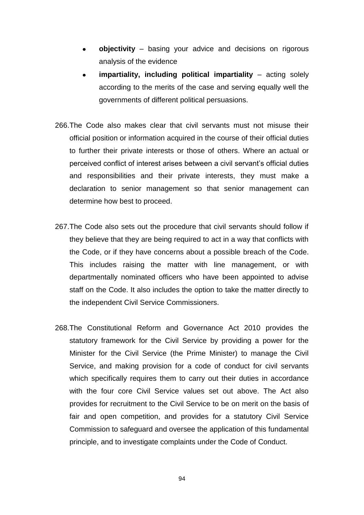- **objectivity** basing your advice and decisions on rigorous analysis of the evidence
- **impartiality, including political impartiality** acting solely according to the merits of the case and serving equally well the governments of different political persuasions.
- 266.The Code also makes clear that civil servants must not misuse their official position or information acquired in the course of their official duties to further their private interests or those of others. Where an actual or perceived conflict of interest arises between a civil servant"s official duties and responsibilities and their private interests, they must make a declaration to senior management so that senior management can determine how best to proceed.
- 267.The Code also sets out the procedure that civil servants should follow if they believe that they are being required to act in a way that conflicts with the Code, or if they have concerns about a possible breach of the Code. This includes raising the matter with line management, or with departmentally nominated officers who have been appointed to advise staff on the Code. It also includes the option to take the matter directly to the independent Civil Service Commissioners.
- 268.The Constitutional Reform and Governance Act 2010 provides the statutory framework for the Civil Service by providing a power for the Minister for the Civil Service (the Prime Minister) to manage the Civil Service, and making provision for a code of conduct for civil servants which specifically requires them to carry out their duties in accordance with the four core Civil Service values set out above. The Act also provides for recruitment to the Civil Service to be on merit on the basis of fair and open competition, and provides for a statutory Civil Service Commission to safeguard and oversee the application of this fundamental principle, and to investigate complaints under the Code of Conduct.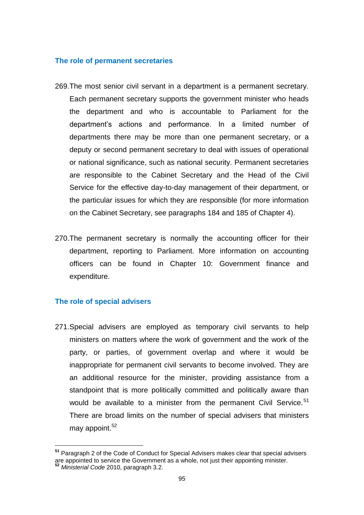#### **The role of permanent secretaries**

- 269.The most senior civil servant in a department is a permanent secretary. Each permanent secretary supports the government minister who heads the department and who is accountable to Parliament for the department"s actions and performance. In a limited number of departments there may be more than one permanent secretary, or a deputy or second permanent secretary to deal with issues of operational or national significance, such as national security. Permanent secretaries are responsible to the Cabinet Secretary and the Head of the Civil Service for the effective day-to-day management of their department, or the particular issues for which they are responsible (for more information on the Cabinet Secretary, see paragraphs 184 and 185 of Chapter 4).
- 270.The permanent secretary is normally the accounting officer for their department, reporting to Parliament. More information on accounting officers can be found in Chapter 10: Government finance and expenditure.

#### **The role of special advisers**

271.Special advisers are employed as temporary civil servants to help ministers on matters where the work of government and the work of the party, or parties, of government overlap and where it would be inappropriate for permanent civil servants to become involved. They are an additional resource for the minister, providing assistance from a standpoint that is more politically committed and politically aware than would be available to a minister from the permanent Civil Service.<sup>51</sup> There are broad limits on the number of special advisers that ministers may appoint. $52$ 

**<sup>51</sup>** Paragraph 2 of the Code of Conduct for Special Advisers makes clear that special advisers are appointed to service the Government as a whole, not just their appointing minister. **<sup>52</sup>** *Ministerial Code* 2010, paragraph 3.2.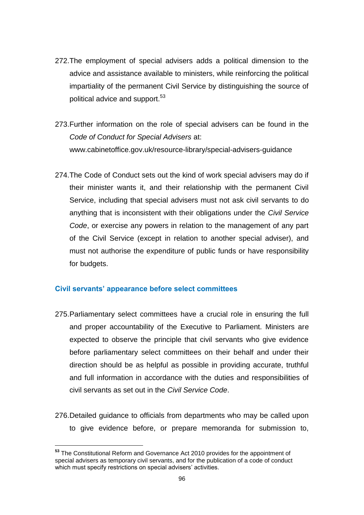- 272.The employment of special advisers adds a political dimension to the advice and assistance available to ministers, while reinforcing the political impartiality of the permanent Civil Service by distinguishing the source of political advice and support.<sup>53</sup>
- 273.Further information on the role of special advisers can be found in the *Code of Conduct for Special Advisers* at: [www.cabinetoffice.gov.uk/resource-library/special-advisers-guidance](http://www.cabinetoffice.gov.uk/resource-library/special-advisers-guidance)
- 274.The Code of Conduct sets out the kind of work special advisers may do if their minister wants it, and their relationship with the permanent Civil Service, including that special advisers must not ask civil servants to do anything that is inconsistent with their obligations under the *Civil Service Code*, or exercise any powers in relation to the management of any part of the Civil Service (except in relation to another special adviser), and must not authorise the expenditure of public funds or have responsibility for budgets.

#### **Civil servants' appearance before select committees**

- 275.Parliamentary select committees have a crucial role in ensuring the full and proper accountability of the Executive to Parliament. Ministers are expected to observe the principle that civil servants who give evidence before parliamentary select committees on their behalf and under their direction should be as helpful as possible in providing accurate, truthful and full information in accordance with the duties and responsibilities of civil servants as set out in the *Civil Service Code*.
- 276.Detailed guidance to officials from departments who may be called upon to give evidence before, or prepare memoranda for submission to,

 **<sup>53</sup>** The Constitutional Reform and Governance Act 2010 provides for the appointment of special advisers as temporary civil servants, and for the publication of a code of conduct which must specify restrictions on special advisers' activities.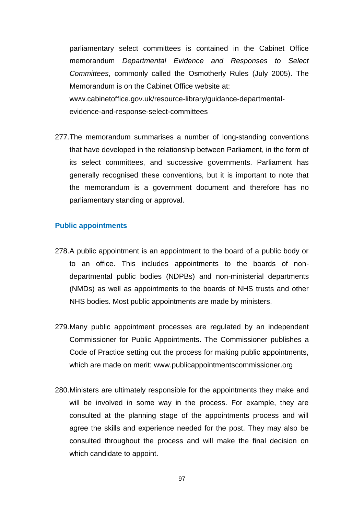parliamentary select committees is contained in the Cabinet Office memorandum *Departmental Evidence and Responses to Select Committees*, commonly called the Osmotherly Rules (July 2005). The Memorandum is on the Cabinet Office website at: [www.cabinetoffice.gov.uk/resource-library/guidance-departmental](http://www.cabinetoffice.gov.uk/resource-library/guidance-departmental-evidence-and-response-select-committees)[evidence-and-response-select-committees](http://www.cabinetoffice.gov.uk/resource-library/guidance-departmental-evidence-and-response-select-committees)

277.The memorandum summarises a number of long-standing conventions that have developed in the relationship between Parliament, in the form of its select committees, and successive governments. Parliament has generally recognised these conventions, but it is important to note that the memorandum is a government document and therefore has no parliamentary standing or approval.

#### **Public appointments**

- 278.A public appointment is an appointment to the board of a public body or to an office. This includes appointments to the boards of nondepartmental public bodies (NDPBs) and non-ministerial departments (NMDs) as well as appointments to the boards of NHS trusts and other NHS bodies. Most public appointments are made by ministers.
- 279.Many public appointment processes are regulated by an independent Commissioner for Public Appointments. The Commissioner publishes a Code of Practice setting out the process for making public appointments, which are made on merit: [www.publicappointmentscommissioner.org](http://www.publicappointmentscommissioner.org/)
- 280.Ministers are ultimately responsible for the appointments they make and will be involved in some way in the process. For example, they are consulted at the planning stage of the appointments process and will agree the skills and experience needed for the post. They may also be consulted throughout the process and will make the final decision on which candidate to appoint.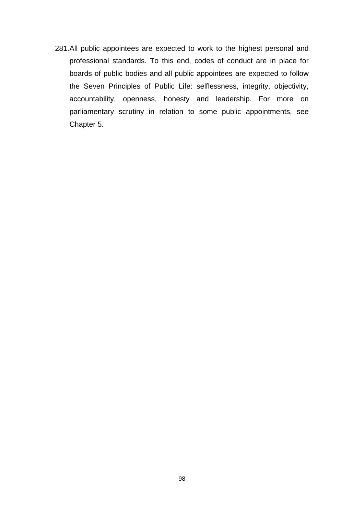281.All public appointees are expected to work to the highest personal and professional standards. To this end, codes of conduct are in place for boards of public bodies and all public appointees are expected to follow the Seven Principles of Public Life: selflessness, integrity, objectivity, accountability, openness, honesty and leadership. For more on parliamentary scrutiny in relation to some public appointments, see Chapter 5.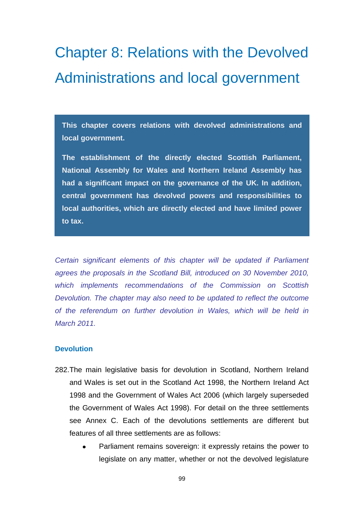## Chapter 8: Relations with the Devolved Administrations and local government

**This chapter covers relations with devolved administrations and local government.** 

**The establishment of the directly elected Scottish Parliament, National Assembly for Wales and Northern Ireland Assembly has had a significant impact on the governance of the UK. In addition, central government has devolved powers and responsibilities to local authorities, which are directly elected and have limited power to tax.** 

*Certain significant elements of this chapter will be updated if Parliament agrees the proposals in the Scotland Bill, introduced on 30 November 2010, which implements recommendations of the Commission on Scottish Devolution. The chapter may also need to be updated to reflect the outcome of the referendum on further devolution in Wales, which will be held in March 2011.*

#### **Devolution**

- 282.The main legislative basis for devolution in Scotland, Northern Ireland and Wales is set out in the Scotland Act 1998, the Northern Ireland Act 1998 and the Government of Wales Act 2006 (which largely superseded the Government of Wales Act 1998). For detail on the three settlements see Annex C. Each of the devolutions settlements are different but features of all three settlements are as follows:
	- Parliament remains sovereign: it expressly retains the power to legislate on any matter, whether or not the devolved legislature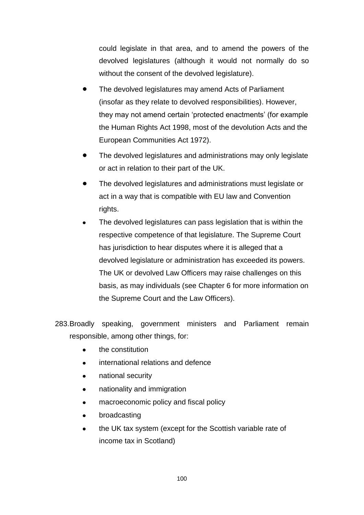could legislate in that area, and to amend the powers of the devolved legislatures (although it would not normally do so without the consent of the devolved legislature).

- The devolved legislatures may amend Acts of Parliament (insofar as they relate to devolved responsibilities). However, they may not amend certain "protected enactments" (for example the Human Rights Act 1998, most of the devolution Acts and the European Communities Act 1972).
- The devolved legislatures and administrations may only legislate  $\bullet$ or act in relation to their part of the UK.
- The devolved legislatures and administrations must legislate or act in a way that is compatible with EU law and Convention rights.
- The devolved legislatures can pass legislation that is within the respective competence of that legislature. The Supreme Court has jurisdiction to hear disputes where it is alleged that a devolved legislature or administration has exceeded its powers. The UK or devolved Law Officers may raise challenges on this basis, as may individuals (see Chapter 6 for more information on the Supreme Court and the Law Officers).
- 283.Broadly speaking, government ministers and Parliament remain responsible, among other things, for:
	- the constitution
	- international relations and defence
	- national security
	- nationality and immigration  $\bullet$
	- macroeconomic policy and fiscal policy  $\bullet$
	- broadcasting  $\bullet$
	- the UK tax system (except for the Scottish variable rate of  $\bullet$ income tax in Scotland)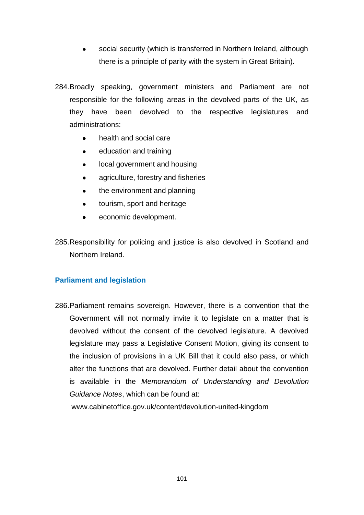- social security (which is transferred in Northern Ireland, although there is a principle of parity with the system in Great Britain).
- 284.Broadly speaking, government ministers and Parliament are not responsible for the following areas in the devolved parts of the UK, as they have been devolved to the respective legislatures and administrations:
	- health and social care
	- education and training  $\bullet$
	- $\bullet$ local government and housing
	- agriculture, forestry and fisheries  $\bullet$
	- the environment and planning  $\bullet$
	- tourism, sport and heritage  $\bullet$
	- economic development.  $\bullet$

285.Responsibility for policing and justice is also devolved in Scotland and Northern Ireland.

#### **Parliament and legislation**

286.Parliament remains sovereign. However, there is a convention that the Government will not normally invite it to legislate on a matter that is devolved without the consent of the devolved legislature. A devolved legislature may pass a Legislative Consent Motion, giving its consent to the inclusion of provisions in a UK Bill that it could also pass, or which alter the functions that are devolved. Further detail about the convention is available in the *Memorandum of Understanding and Devolution Guidance Notes*, which can be found at:

www.cabinetoffice.gov.uk/content/devolution-united-kingdom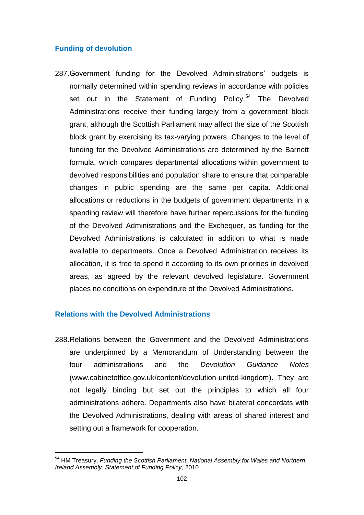#### **Funding of devolution**

287.Government funding for the Devolved Administrations" budgets is normally determined within spending reviews in accordance with policies set out in the Statement of Funding Policy.<sup>54</sup> The Devolved Administrations receive their funding largely from a government block grant, although the Scottish Parliament may affect the size of the Scottish block grant by exercising its tax-varying powers. Changes to the level of funding for the Devolved Administrations are determined by the Barnett formula, which compares departmental allocations within government to devolved responsibilities and population share to ensure that comparable changes in public spending are the same per capita. Additional allocations or reductions in the budgets of government departments in a spending review will therefore have further repercussions for the funding of the Devolved Administrations and the Exchequer, as funding for the Devolved Administrations is calculated in addition to what is made available to departments. Once a Devolved Administration receives its allocation, it is free to spend it according to its own priorities in devolved areas, as agreed by the relevant devolved legislature. Government places no conditions on expenditure of the Devolved Administrations.

#### **Relations with the Devolved Administrations**

288.Relations between the Government and the Devolved Administrations are underpinned by a Memorandum of Understanding between the four administrations and the *Devolution Guidance Notes* (www.cabinetoffice.gov.uk/content/devolution-united-kingdom). They are not legally binding but set out the principles to which all four administrations adhere. Departments also have bilateral concordats with the Devolved Administrations, dealing with areas of shared interest and setting out a framework for cooperation.

**<sup>54</sup>** HM Treasury, *Funding the Scottish Parliament, National Assembly for Wales and Northern Ireland Assembly: Statement of Funding Policy*, 2010.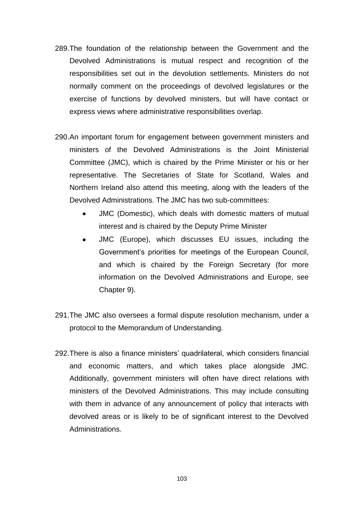- 289.The foundation of the relationship between the Government and the Devolved Administrations is mutual respect and recognition of the responsibilities set out in the devolution settlements. Ministers do not normally comment on the proceedings of devolved legislatures or the exercise of functions by devolved ministers, but will have contact or express views where administrative responsibilities overlap.
- 290.An important forum for engagement between government ministers and ministers of the Devolved Administrations is the Joint Ministerial Committee (JMC), which is chaired by the Prime Minister or his or her representative. The Secretaries of State for Scotland, Wales and Northern Ireland also attend this meeting, along with the leaders of the Devolved Administrations. The JMC has two sub-committees:
	- JMC (Domestic), which deals with domestic matters of mutual interest and is chaired by the Deputy Prime Minister
	- JMC (Europe), which discusses EU issues, including the  $\bullet$ Government"s priorities for meetings of the European Council, and which is chaired by the Foreign Secretary (for more information on the Devolved Administrations and Europe, see Chapter 9).
- 291.The JMC also oversees a formal dispute resolution mechanism, under a protocol to the Memorandum of Understanding.
- 292.There is also a finance ministers" quadrilateral, which considers financial and economic matters, and which takes place alongside JMC. Additionally, government ministers will often have direct relations with ministers of the Devolved Administrations. This may include consulting with them in advance of any announcement of policy that interacts with devolved areas or is likely to be of significant interest to the Devolved Administrations.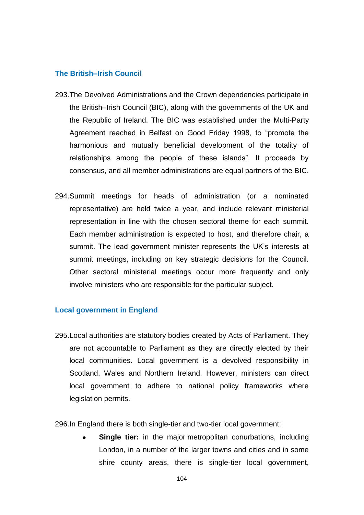#### **The British–Irish Council**

- 293.The Devolved Administrations and the Crown dependencies participate in the British–Irish Council (BIC), along with the governments of the UK and the Republic of Ireland. The BIC was established under the Multi-Party Agreement reached in Belfast on Good Friday 1998, to "promote the harmonious and mutually beneficial development of the totality of relationships among the people of these islands". It proceeds by consensus, and all member administrations are equal partners of the BIC.
- 294.Summit meetings for heads of administration (or a nominated representative) are held twice a year, and include relevant ministerial representation in line with the chosen sectoral theme for each summit. Each member administration is expected to host, and therefore chair, a summit. The lead government minister represents the UK"s interests at summit meetings, including on key strategic decisions for the Council. Other sectoral ministerial meetings occur more frequently and only involve ministers who are responsible for the particular subject.

#### **Local government in England**

295.Local authorities are statutory bodies created by Acts of Parliament. They are not accountable to Parliament as they are directly elected by their local communities. Local government is a devolved responsibility in Scotland, Wales and Northern Ireland. However, ministers can direct local government to adhere to national policy frameworks where legislation permits.

296.In England there is both single-tier and two-tier local government:

**Single tier:** in the major metropolitan conurbations, including London, in a number of the larger towns and cities and in some shire county areas, there is single-tier local government,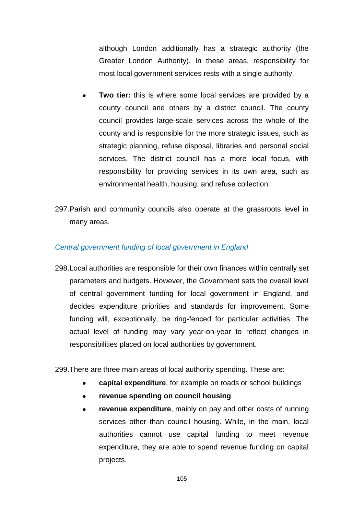although London additionally has a strategic authority (the Greater London Authority). In these areas, responsibility for most local government services rests with a single authority.

- **Two tier:** this is where some local services are provided by a county council and others by a district council. The county council provides large-scale services across the whole of the county and is responsible for the more strategic issues, such as strategic planning, refuse disposal, libraries and personal social services. The district council has a more local focus, with responsibility for providing services in its own area, such as environmental health, housing, and refuse collection.
- 297.Parish and community councils also operate at the grassroots level in many areas.

#### *Central government funding of local government in England*

298.Local authorities are responsible for their own finances within centrally set parameters and budgets. However, the Government sets the overall level of central government funding for local government in England, and decides expenditure priorities and standards for improvement. Some funding will, exceptionally, be ring-fenced for particular activities. The actual level of funding may vary year-on-year to reflect changes in responsibilities placed on local authorities by government.

299.There are three main areas of local authority spending. These are:

- **capital expenditure**, for example on roads or school buildings  $\bullet$
- **revenue spending on council housing**  $\bullet$
- **revenue expenditure**, mainly on pay and other costs of running  $\bullet$ services other than council housing. While, in the main, local authorities cannot use capital funding to meet revenue expenditure, they are able to spend revenue funding on capital projects.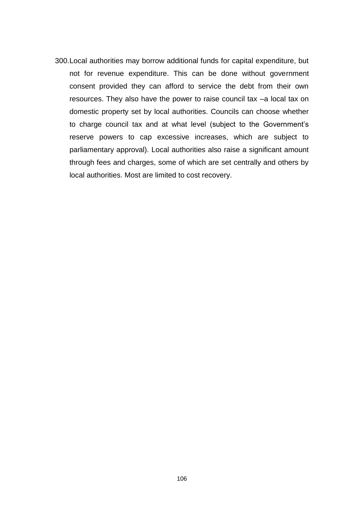300.Local authorities may borrow additional funds for capital expenditure, but not for revenue expenditure. This can be done without government consent provided they can afford to service the debt from their own resources. They also have the power to raise council tax –a local tax on domestic property set by local authorities. Councils can choose whether to charge council tax and at what level (subject to the Government"s reserve powers to cap excessive increases, which are subject to parliamentary approval). Local authorities also raise a significant amount through fees and charges, some of which are set centrally and others by local authorities. Most are limited to cost recovery.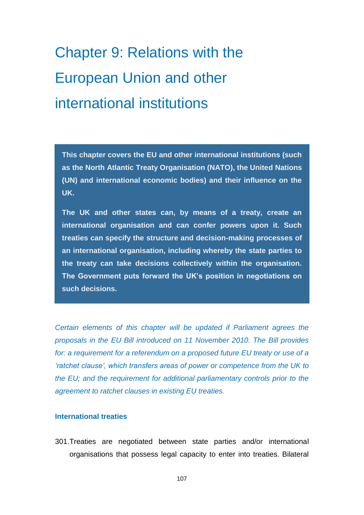# Chapter 9: Relations with the European Union and other international institutions

**This chapter covers the EU and other international institutions (such as the North Atlantic Treaty Organisation (NATO), the United Nations (UN) and international economic bodies) and their influence on the UK.** 

**The UK and other states can, by means of a treaty, create an international organisation and can confer powers upon it. Such treaties can specify the structure and decision-making processes of an international organisation, including whereby the state parties to the treaty can take decisions collectively within the organisation. The Government puts forward the UK's position in negotiations on such decisions.** 

*Certain elements of this chapter will be updated if Parliament agrees the proposals in the EU Bill introduced on 11 November 2010. The Bill provides*  for: a requirement for a referendum on a proposed future EU treaty or use of a *'ratchet clause', which transfers areas of power or competence from the UK to the EU; and the requirement for additional parliamentary controls prior to the agreement to ratchet clauses in existing EU treaties.*

#### **International treaties**

301.Treaties are negotiated between state parties and/or international organisations that possess legal capacity to enter into treaties. Bilateral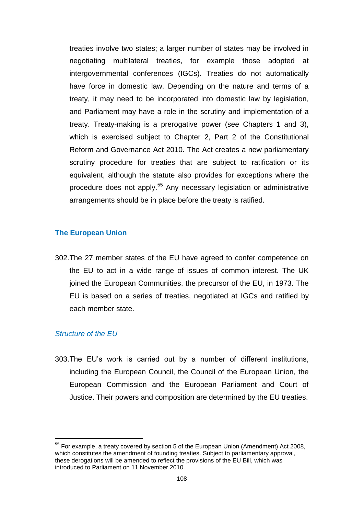treaties involve two states; a larger number of states may be involved in negotiating multilateral treaties, for example those adopted at intergovernmental conferences (IGCs). Treaties do not automatically have force in domestic law. Depending on the nature and terms of a treaty, it may need to be incorporated into domestic law by legislation, and Parliament may have a role in the scrutiny and implementation of a treaty. Treaty-making is a prerogative power (see Chapters 1 and 3), which is exercised subject to Chapter 2, Part 2 of the Constitutional Reform and Governance Act 2010. The Act creates a new parliamentary scrutiny procedure for treaties that are subject to ratification or its equivalent, although the statute also provides for exceptions where the procedure does not apply.<sup>55</sup> Any necessary legislation or administrative arrangements should be in place before the treaty is ratified.

#### **The European Union**

302.The 27 member states of the EU have agreed to confer competence on the EU to act in a wide range of issues of common interest. The UK joined the European Communities, the precursor of the EU, in 1973. The EU is based on a series of treaties, negotiated at IGCs and ratified by each member state.

#### *Structure of the EU*

303.The EU"s work is carried out by a number of different institutions, including the European Council, the Council of the European Union, the European Commission and the European Parliament and Court of Justice. Their powers and composition are determined by the EU treaties.

**<sup>55</sup>** For example, a treaty covered by section 5 of the European Union (Amendment) Act 2008, which constitutes the amendment of founding treaties. Subject to parliamentary approval, these derogations will be amended to reflect the provisions of the EU Bill, which was introduced to Parliament on 11 November 2010.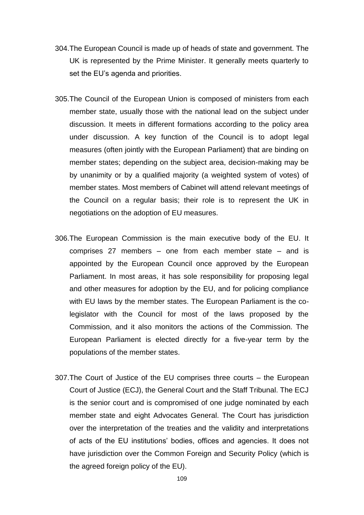- 304.The European Council is made up of heads of state and government. The UK is represented by the Prime Minister. It generally meets quarterly to set the EU's agenda and priorities.
- 305.The Council of the European Union is composed of ministers from each member state, usually those with the national lead on the subject under discussion. It meets in different formations according to the policy area under discussion. A key function of the Council is to adopt legal measures (often jointly with the European Parliament) that are binding on member states; depending on the subject area, decision-making may be by unanimity or by a qualified majority (a weighted system of votes) of member states. Most members of Cabinet will attend relevant meetings of the Council on a regular basis; their role is to represent the UK in negotiations on the adoption of EU measures.
- 306.The European Commission is the main executive body of the EU. It comprises 27 members – one from each member state – and is appointed by the European Council once approved by the European Parliament. In most areas, it has sole responsibility for proposing legal and other measures for adoption by the EU, and for policing compliance with EU laws by the member states. The European Parliament is the colegislator with the Council for most of the laws proposed by the Commission, and it also monitors the actions of the Commission. The European Parliament is elected directly for a five-year term by the populations of the member states.
- 307.The Court of Justice of the EU comprises three courts the European Court of Justice (ECJ), the General Court and the Staff Tribunal. The ECJ is the senior court and is compromised of one judge nominated by each member state and eight Advocates General. The Court has jurisdiction over the interpretation of the treaties and the validity and interpretations of acts of the EU institutions" bodies, offices and agencies. It does not have jurisdiction over the Common Foreign and Security Policy (which is the agreed foreign policy of the EU).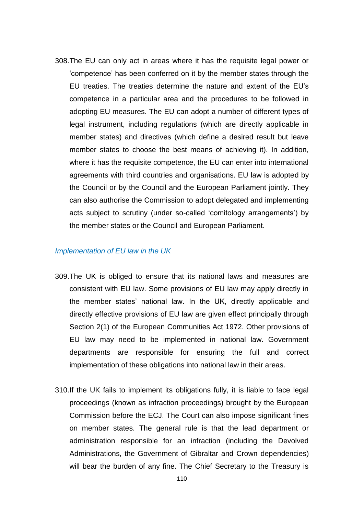308.The EU can only act in areas where it has the requisite legal power or "competence" has been conferred on it by the member states through the EU treaties. The treaties determine the nature and extent of the EU"s competence in a particular area and the procedures to be followed in adopting EU measures. The EU can adopt a number of different types of legal instrument, including regulations (which are directly applicable in member states) and directives (which define a desired result but leave member states to choose the best means of achieving it). In addition, where it has the requisite competence, the EU can enter into international agreements with third countries and organisations. EU law is adopted by the Council or by the Council and the European Parliament jointly. They can also authorise the Commission to adopt delegated and implementing acts subject to scrutiny (under so-called "comitology arrangements") by the member states or the Council and European Parliament.

#### *Implementation of EU law in the UK*

- 309.The UK is obliged to ensure that its national laws and measures are consistent with EU law. Some provisions of EU law may apply directly in the member states" national law. In the UK, directly applicable and directly effective provisions of EU law are given effect principally through Section 2(1) of the European Communities Act 1972. Other provisions of EU law may need to be implemented in national law. Government departments are responsible for ensuring the full and correct implementation of these obligations into national law in their areas.
- 310.If the UK fails to implement its obligations fully, it is liable to face legal proceedings (known as infraction proceedings) brought by the European Commission before the ECJ. The Court can also impose significant fines on member states. The general rule is that the lead department or administration responsible for an infraction (including the Devolved Administrations, the Government of Gibraltar and Crown dependencies) will bear the burden of any fine. The Chief Secretary to the Treasury is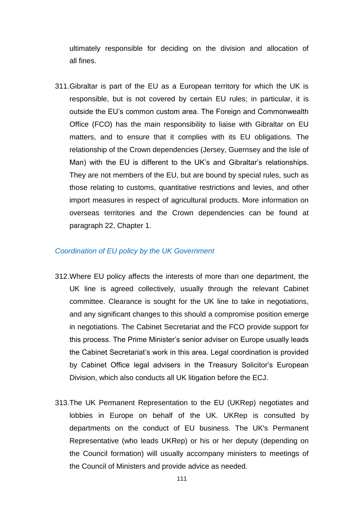ultimately responsible for deciding on the division and allocation of all fines.

311.Gibraltar is part of the EU as a European territory for which the UK is responsible, but is not covered by certain EU rules; in particular, it is outside the EU"s common custom area. The Foreign and Commonwealth Office (FCO) has the main responsibility to liaise with Gibraltar on EU matters, and to ensure that it complies with its EU obligations. The relationship of the Crown dependencies (Jersey, Guernsey and the Isle of Man) with the EU is different to the UK"s and Gibraltar"s relationships. They are not members of the EU, but are bound by special rules, such as those relating to customs, quantitative restrictions and levies, and other import measures in respect of agricultural products. More information on overseas territories and the Crown dependencies can be found at paragraph 22, Chapter 1.

#### *Coordination of EU policy by the UK Government*

- 312.Where EU policy affects the interests of more than one department, the UK line is agreed collectively, usually through the relevant Cabinet committee. Clearance is sought for the UK line to take in negotiations, and any significant changes to this should a compromise position emerge in negotiations. The Cabinet Secretariat and the FCO provide support for this process. The Prime Minister"s senior adviser on Europe usually leads the Cabinet Secretariat"s work in this area. Legal coordination is provided by Cabinet Office legal advisers in the Treasury Solicitor's European Division, which also conducts all UK litigation before the ECJ.
- 313.The UK Permanent Representation to the EU (UKRep) negotiates and lobbies in Europe on behalf of the UK. UKRep is consulted by departments on the conduct of EU business. The UK's Permanent Representative (who leads UKRep) or his or her deputy (depending on the Council formation) will usually accompany ministers to meetings of the Council of Ministers and provide advice as needed.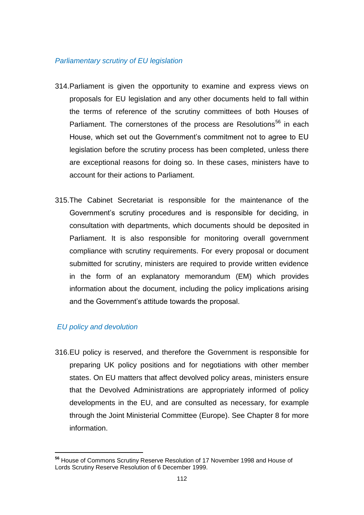#### *Parliamentary scrutiny of EU legislation*

- 314.Parliament is given the opportunity to examine and express views on proposals for EU legislation and any other documents held to fall within the terms of reference of the scrutiny committees of both Houses of Parliament. The cornerstones of the process are Resolutions<sup>56</sup> in each House, which set out the Government"s commitment not to agree to EU legislation before the scrutiny process has been completed, unless there are exceptional reasons for doing so. In these cases, ministers have to account for their actions to Parliament.
- 315.The Cabinet Secretariat is responsible for the maintenance of the Government"s scrutiny procedures and is responsible for deciding, in consultation with departments, which documents should be deposited in Parliament. It is also responsible for monitoring overall government compliance with scrutiny requirements. For every proposal or document submitted for scrutiny, ministers are required to provide written evidence in the form of an explanatory memorandum (EM) which provides information about the document, including the policy implications arising and the Government's attitude towards the proposal.

## *EU policy and devolution*

316.EU policy is reserved, and therefore the Government is responsible for preparing UK policy positions and for negotiations with other member states. On EU matters that affect devolved policy areas, ministers ensure that the Devolved Administrations are appropriately informed of policy developments in the EU, and are consulted as necessary, for example through the Joint Ministerial Committee (Europe). See Chapter 8 for more information.

**<sup>56</sup>** House of Commons Scrutiny Reserve Resolution of 17 November 1998 and House of Lords Scrutiny Reserve Resolution of 6 December 1999.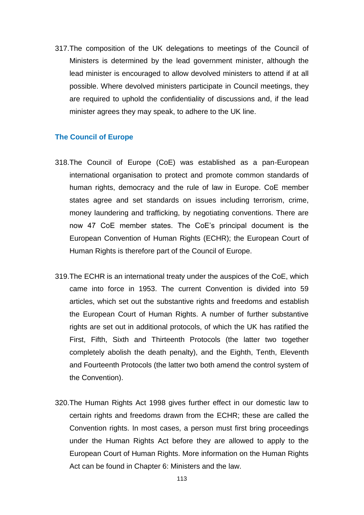317.The composition of the UK delegations to meetings of the Council of Ministers is determined by the lead government minister, although the lead minister is encouraged to allow devolved ministers to attend if at all possible. Where devolved ministers participate in Council meetings, they are required to uphold the confidentiality of discussions and, if the lead minister agrees they may speak, to adhere to the UK line.

#### **The Council of Europe**

- 318.The Council of Europe (CoE) was established as a pan-European international organisation to protect and promote common standards of human rights, democracy and the rule of law in Europe. CoE member states agree and set standards on issues including terrorism, crime, money laundering and trafficking, by negotiating conventions. There are now 47 CoE member states. The CoE"s principal document is the European Convention of Human Rights (ECHR); the European Court of Human Rights is therefore part of the Council of Europe.
- 319.The ECHR is an international treaty under the auspices of the CoE, which came into force in 1953. The current Convention is divided into 59 articles, which set out the substantive rights and freedoms and establish the European Court of Human Rights. A number of further substantive rights are set out in additional protocols, of which the UK has ratified the First, Fifth, Sixth and Thirteenth Protocols (the latter two together completely abolish the death penalty), and the Eighth, Tenth, Eleventh and Fourteenth Protocols (the latter two both amend the control system of the Convention).
- 320.The Human Rights Act 1998 gives further effect in our domestic law to certain rights and freedoms drawn from the ECHR; these are called the Convention rights. In most cases, a person must first bring proceedings under the Human Rights Act before they are allowed to apply to the European Court of Human Rights. More information on the Human Rights Act can be found in Chapter 6: Ministers and the law.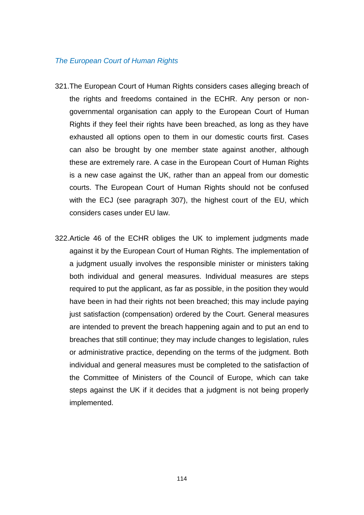#### *The European Court of Human Rights*

- 321.The European Court of Human Rights considers cases alleging breach of the rights and freedoms contained in the ECHR. Any person or nongovernmental organisation can apply to the European Court of Human Rights if they feel their rights have been breached, as long as they have exhausted all options open to them in our domestic courts first. Cases can also be brought by one member state against another, although these are extremely rare. A case in the European Court of Human Rights is a new case against the UK, rather than an appeal from our domestic courts. The European Court of Human Rights should not be confused with the ECJ (see paragraph 307), the highest court of the EU, which considers cases under EU law.
- 322.Article 46 of the ECHR obliges the UK to implement judgments made against it by the European Court of Human Rights. The implementation of a judgment usually involves the responsible minister or ministers taking both individual and general measures. Individual measures are steps required to put the applicant, as far as possible, in the position they would have been in had their rights not been breached; this may include paying just satisfaction (compensation) ordered by the Court. General measures are intended to prevent the breach happening again and to put an end to breaches that still continue; they may include changes to legislation, rules or administrative practice, depending on the terms of the judgment. Both individual and general measures must be completed to the satisfaction of the Committee of Ministers of the Council of Europe, which can take steps against the UK if it decides that a judgment is not being properly implemented.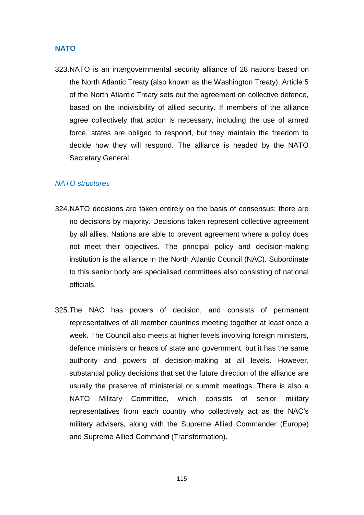#### **NATO**

323.NATO is an intergovernmental security alliance of 28 nations based on the North Atlantic Treaty (also known as the Washington Treaty). Article 5 of the North Atlantic Treaty sets out the agreement on collective defence, based on the indivisibility of allied security. If members of the alliance agree collectively that action is necessary, including the use of armed force, states are obliged to respond, but they maintain the freedom to decide how they will respond. The alliance is headed by the NATO Secretary General.

#### *NATO structures*

- 324.NATO decisions are taken entirely on the basis of consensus; there are no decisions by majority. Decisions taken represent collective agreement by all allies. Nations are able to prevent agreement where a policy does not meet their objectives. The principal policy and decision-making institution is the alliance in the North Atlantic Council (NAC). Subordinate to this senior body are specialised committees also consisting of national officials.
- 325.The NAC has powers of decision, and consists of permanent representatives of all member countries meeting together at least once a week. The Council also meets at higher levels involving foreign ministers, defence ministers or heads of state and government, but it has the same authority and powers of decision-making at all levels. However, substantial policy decisions that set the future direction of the alliance are usually the preserve of ministerial or summit meetings. There is also a NATO Military Committee, which consists of senior military representatives from each country who collectively act as the NAC"s military advisers, along with the Supreme Allied Commander (Europe) and Supreme Allied Command (Transformation).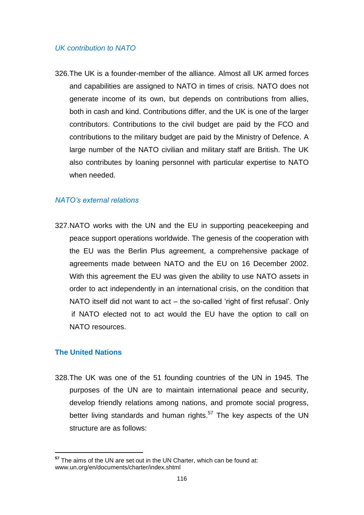#### *UK contribution to NATO*

326.The UK is a founder-member of the alliance. Almost all UK armed forces and capabilities are assigned to NATO in times of crisis. NATO does not generate income of its own, but depends on contributions from allies, both in cash and kind. Contributions differ, and the UK is one of the larger contributors. Contributions to the civil budget are paid by the FCO and contributions to the military budget are paid by the Ministry of Defence. A large number of the NATO civilian and military staff are British. The UK also contributes by loaning personnel with particular expertise to NATO when needed.

#### *NATO's external relations*

327.NATO works with the UN and the EU in supporting peacekeeping and peace support operations worldwide. The genesis of the cooperation with the EU was the Berlin Plus agreement, a comprehensive package of agreements made between NATO and the EU on 16 December 2002. With this agreement the EU was given the ability to use NATO assets in order to act independently in an international crisis, on the condition that NATO itself did not want to act – the so-called 'right of first refusal'. Only if NATO elected not to act would the EU have the option to call on NATO resources.

#### **The United Nations**

328.The UK was one of the 51 founding countries of the UN in 1945. The purposes of the UN are to maintain international peace and security, develop friendly relations among nations, and promote social progress, better living standards and human rights.<sup>57</sup> The key aspects of the UN structure are as follows:

**<sup>57</sup>** The aims of the UN are set out in the UN Charter, which can be found at: www.un.org/en/documents/charter/index.shtml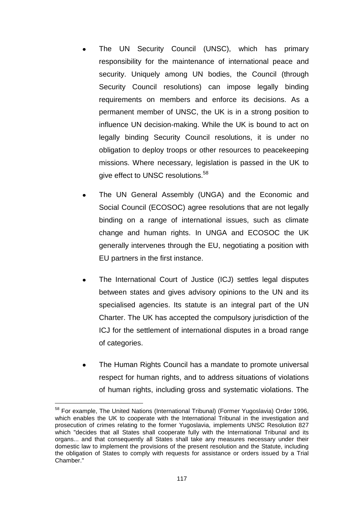- The UN Security Council (UNSC), which has primary responsibility for the maintenance of international peace and security. Uniquely among UN bodies, the Council (through Security Council resolutions) can impose legally binding requirements on members and enforce its decisions. As a permanent member of UNSC, the UK is in a strong position to influence UN decision-making. While the UK is bound to act on legally binding Security Council resolutions, it is under no obligation to deploy troops or other resources to peacekeeping missions. Where necessary, legislation is passed in the UK to give effect to UNSC resolutions.<sup>58</sup>
- The UN General Assembly (UNGA) and the Economic and Social Council (ECOSOC) agree resolutions that are not legally binding on a range of international issues, such as climate change and human rights. In UNGA and ECOSOC the UK generally intervenes through the EU, negotiating a position with EU partners in the first instance.
- The International Court of Justice (ICJ) settles legal disputes between states and gives advisory opinions to the UN and its specialised agencies. Its statute is an integral part of the UN Charter. The UK has accepted the compulsory jurisdiction of the ICJ for the settlement of international disputes in a broad range of categories.
- The Human Rights Council has a mandate to promote universal respect for human rights, and to address situations of violations of human rights, including gross and systematic violations. The

<sup>&</sup>lt;sup>58</sup> For example, The United Nations (International Tribunal) (Former Yugoslavia) Order 1996, which enables the UK to cooperate with the International Tribunal in the investigation and prosecution of crimes relating to the former Yugoslavia, implements UNSC Resolution 827 which "decides that all States shall cooperate fully with the International Tribunal and its organs... and that consequently all States shall take any measures necessary under their domestic law to implement the provisions of the present resolution and the Statute, including the obligation of States to comply with requests for assistance or orders issued by a Trial Chamber."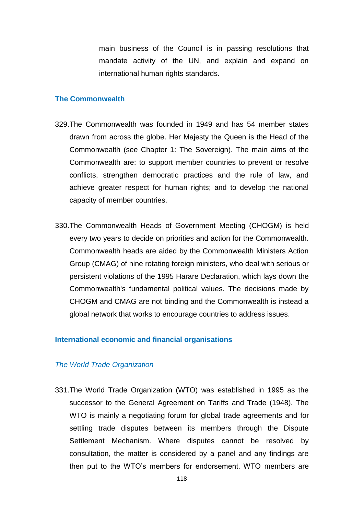main business of the Council is in passing resolutions that mandate activity of the UN, and explain and expand on international human rights standards.

#### **The Commonwealth**

- 329.The Commonwealth was founded in 1949 and has 54 member states drawn from across the globe. Her Majesty the Queen is the Head of the Commonwealth (see Chapter 1: The Sovereign). The main aims of the Commonwealth are: to support member countries to prevent or resolve conflicts, strengthen democratic practices and the rule of law, and achieve greater respect for human rights; and to develop the national capacity of member countries.
- 330.The Commonwealth Heads of Government Meeting (CHOGM) is held every two years to decide on priorities and action for the Commonwealth. Commonwealth heads are aided by the Commonwealth Ministers Action Group (CMAG) of nine rotating foreign ministers, who deal with serious or persistent violations of the 1995 Harare Declaration, which lays down the Commonwealth's fundamental political values. The decisions made by CHOGM and CMAG are not binding and the Commonwealth is instead a global network that works to encourage countries to address issues.

#### **International economic and financial organisations**

#### *The World Trade Organization*

331.The World Trade Organization (WTO) was established in 1995 as the successor to the General Agreement on Tariffs and Trade (1948). The WTO is mainly a negotiating forum for global trade agreements and for settling trade disputes between its members through the Dispute Settlement Mechanism. Where disputes cannot be resolved by consultation, the matter is considered by a panel and any findings are then put to the WTO"s members for endorsement. WTO members are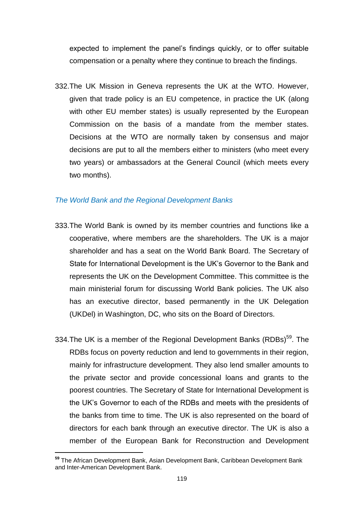expected to implement the panel"s findings quickly, or to offer suitable compensation or a penalty where they continue to breach the findings.

332.The UK Mission in Geneva represents the UK at the WTO. However, given that trade policy is an EU competence, in practice the UK (along with other EU member states) is usually represented by the European Commission on the basis of a mandate from the member states. Decisions at the WTO are normally taken by consensus and major decisions are put to all the members either to ministers (who meet every two years) or ambassadors at the General Council (which meets every two months).

#### *The World Bank and the Regional Development Banks*

- 333.The World Bank is owned by its member countries and functions like a cooperative, where members are the shareholders. The UK is a major shareholder and has a seat on the World Bank Board. The Secretary of State for International Development is the UK"s Governor to the Bank and represents the UK on the Development Committee. This committee is the main ministerial forum for discussing World Bank policies. The UK also has an executive director, based permanently in the UK Delegation (UKDel) in Washington, DC, who sits on the Board of Directors.
- 334. The UK is a member of the Regional Development Banks (RDBs)<sup>59</sup>. The RDBs focus on poverty reduction and lend to governments in their region, mainly for infrastructure development. They also lend smaller amounts to the private sector and provide concessional loans and grants to the poorest countries. The Secretary of State for International Development is the UK"s Governor to each of the RDBs and meets with the presidents of the banks from time to time. The UK is also represented on the board of directors for each bank through an executive director. The UK is also a member of the European Bank for Reconstruction and Development

**<sup>59</sup>** The African Development Bank, Asian Development Bank, Caribbean Development Bank and Inter-American Development Bank.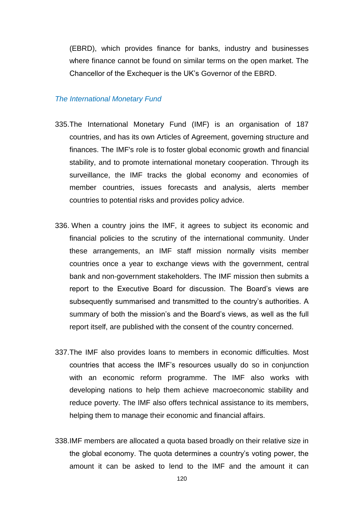(EBRD), which provides finance for banks, industry and businesses where finance cannot be found on similar terms on the open market. The Chancellor of the Exchequer is the UK"s Governor of the EBRD.

#### *The International Monetary Fund*

- 335.The International Monetary Fund (IMF) is an organisation of 187 countries, and has its own Articles of Agreement, governing structure and finances. The IMF's role is to foster global economic growth and financial stability, and to promote international monetary cooperation. Through its surveillance, the IMF tracks the global economy and economies of member countries, issues forecasts and analysis, alerts member countries to potential risks and provides policy advice.
- 336. When a country joins the IMF, it agrees to subject its economic and financial policies to the scrutiny of the international community. Under these arrangements, an IMF staff mission normally visits member countries once a year to exchange views with the government, central bank and non-government stakeholders. The IMF mission then submits a report to the Executive Board for discussion. The Board"s views are subsequently summarised and transmitted to the country's authorities. A summary of both the mission's and the Board's views, as well as the full report itself, are published with the consent of the country concerned.
- 337.The IMF also provides loans to members in economic difficulties. Most countries that access the IMF"s resources usually do so in conjunction with an economic reform programme. The IMF also works with developing nations to help them achieve macroeconomic stability and reduce poverty. The IMF also offers technical assistance to its members, helping them to manage their economic and financial affairs.
- 338.IMF members are allocated a quota based broadly on their relative size in the global economy. The quota determines a country"s voting power, the amount it can be asked to lend to the IMF and the amount it can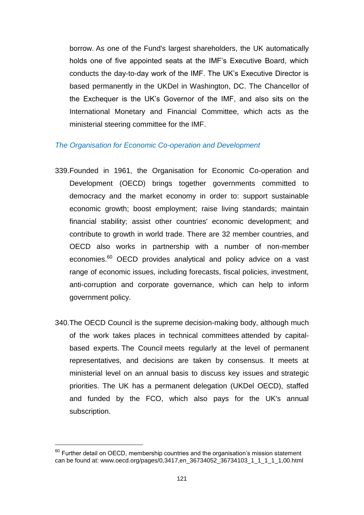borrow. As one of the Fund's largest shareholders, the UK automatically holds one of five appointed seats at the IMF"s Executive Board, which conducts the day-to-day work of the IMF. The UK"s Executive Director is based permanently in the UKDel in Washington, DC. The Chancellor of the Exchequer is the UK"s Governor of the IMF, and also sits on the International Monetary and Financial Committee, which acts as the ministerial steering committee for the IMF.

#### *The Organisation for Economic Co-operation and Development*

- 339.Founded in 1961, the Organisation for Economic Co-operation and Development (OECD) brings together governments committed to democracy and the market economy in order to: support sustainable economic growth; boost employment; raise living standards; maintain financial stability; assist other countries' economic development; and contribute to growth in world trade. There are 32 member countries, and OECD also works in partnership with a number of non-member economies.<sup>60</sup> OECD provides analytical and policy advice on a vast range of economic issues, including forecasts, fiscal policies, investment, anti-corruption and corporate governance, which can help to inform government policy.
- 340.The OECD Council is the supreme decision-making body, although much of the work takes places in technical committees attended by capitalbased experts. The Council meets regularly at the level of permanent representatives, and decisions are taken by consensus. It meets at ministerial level on an annual basis to discuss key issues and strategic priorities. The UK has a permanent delegation (UKDel OECD), staffed and funded by the FCO, which also pays for the UK's annual subscription.

 $60$  Further detail on OECD, membership countries and the organisation's mission statement can be found at: [www.oecd.org/pages/0,3417,en\\_36734052\\_36734103\\_1\\_1\\_1\\_1\\_1,00.html](http://www.oecd.org/pages/0,3417,en_36734052_36734103_1_1_1_1_1,00.html)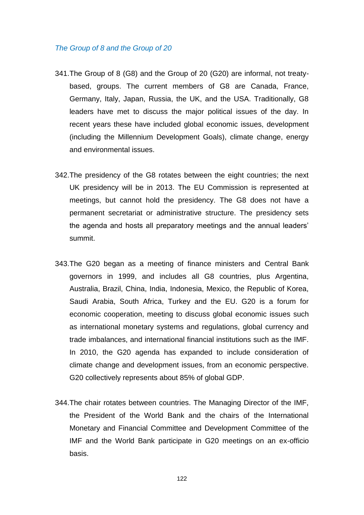#### *The Group of 8 and the Group of 20*

- 341.The Group of 8 (G8) and the Group of 20 (G20) are informal, not treatybased, groups. The current members of G8 are Canada, France, Germany, Italy, Japan, Russia, the UK, and the USA. Traditionally, G8 leaders have met to discuss the major political issues of the day. In recent years these have included global economic issues, development (including the Millennium Development Goals), climate change, energy and environmental issues.
- 342.The presidency of the G8 rotates between the eight countries; the next UK presidency will be in 2013. The EU Commission is represented at meetings, but cannot hold the presidency. The G8 does not have a permanent secretariat or administrative structure. The presidency sets the agenda and hosts all preparatory meetings and the annual leaders" summit.
- 343.The G20 began as a meeting of finance ministers and Central Bank governors in 1999, and includes all G8 countries, plus Argentina, Australia, Brazil, China, India, Indonesia, Mexico, the Republic of Korea, Saudi Arabia, South Africa, Turkey and the EU. G20 is a forum for economic cooperation, meeting to discuss global economic issues such as international monetary systems and regulations, global currency and trade imbalances, and international financial institutions such as the IMF. In 2010, the G20 agenda has expanded to include consideration of climate change and development issues, from an economic perspective. G20 collectively represents about 85% of global GDP.
- 344.The chair rotates between countries. The Managing Director of the IMF, the President of the World Bank and the chairs of the International Monetary and Financial Committee and Development Committee of the IMF and the World Bank participate in G20 meetings on an ex-officio basis.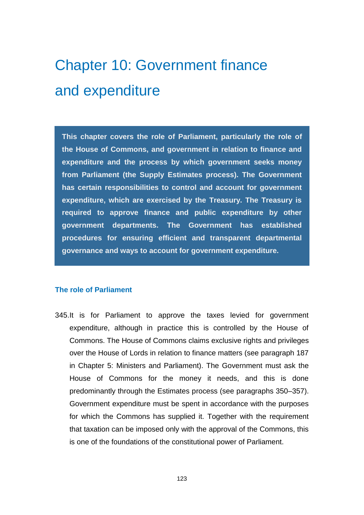# Chapter 10: Government finance and expenditure

**This chapter covers the role of Parliament, particularly the role of the House of Commons, and government in relation to finance and expenditure and the process by which government seeks money from Parliament (the Supply Estimates process). The Government has certain responsibilities to control and account for government expenditure, which are exercised by the Treasury. The Treasury is required to approve finance and public expenditure by other government departments. The Government has established procedures for ensuring efficient and transparent departmental governance and ways to account for government expenditure.**

#### **The role of Parliament**

345.It is for Parliament to approve the taxes levied for government expenditure, although in practice this is controlled by the House of Commons. The House of Commons claims exclusive rights and privileges over the House of Lords in relation to finance matters (see paragraph 187 in Chapter 5: Ministers and Parliament). The Government must ask the House of Commons for the money it needs, and this is done predominantly through the Estimates process (see paragraphs 350–357). Government expenditure must be spent in accordance with the purposes for which the Commons has supplied it. Together with the requirement that taxation can be imposed only with the approval of the Commons, this is one of the foundations of the constitutional power of Parliament.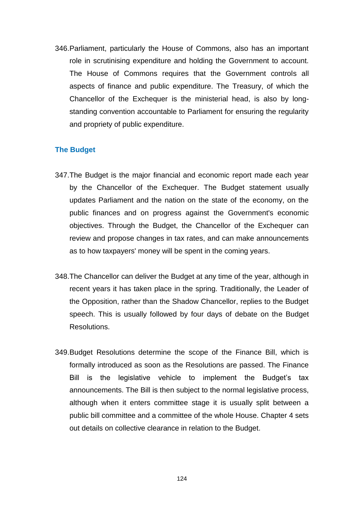346.Parliament, particularly the House of Commons, also has an important role in scrutinising expenditure and holding the Government to account. The House of Commons requires that the Government controls all aspects of finance and public expenditure. The Treasury, of which the Chancellor of the Exchequer is the ministerial head, is also by longstanding convention accountable to Parliament for ensuring the regularity and propriety of public expenditure.

#### **The Budget**

- 347.The Budget is the major financial and economic report made each year by the Chancellor of the Exchequer. The Budget statement usually updates Parliament and the nation on the state of the economy, on the public finances and on progress against the Government's economic objectives. Through the Budget, the Chancellor of the Exchequer can review and propose changes in tax rates, and can make announcements as to how taxpayers' money will be spent in the coming years.
- 348.The Chancellor can deliver the Budget at any time of the year, although in recent years it has taken place in the spring. Traditionally, the Leader of the Opposition, rather than the Shadow Chancellor, replies to the Budget speech. This is usually followed by four days of debate on the Budget Resolutions.
- 349.Budget Resolutions determine the scope of the Finance Bill, which is formally introduced as soon as the Resolutions are passed. The Finance Bill is the legislative vehicle to implement the Budget's tax announcements. The Bill is then subject to the normal legislative process, although when it enters committee stage it is usually split between a public bill committee and a committee of the whole House. Chapter 4 sets out details on collective clearance in relation to the Budget.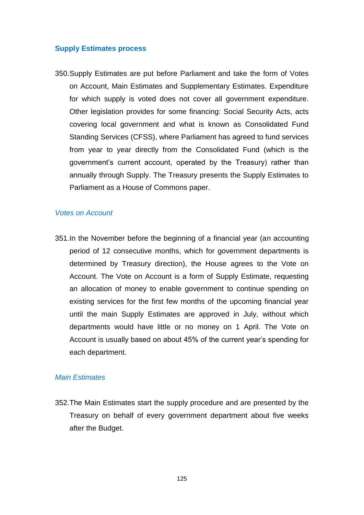#### **Supply Estimates process**

350.Supply Estimates are put before Parliament and take the form of Votes on Account, Main Estimates and Supplementary Estimates. Expenditure for which supply is voted does not cover all government expenditure. Other legislation provides for some financing: Social Security Acts, acts covering local government and what is known as Consolidated Fund Standing Services (CFSS), where Parliament has agreed to fund services from year to year directly from the Consolidated Fund (which is the government's current account, operated by the Treasury) rather than annually through Supply. The Treasury presents the Supply Estimates to Parliament as a House of Commons paper.

#### *Votes on Account*

351.In the November before the beginning of a financial year (an accounting period of 12 consecutive months, which for government departments is determined by Treasury direction), the House agrees to the Vote on Account. The Vote on Account is a form of Supply Estimate, requesting an allocation of money to enable government to continue spending on existing services for the first few months of the upcoming financial year until the main Supply Estimates are approved in July, without which departments would have little or no money on 1 April. The Vote on Account is usually based on about 45% of the current year"s spending for each department.

#### *Main Estimates*

352.The Main Estimates start the supply procedure and are presented by the Treasury on behalf of every government department about five weeks after the Budget.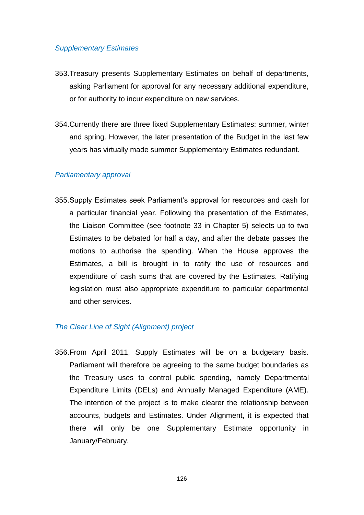#### *Supplementary Estimates*

- 353.Treasury presents Supplementary Estimates on behalf of departments, asking Parliament for approval for any necessary additional expenditure, or for authority to incur expenditure on new services.
- 354.Currently there are three fixed Supplementary Estimates: summer, winter and spring. However, the later presentation of the Budget in the last few years has virtually made summer Supplementary Estimates redundant.

#### *Parliamentary approval*

355.Supply Estimates seek Parliament"s approval for resources and cash for a particular financial year. Following the presentation of the Estimates, the Liaison Committee (see footnote 33 in Chapter 5) selects up to two Estimates to be debated for half a day, and after the debate passes the motions to authorise the spending. When the House approves the Estimates, a bill is brought in to ratify the use of resources and expenditure of cash sums that are covered by the Estimates. Ratifying legislation must also appropriate expenditure to particular departmental and other services.

#### *The Clear Line of Sight (Alignment) project*

356.From April 2011, Supply Estimates will be on a budgetary basis. Parliament will therefore be agreeing to the same budget boundaries as the Treasury uses to control public spending, namely Departmental Expenditure Limits (DELs) and Annually Managed Expenditure (AME). The intention of the project is to make clearer the relationship between accounts, budgets and Estimates. Under Alignment, it is expected that there will only be one Supplementary Estimate opportunity in January/February.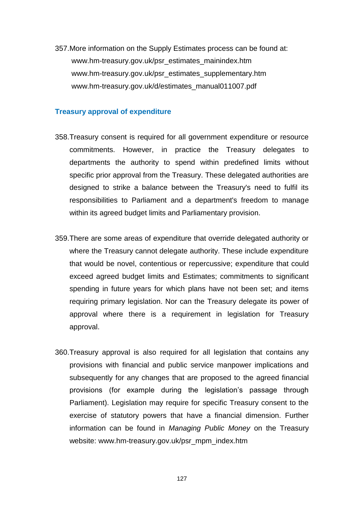357.More information on the Supply Estimates process can be found at: [www.hm-treasury.gov.uk/psr\\_estimates\\_mainindex.htm](file://Client/Local%20Settings/Temp/AppData/Local/Local%20Settings/Temporary%20Internet%20Files/Content.Outlook/O5CBGTBL/www.hm-treasury.gov.uk/psr_estimates_mainindex.htm) [www.hm-treasury.gov.uk/psr\\_estimates\\_supplementary.htm](file://Client/Local%20Settings/Temp/AppData/Local/Local%20Settings/Temporary%20Internet%20Files/Content.Outlook/O5CBGTBL/www.hm-treasury.gov.uk/psr_estimates_supplementary.htm) [www.hm-treasury.gov.uk/d/estimates\\_manual011007.pdf](file://Client/Local%20Settings/Temp/AppData/Local/Local%20Settings/Temporary%20Internet%20Files/Content.Outlook/O5CBGTBL/www.hm-treasury.gov.uk/d/estimates_manual011007.pdf)

#### **Treasury approval of expenditure**

- 358.Treasury consent is required for all government expenditure or resource commitments. However, in practice the Treasury delegates to departments the authority to spend within predefined limits without specific prior approval from the Treasury. These delegated authorities are designed to strike a balance between the Treasury's need to fulfil its responsibilities to Parliament and a department's freedom to manage within its agreed budget limits and Parliamentary provision.
- 359.There are some areas of expenditure that override delegated authority or where the Treasury cannot delegate authority. These include expenditure that would be novel, contentious or repercussive; expenditure that could exceed agreed budget limits and Estimates; commitments to significant spending in future years for which plans have not been set; and items requiring primary legislation. Nor can the Treasury delegate its power of approval where there is a requirement in legislation for Treasury approval.
- 360.Treasury approval is also required for all legislation that contains any provisions with financial and public service manpower implications and subsequently for any changes that are proposed to the agreed financial provisions (for example during the legislation"s passage through Parliament). Legislation may require for specific Treasury consent to the exercise of statutory powers that have a financial dimension. Further information can be found in *Managing Public Money* on the Treasury website: [www.hm-treasury.gov.uk/psr\\_mpm\\_index.htm](file://Client/Local%20Settings/Temp/AppData/Local/Local%20Settings/Temporary%20Internet%20Files/Content.Outlook/O5CBGTBL/www.hm-treasury.gov.uk/psr_mpm_index.htm)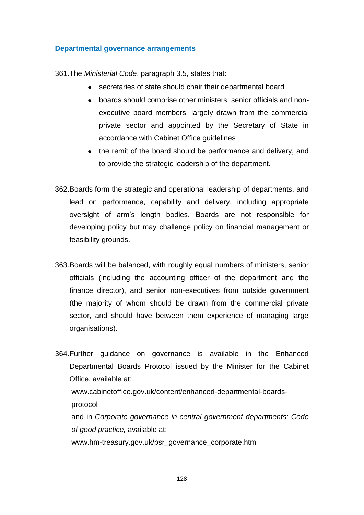#### **Departmental governance arrangements**

361.The *Ministerial Code*, paragraph 3.5, states that:

- secretaries of state should chair their departmental board
- boards should comprise other ministers, senior officials and nonexecutive board members, largely drawn from the commercial private sector and appointed by the Secretary of State in accordance with Cabinet Office guidelines
- the remit of the board should be performance and delivery, and to provide the strategic leadership of the department.
- 362.Boards form the strategic and operational leadership of departments, and lead on performance, capability and delivery, including appropriate oversight of arm"s length bodies. Boards are not responsible for developing policy but may challenge policy on financial management or feasibility grounds.
- 363.Boards will be balanced, with roughly equal numbers of ministers, senior officials (including the accounting officer of the department and the finance director), and senior non-executives from outside government (the majority of whom should be drawn from the commercial private sector, and should have between them experience of managing large organisations).
- 364.Further guidance on governance is available in the Enhanced Departmental Boards Protocol issued by the Minister for the Cabinet Office, available at: www.cabinetoffice.gov.uk/content/enhanced-departmental-boardsprotocol and in *Corporate governance in central government departments: Code of good practice,* available at: [www.hm-treasury.gov.uk/psr\\_governance\\_corporate.htm](file://Client/Local%20Settings/Temp/AppData/Local/Local%20Settings/Temporary%20Internet%20Files/Content.Outlook/O5CBGTBL/www.hm-treasury.gov.uk/psr_governance_corporate.htm)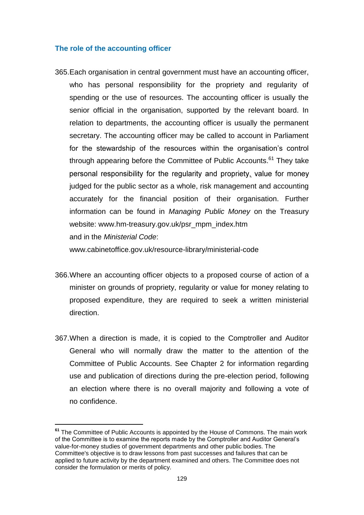#### **The role of the accounting officer**

365.Each organisation in central government must have an accounting officer, who has personal responsibility for the propriety and regularity of spending or the use of resources. The accounting officer is usually the senior official in the organisation, supported by the relevant board. In relation to departments, the accounting officer is usually the permanent secretary. The accounting officer may be called to account in Parliament for the stewardship of the resources within the organisation's control through appearing before the Committee of Public Accounts.<sup>61</sup> They take personal responsibility for the regularity and propriety, value for money judged for the public sector as a whole, risk management and accounting accurately for the financial position of their organisation. Further information can be found in *Managing Public Money* on the Treasury website: [www.hm-treasury.gov.uk/psr\\_mpm\\_index.htm](file://Client/Local%20Settings/Temp/AppData/Local/Local%20Settings/Temporary%20Internet%20Files/Content.Outlook/O5CBGTBL/www.hm-treasury.gov.uk/psr_mpm_index.htm) and in the *Ministerial Code*:

[www.cabinetoffice.gov.uk/resource-library/ministerial-code](http://www.cabinetoffice.gov.uk/resource-library/ministerial-code)

- 366.Where an accounting officer objects to a proposed course of action of a minister on grounds of propriety, regularity or value for money relating to proposed expenditure, they are required to seek a written ministerial direction.
- 367.When a direction is made, it is copied to the Comptroller and Auditor General who will normally draw the matter to the attention of the Committee of Public Accounts. See Chapter 2 for information regarding use and publication of directions during the pre-election period, following an election where there is no overall majority and following a vote of no confidence.

**<sup>61</sup>** The Committee of Public Accounts is appointed by the House of Commons. The main work of the Committee is to examine the reports made by the Comptroller and Auditor General"s value-for-money studies of government departments and other public bodies. The Committee's objective is to draw lessons from past successes and failures that can be applied to future activity by the department examined and others. The Committee does not consider the formulation or merits of policy.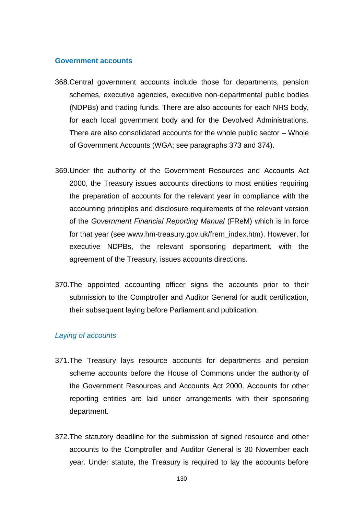#### **Government accounts**

- 368.Central government accounts include those for departments, pension schemes, executive agencies, executive non-departmental public bodies (NDPBs) and trading funds. There are also accounts for each NHS body, for each local government body and for the Devolved Administrations. There are also consolidated accounts for the whole public sector – Whole of Government Accounts (WGA; see paragraphs 373 and 374).
- 369.Under the authority of the Government Resources and Accounts Act 2000, the Treasury issues accounts directions to most entities requiring the preparation of accounts for the relevant year in compliance with the accounting principles and disclosure requirements of the relevant version of the *Government Financial Reporting Manual* (FReM) which is in force for that year (see [www.hm-treasury.gov.uk/frem\\_index.htm\)](http://www.hm-treasury.gov.uk/frem_index.htm). However, for executive NDPBs, the relevant sponsoring department, with the agreement of the Treasury, issues accounts directions.
- 370.The appointed accounting officer signs the accounts prior to their submission to the Comptroller and Auditor General for audit certification, their subsequent laying before Parliament and publication.

#### *Laying of accounts*

- 371.The Treasury lays resource accounts for departments and pension scheme accounts before the House of Commons under the authority of the Government Resources and Accounts Act 2000. Accounts for other reporting entities are laid under arrangements with their sponsoring department.
- 372.The statutory deadline for the submission of signed resource and other accounts to the Comptroller and Auditor General is 30 November each year. Under statute, the Treasury is required to lay the accounts before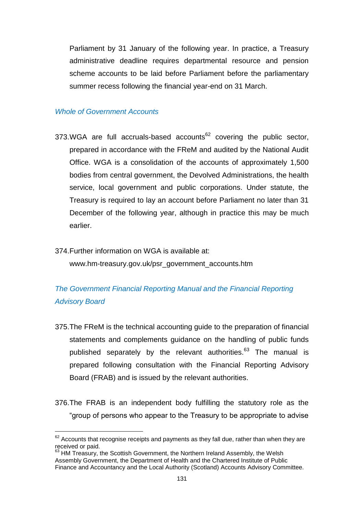Parliament by 31 January of the following year. In practice, a Treasury administrative deadline requires departmental resource and pension scheme accounts to be laid before Parliament before the parliamentary summer recess following the financial year-end on 31 March.

#### *Whole of Government Accounts*

- 373.WGA are full accruals-based accounts<sup>62</sup> covering the public sector, prepared in accordance with the FReM and audited by the National Audit Office. WGA is a consolidation of the accounts of approximately 1,500 bodies from central government, the Devolved Administrations, the health service, local government and public corporations. Under statute, the Treasury is required to lay an account before Parliament no later than 31 December of the following year, although in practice this may be much earlier.
- 374.Further information on WGA is available at: [www.hm-treasury.gov.uk/psr\\_government\\_accounts.htm](http://www.hm-treasury.gov.uk/psr_government_accounts.htm)

## *The Government Financial Reporting Manual and the Financial Reporting Advisory Board*

- 375.The FReM is the technical accounting guide to the preparation of financial statements and complements guidance on the handling of public funds published separately by the relevant authorities.<sup>63</sup> The manual is prepared following consultation with the Financial Reporting Advisory Board (FRAB) and is issued by the relevant authorities.
- 376.The FRAB is an independent body fulfilling the statutory role as the "group of persons who appear to the Treasury to be appropriate to advise

 $62$  Accounts that recognise receipts and payments as they fall due, rather than when they are received or paid.

<sup>&</sup>lt;sup>63</sup> HM Treasury, the Scottish Government, the Northern Ireland Assembly, the Welsh Assembly Government, the Department of Health and the Chartered Institute of Public Finance and Accountancy and the Local Authority (Scotland) Accounts Advisory Committee.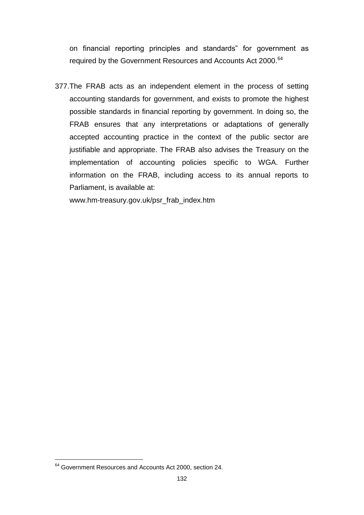on financial reporting principles and standards" for government as required by the Government Resources and Accounts Act 2000.<sup>64</sup>

377.The FRAB acts as an independent element in the process of setting accounting standards for government, and exists to promote the highest possible standards in financial reporting by government. In doing so, the FRAB ensures that any interpretations or adaptations of generally accepted accounting practice in the context of the public sector are justifiable and appropriate. The FRAB also advises the Treasury on the implementation of accounting policies specific to WGA. Further information on the FRAB, including access to its annual reports to Parliament, is available at:

[www.hm-treasury.gov.uk/psr\\_frab\\_index.htm](http://www.hm-treasury.gov.uk/psr_frab_index.htm)

<sup>&</sup>lt;sup>64</sup> Government Resources and Accounts Act 2000, section 24.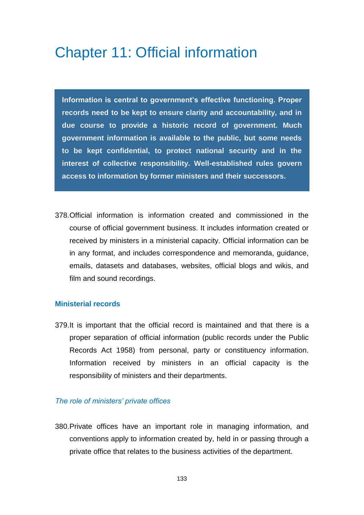## Chapter 11: Official information

**Information is central to government's effective functioning. Proper records need to be kept to ensure clarity and accountability, and in due course to provide a historic record of government. Much government information is available to the public, but some needs to be kept confidential, to protect national security and in the interest of collective responsibility. Well-established rules govern access to information by former ministers and their successors.**

378.Official information is information created and commissioned in the course of official government business. It includes information created or received by ministers in a ministerial capacity. Official information can be in any format, and includes correspondence and memoranda, guidance, emails, datasets and databases, websites, official blogs and wikis, and film and sound recordings.

#### **Ministerial records**

379.It is important that the official record is maintained and that there is a proper separation of official information (public records under the Public Records Act 1958) from personal, party or constituency information. Information received by ministers in an official capacity is the responsibility of ministers and their departments.

#### *The role of ministers' private offices*

380.Private offices have an important role in managing information, and conventions apply to information created by, held in or passing through a private office that relates to the business activities of the department.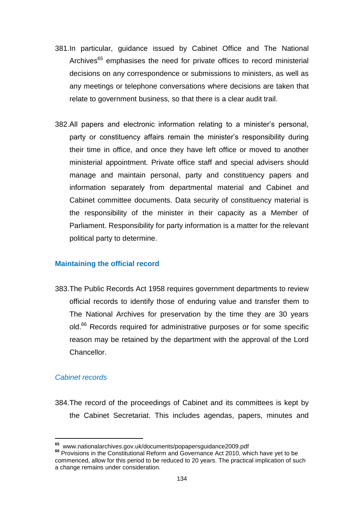- 381.In particular, guidance issued by Cabinet Office and The National Archives<sup>65</sup> emphasises the need for private offices to record ministerial decisions on any correspondence or submissions to ministers, as well as any meetings or telephone conversations where decisions are taken that relate to government business, so that there is a clear audit trail.
- 382.All papers and electronic information relating to a minister"s personal, party or constituency affairs remain the minister's responsibility during their time in office, and once they have left office or moved to another ministerial appointment. Private office staff and special advisers should manage and maintain personal, party and constituency papers and information separately from departmental material and Cabinet and Cabinet committee documents. Data security of constituency material is the responsibility of the minister in their capacity as a Member of Parliament. Responsibility for party information is a matter for the relevant political party to determine.

#### **Maintaining the official record**

383[.The Public Records Act 1958](http://www.nationalarchives.gov.uk/policy/act/default.htm) requires government departments to review official records to identify those of enduring value and transfer them to The National Archives for preservation by the time they are 30 years old.<sup>66</sup> Records required for administrative purposes or for some specific reason may be retained by the department with the approval of the Lord Chancellor.

#### *Cabinet records*

384.The record of the proceedings of Cabinet and its committees is kept by the Cabinet Secretariat. This includes agendas, papers, minutes and

**<sup>65</sup>** [www.nationalarchives.gov.uk/documents/popapersguidance2009.pdf](file://Client/Local%20Settings/Temp/AppData/Local/Local%20Settings/Temporary%20Internet%20Files/Content.Outlook/O5CBGTBL/www.nationalarchives.gov.uk/documents/popapersguidance2009.pdf) 

**<sup>66</sup>** Provisions in the Constitutional Reform and Governance Act 2010, which have yet to be commenced, allow for this period to be reduced to 20 years. The practical implication of such a change remains under consideration.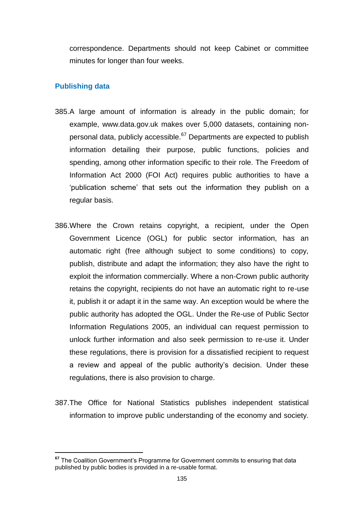correspondence. Departments should not keep Cabinet or committee minutes for longer than four weeks.

#### **Publishing data**

- 385.A large amount of information is already in the public domain; for example, [www.data.gov.uk](http://www.data.gov.uk/) makes over 5,000 datasets, containing nonpersonal data, publicly accessible. $67$  Departments are expected to publish information detailing their purpose, public functions, policies and spending, among other information specific to their role. The Freedom of Information Act 2000 (FOI Act) requires public authorities to have a 'publication scheme' that sets out the information they publish on a regular basis.
- 386.Where the Crown retains copyright, a recipient, under the Open Government Licence (OGL) for public sector information, has an automatic right (free although subject to some conditions) to copy, publish, distribute and adapt the information; they also have the right to exploit the information commercially. Where a non-Crown public authority retains the copyright, recipients do not have an automatic right to re-use it, publish it or adapt it in the same way. An exception would be where the public authority has adopted the OGL. Under the Re-use of Public Sector Information Regulations 2005, an individual can request permission to unlock further information and also seek permission to re-use it. Under these regulations, there is provision for a dissatisfied recipient to request a review and appeal of the public authority"s decision. Under these regulations, there is also provision to charge.
- 387.The Office for National Statistics publishes independent statistical information to improve public understanding of the economy and society.

<sup>&</sup>lt;sup>67</sup> The Coalition Government's Programme for Government commits to ensuring that data published by public bodies is provided in a re-usable format.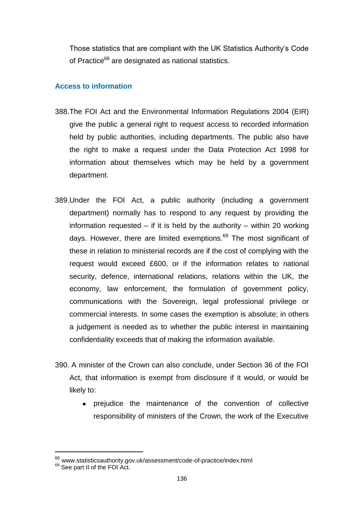Those statistics that are compliant with the UK Statistics Authority"s Code of Practice<sup>68</sup> are designated as national statistics.

### **Access to information**

- 388.The FOI Act and the [Environmental Information Regulations 2004](http://www.opsi.gov.uk/si/si2004/20043391.htm) (EIR) give the public a general right to request access to recorded information held by public authorities, including departments. The public also have the right to make a request under the Data Protection Act 1998 for information about themselves which may be held by a government department.
- 389.Under the FOI Act, a public authority (including a government department) normally has to respond to any request by providing the information requested  $-$  if it is held by the authority  $-$  within 20 working days. However, there are limited exemptions.<sup>69</sup> The most significant of these in relation to ministerial records are if the cost of complying with the request would exceed £600, or if the information relates to national security, defence, international relations, relations within the UK, the economy, law enforcement, the formulation of government policy, communications with the Sovereign, legal professional privilege or commercial interests. In some cases the exemption is absolute; in others a judgement is needed as to whether the public interest in maintaining confidentiality exceeds that of making the information available.
- 390. A minister of the Crown can also conclude, under Section 36 of the FOI Act, that information is exempt from disclosure if it would, or would be likely to:
	- prejudice the maintenance of the convention of collective responsibility of ministers of the Crown, the work of the Executive

<sup>&</sup>lt;sup>68</sup> [www.statisticsauthority.gov.uk/assessment/code-of-practice/index.html](file://Client/Local%20Settings/Temp/AppData/Local/Local%20Settings/Temporary%20Internet%20Files/Content.Outlook/O5CBGTBL/www.statisticsauthority.gov.uk/assessment/code-of-practice/index.html)

<sup>&</sup>lt;sup>69</sup> See part II of the FOI Act.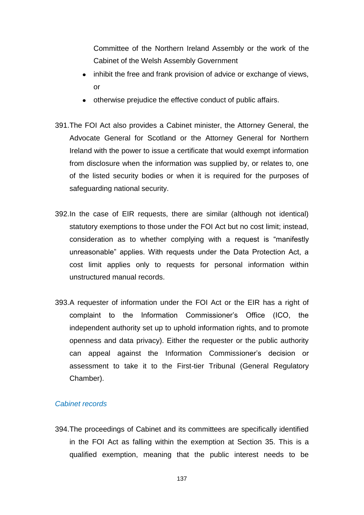Committee of the Northern Ireland Assembly or the work of the Cabinet of the Welsh Assembly Government

- inhibit the free and frank provision of advice or exchange of views, or
- otherwise prejudice the effective conduct of public affairs.
- 391.The FOI Act also provides a Cabinet minister, the Attorney General, the Advocate General for Scotland or the Attorney General for Northern Ireland with the power to issue a certificate that would exempt information from disclosure when the information was supplied by, or relates to, one of the listed security bodies or when it is required for the purposes of safeguarding national security.
- 392.In the case of EIR requests, there are similar (although not identical) statutory exemptions to those under the FOI Act but no cost limit; instead, consideration as to whether complying with a request is "manifestly unreasonable" applies. With requests under the Data Protection Act, a cost limit applies only to requests for personal information within unstructured manual records.
- 393.A requester of information under the FOI Act or the EIR has a right of complaint to the Information Commissioner"s Office (ICO, the independent authority set up to uphold information rights, and to promote openness and data privacy). Either the requester or the public authority can appeal against the Information Commissioner"s decision or assessment to take it to the First-tier Tribunal (General Regulatory Chamber).

#### *Cabinet records*

394.The proceedings of Cabinet and its committees are specifically identified in the FOI Act as falling within the exemption at Section 35. This is a qualified exemption, meaning that the public interest needs to be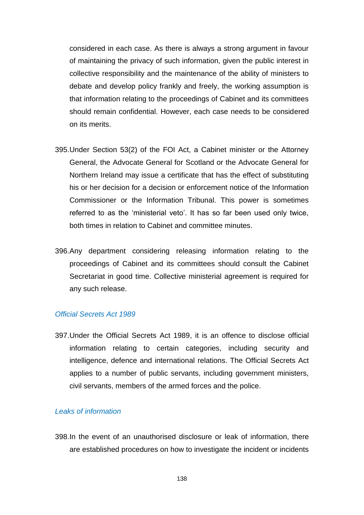considered in each case. As there is always a strong argument in favour of maintaining the privacy of such information, given the public interest in collective responsibility and the maintenance of the ability of ministers to debate and develop policy frankly and freely, the working assumption is that information relating to the proceedings of Cabinet and its committees should remain confidential. However, each case needs to be considered on its merits.

- 395.Under Section 53(2) of the FOI Act, a Cabinet minister or the Attorney General, the Advocate General for Scotland or the Advocate General for Northern Ireland may issue a certificate that has the effect of substituting his or her decision for a decision or enforcement notice of the Information Commissioner or the Information Tribunal. This power is sometimes referred to as the 'ministerial veto'. It has so far been used only twice, both times in relation to Cabinet and committee minutes.
- 396.Any department considering releasing information relating to the proceedings of Cabinet and its committees should consult the Cabinet Secretariat in good time. Collective ministerial agreement is required for any such release.

#### *Official Secrets Act 1989*

397.Under the [Official Secrets Act 1989,](http://www.opsi.gov.uk/acts/acts1989/ukpga_19890006_en_1.htm) it is an offence to disclose official information relating to certain categories, including security and intelligence, defence and international relations. The Official Secrets Act applies to a number of public servants, including government ministers, civil servants, members of the armed forces and the police.

#### *Leaks of information*

398.In the event of an unauthorised disclosure or leak of information, there are established procedures on how to investigate the incident or incidents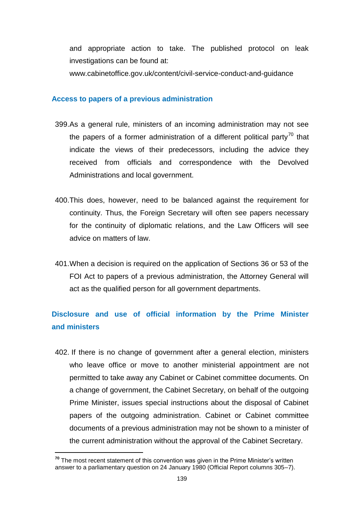and appropriate action to take. The published protocol on leak investigations can be found at:

www.cabinetoffice.gov.uk/content/civil-service-conduct-and-guidance

#### **Access to papers of a previous administration**

- 399.As a general rule, ministers of an incoming administration may not see the papers of a former administration of a different political party<sup>70</sup> that indicate the views of their predecessors, including the advice they received from officials and correspondence with the Devolved Administrations and local government.
- 400.This does, however, need to be balanced against the requirement for continuity. Thus, the Foreign Secretary will often see papers necessary for the continuity of diplomatic relations, and the Law Officers will see advice on matters of law.
- 401.When a decision is required on the application of Sections 36 or 53 of the FOI Act to papers of a previous administration, the Attorney General will act as the qualified person for all government departments.

## **Disclosure and use of official information by the Prime Minister and ministers**

402. If there is no change of government after a general election, ministers who leave office or move to another ministerial appointment are not permitted to take away any Cabinet or Cabinet committee documents. On a change of government, the Cabinet Secretary, on behalf of the outgoing Prime Minister, issues special instructions about the disposal of Cabinet papers of the outgoing administration. Cabinet or Cabinet committee documents of a previous administration may not be shown to a minister of the current administration without the approval of the Cabinet Secretary.

**<sup>70</sup>** The most recent statement of this convention was given in the Prime Minister"s written answer to a parliamentary question on 24 January 1980 (Official Report columns 305–7).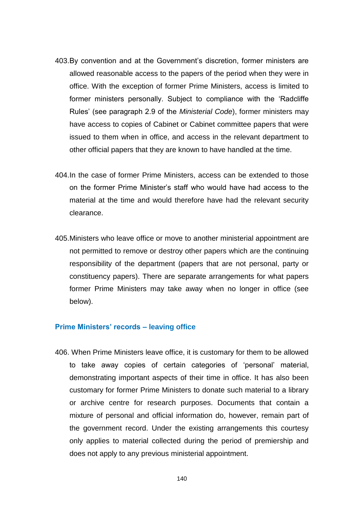- 403.By convention and at the Government"s discretion, former ministers are allowed reasonable access to the papers of the period when they were in office. With the exception of former Prime Ministers, access is limited to former ministers personally. Subject to compliance with the "Radcliffe Rules" (see paragraph 2.9 of the *Ministerial Code*), former ministers may have access to copies of Cabinet or Cabinet committee papers that were issued to them when in office, and access in the relevant department to other official papers that they are known to have handled at the time.
- 404.In the case of former Prime Ministers, access can be extended to those on the former Prime Minister"s staff who would have had access to the material at the time and would therefore have had the relevant security clearance.
- 405.Ministers who leave office or move to another ministerial appointment are not permitted to remove or destroy other papers which are the continuing responsibility of the department (papers that are not personal, party or constituency papers). There are separate arrangements for what papers former Prime Ministers may take away when no longer in office (see below).

#### **Prime Ministers' records – leaving office**

406. When Prime Ministers leave office, it is customary for them to be allowed to take away copies of certain categories of "personal" material, demonstrating important aspects of their time in office. It has also been customary for former Prime Ministers to donate such material to a library or archive centre for research purposes. Documents that contain a mixture of personal and official information do, however, remain part of the government record. Under the existing arrangements this courtesy only applies to material collected during the period of premiership and does not apply to any previous ministerial appointment.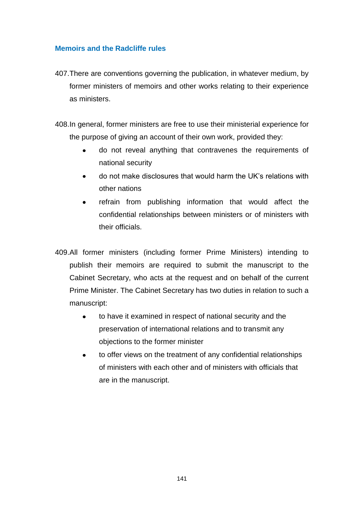### **Memoirs and the Radcliffe rules**

407.There are conventions governing the publication, in whatever medium, by former ministers of memoirs and other works relating to their experience as ministers.

408.In general, former ministers are free to use their ministerial experience for the purpose of giving an account of their own work, provided they:

- $\bullet$ do not reveal anything that contravenes the requirements of national security
- do not make disclosures that would harm the UK"s relations with  $\bullet$ other nations
- refrain from publishing information that would affect the  $\bullet$ confidential relationships between ministers or of ministers with their officials.
- 409.All former ministers (including former Prime Ministers) intending to publish their memoirs are required to submit the manuscript to the Cabinet Secretary, who acts at the request and on behalf of the current Prime Minister. The Cabinet Secretary has two duties in relation to such a manuscript:
	- to have it examined in respect of national security and the  $\bullet$ preservation of international relations and to transmit any objections to the former minister
	- to offer views on the treatment of any confidential relationships  $\bullet$ of ministers with each other and of ministers with officials that are in the manuscript.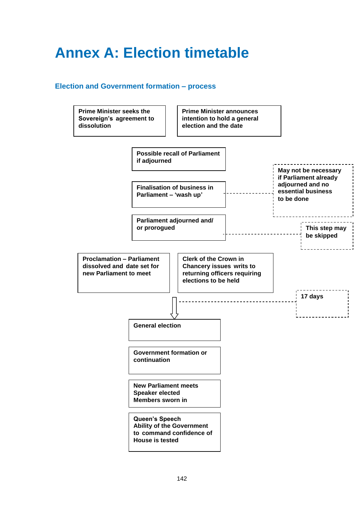## **Annex A: Election timetable**

#### **Election and Government formation – process**

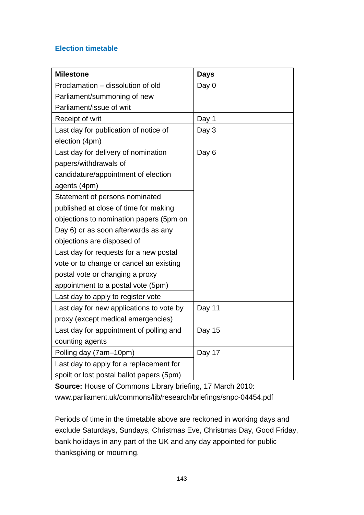## **Election timetable**

| <b>Milestone</b>                          | <b>Days</b> |
|-------------------------------------------|-------------|
| Proclamation - dissolution of old         | Day 0       |
| Parliament/summoning of new               |             |
| Parliament/issue of writ                  |             |
| Receipt of writ                           | Day 1       |
| Last day for publication of notice of     | Day 3       |
| election (4pm)                            |             |
| Last day for delivery of nomination       | Day 6       |
| papers/withdrawals of                     |             |
| candidature/appointment of election       |             |
| agents (4pm)                              |             |
| Statement of persons nominated            |             |
| published at close of time for making     |             |
| objections to nomination papers (5pm on   |             |
| Day 6) or as soon afterwards as any       |             |
| objections are disposed of                |             |
| Last day for requests for a new postal    |             |
| vote or to change or cancel an existing   |             |
| postal vote or changing a proxy           |             |
| appointment to a postal vote (5pm)        |             |
| Last day to apply to register vote        |             |
| Last day for new applications to vote by  | Day 11      |
| proxy (except medical emergencies)        |             |
| Last day for appointment of polling and   | Day 15      |
| counting agents                           |             |
| Polling day (7am-10pm)                    | Day 17      |
| Last day to apply for a replacement for   |             |
| spoilt or lost postal ballot papers (5pm) |             |

**Source:** House of Commons Library briefing, 17 March 2010: [www.parliament.uk/commons/lib/research/briefings/snpc-04454.pdf](http://www.parliament.uk/commons/lib/research/briefings/snpc-04454.pdf)

Periods of time in the timetable above are reckoned in working days and exclude Saturdays, Sundays, Christmas Eve, Christmas Day, Good Friday, bank holidays in any part of the UK and any day appointed for public thanksgiving or mourning.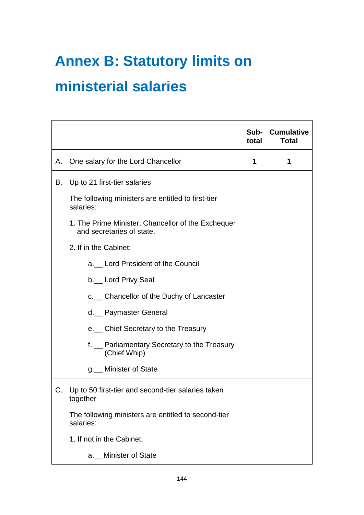## **Annex B: Statutory limits on**

### **ministerial salaries**

|    |                                                                                 | Sub-<br>total | <b>Cumulative</b><br><b>Total</b> |
|----|---------------------------------------------------------------------------------|---------------|-----------------------------------|
| А. | One salary for the Lord Chancellor                                              | 1             | 1                                 |
| В. | Up to 21 first-tier salaries                                                    |               |                                   |
|    | The following ministers are entitled to first-tier<br>salaries:                 |               |                                   |
|    | 1. The Prime Minister, Chancellor of the Exchequer<br>and secretaries of state. |               |                                   |
|    | 2. If in the Cabinet:                                                           |               |                                   |
|    | a. Lord President of the Council                                                |               |                                   |
|    | b. Lord Privy Seal                                                              |               |                                   |
|    | c. _ Chancellor of the Duchy of Lancaster                                       |               |                                   |
|    | d. Paymaster General                                                            |               |                                   |
|    | e. Chief Secretary to the Treasury                                              |               |                                   |
|    | f. _ Parliamentary Secretary to the Treasury<br>(Chief Whip)                    |               |                                   |
|    | g. Minister of State                                                            |               |                                   |
| C. | Up to 50 first-tier and second-tier salaries taken<br>together                  |               |                                   |
|    | The following ministers are entitled to second-tier<br>salaries:                |               |                                   |
|    | 1. If not in the Cabinet:                                                       |               |                                   |
|    | a. Minister of State                                                            |               |                                   |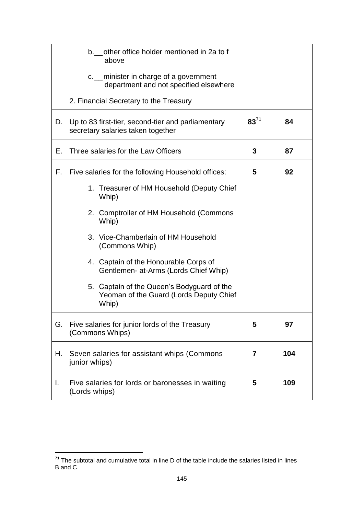|    | b. other office holder mentioned in 2a to f<br>above<br>c. _ minister in charge of a government<br>department and not specified elsewhere |           |     |
|----|-------------------------------------------------------------------------------------------------------------------------------------------|-----------|-----|
|    | 2. Financial Secretary to the Treasury                                                                                                    |           |     |
| D. | Up to 83 first-tier, second-tier and parliamentary<br>secretary salaries taken together                                                   | $83^{71}$ | 84  |
| Е. | Three salaries for the Law Officers                                                                                                       | 3         | 87  |
| F. | Five salaries for the following Household offices:                                                                                        | 5         | 92  |
|    | 1. Treasurer of HM Household (Deputy Chief<br>Whip)                                                                                       |           |     |
|    | 2. Comptroller of HM Household (Commons<br>Whip)                                                                                          |           |     |
|    | 3. Vice-Chamberlain of HM Household<br>(Commons Whip)                                                                                     |           |     |
|    | 4. Captain of the Honourable Corps of<br>Gentlemen- at-Arms (Lords Chief Whip)                                                            |           |     |
|    | 5. Captain of the Queen's Bodyguard of the<br>Yeoman of the Guard (Lords Deputy Chief<br>Whip)                                            |           |     |
| G. | Five salaries for junior lords of the Treasury<br>(Commons Whips)                                                                         | 5         | 97  |
| Н. | Seven salaries for assistant whips (Commons<br>junior whips)                                                                              | 7         | 104 |
| L. | Five salaries for lords or baronesses in waiting<br>(Lords whips)                                                                         | 5         | 109 |

**<sup>71</sup>** The subtotal and cumulative total in line D of the table include the salaries listed in lines B and C.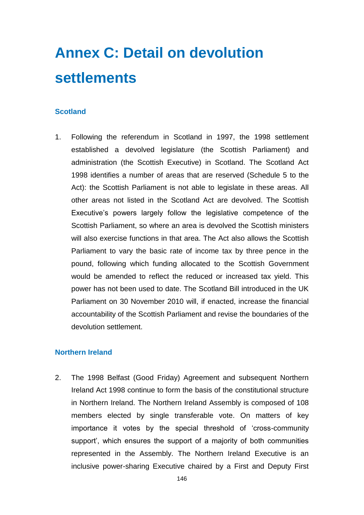# **Annex C: Detail on devolution settlements**

#### **Scotland**

1. Following the referendum in Scotland in 1997, the 1998 settlement established a devolved legislature (the Scottish Parliament) and administration (the Scottish Executive) in Scotland. The Scotland Act 1998 identifies a number of areas that are reserved (Schedule 5 to the Act): the Scottish Parliament is not able to legislate in these areas. All other areas not listed in the Scotland Act are devolved. The Scottish Executive's powers largely follow the legislative competence of the Scottish Parliament, so where an area is devolved the Scottish ministers will also exercise functions in that area. The Act also allows the Scottish Parliament to vary the basic rate of income tax by three pence in the pound, following which funding allocated to the Scottish Government would be amended to reflect the reduced or increased tax yield. This power has not been used to date. The Scotland Bill introduced in the UK Parliament on 30 November 2010 will, if enacted, increase the financial accountability of the Scottish Parliament and revise the boundaries of the devolution settlement.

#### **Northern Ireland**

2. The 1998 Belfast (Good Friday) Agreement and subsequent Northern Ireland Act 1998 continue to form the basis of the constitutional structure in Northern Ireland. The Northern Ireland Assembly is composed of 108 members elected by single transferable vote. On matters of key importance it votes by the special threshold of "cross-community support', which ensures the support of a majority of both communities represented in the Assembly. The Northern Ireland Executive is an inclusive power-sharing Executive chaired by a First and Deputy First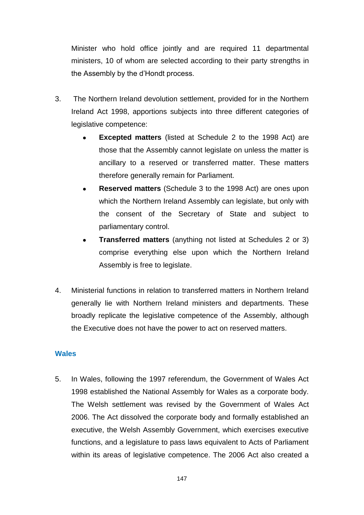Minister who hold office jointly and are required 11 departmental ministers, 10 of whom are selected according to their party strengths in the Assembly by the d"Hondt process.

- 3. The Northern Ireland devolution settlement, provided for in the Northern Ireland Act 1998, apportions subjects into three different categories of legislative competence:
	- **Excepted matters** (listed at Schedule 2 to the 1998 Act) are those that the Assembly cannot legislate on unless the matter is ancillary to a reserved or transferred matter. These matters therefore generally remain for Parliament.
	- **Reserved matters** (Schedule 3 to the 1998 Act) are ones upon  $\bullet$ which the Northern Ireland Assembly can legislate, but only with the consent of the Secretary of State and subject to parliamentary control.
	- **Transferred matters** (anything not listed at Schedules 2 or 3) comprise everything else upon which the Northern Ireland Assembly is free to legislate.
- 4. Ministerial functions in relation to transferred matters in Northern Ireland generally lie with Northern Ireland ministers and departments. These broadly replicate the legislative competence of the Assembly, although the Executive does not have the power to act on reserved matters.

#### **Wales**

5. In Wales, following the 1997 referendum, the Government of Wales Act 1998 established the National Assembly for Wales as a corporate body. The Welsh settlement was revised by the Government of Wales Act 2006. The Act dissolved the corporate body and formally established an executive, the Welsh Assembly Government, which exercises executive functions, and a legislature to pass laws equivalent to Acts of Parliament within its areas of legislative competence. The 2006 Act also created a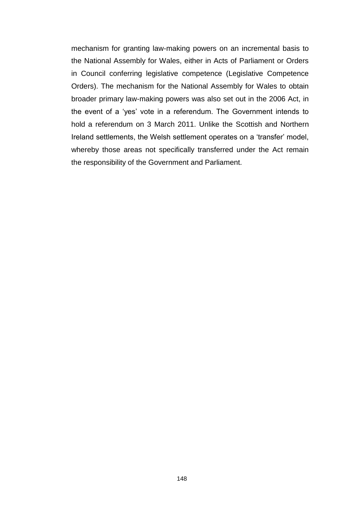mechanism for granting law-making powers on an incremental basis to the National Assembly for Wales, either in Acts of Parliament or Orders in Council conferring legislative competence (Legislative Competence Orders). The mechanism for the National Assembly for Wales to obtain broader primary law-making powers was also set out in the 2006 Act, in the event of a "yes" vote in a referendum. The Government intends to hold a referendum on 3 March 2011. Unlike the Scottish and Northern Ireland settlements, the Welsh settlement operates on a "transfer" model, whereby those areas not specifically transferred under the Act remain the responsibility of the Government and Parliament.